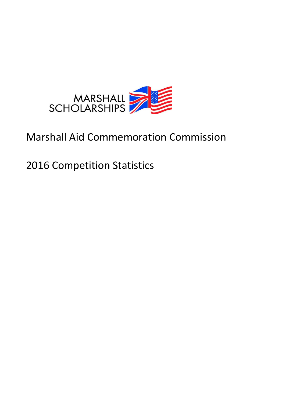

# Marshall Aid Commemoration Commission

2016 Competition Statistics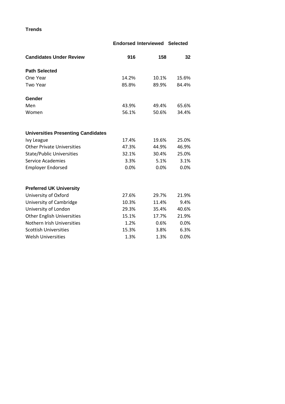**Trends**

# **Endorsed Interviewed Selected Candidates Under Review 516 158 158 158 Path Selected** One Year 14.2% 10.1% 15.6% Two Year 685.8% 89.9% 84.4% **Gender** Men 43.9% 49.4% 65.6% Women 56.1% 56.1% 50.6% 34.4% **Universities Presenting Candidates** Ivy League 17.4% 19.6% 25.0% Other Private Universities 17.3% 44.9% 46.9% State/Public Universities 32.1% 30.4% 25.0% Service Academies **3.3%** 5.1% 3.1% Employer Endorsed  $0.0\%$  0.0% 0.0% 0.0% **Preferred UK University** University of Oxford 27.6% 29.7% 21.9% University of Cambridge 10.3% 11.4% 9.4% University of London 29.3% 35.4% 40.6% Other English Universities 15.1% 17.7% 21.9% Nothern Irish Universities 1.2% 0.6% 0.0% Scottish Universities 15.3% 3.8% 6.3% Welsh Universities  $1.3\%$  1.3%  $0.0\%$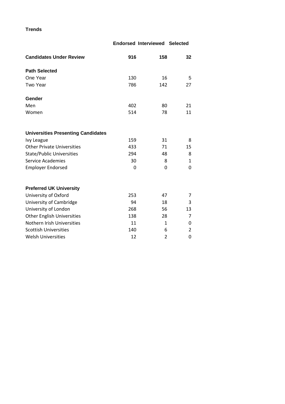**Trends**

|                                           |     | <b>Endorsed Interviewed Selected</b> |                |  |
|-------------------------------------------|-----|--------------------------------------|----------------|--|
| <b>Candidates Under Review</b>            | 916 | 158                                  | 32             |  |
| <b>Path Selected</b>                      |     |                                      |                |  |
| One Year                                  | 130 | 16                                   | 5              |  |
| Two Year                                  | 786 | 142                                  | 27             |  |
| Gender                                    |     |                                      |                |  |
| Men                                       | 402 | 80                                   | 21             |  |
| Women                                     | 514 | 78                                   | 11             |  |
| <b>Universities Presenting Candidates</b> |     |                                      |                |  |
| <b>Ivy League</b>                         | 159 | 31                                   | 8              |  |
| <b>Other Private Universities</b>         | 433 | 71                                   | 15             |  |
| <b>State/Public Universities</b>          | 294 | 48                                   | 8              |  |
| <b>Service Academies</b>                  | 30  | 8                                    | 1              |  |
| <b>Employer Endorsed</b>                  | 0   | 0                                    | 0              |  |
| <b>Preferred UK University</b>            |     |                                      |                |  |
| University of Oxford                      | 253 | 47                                   | 7              |  |
| University of Cambridge                   | 94  | 18                                   | 3              |  |
| University of London                      | 268 | 56                                   | 13             |  |
| <b>Other English Universities</b>         | 138 | 28                                   | 7              |  |
| Nothern Irish Universities                | 11  | $\mathbf{1}$                         | 0              |  |
| <b>Scottish Universities</b>              | 140 | 6                                    | $\overline{2}$ |  |
| <b>Welsh Universities</b>                 | 12  | $\overline{2}$                       | 0              |  |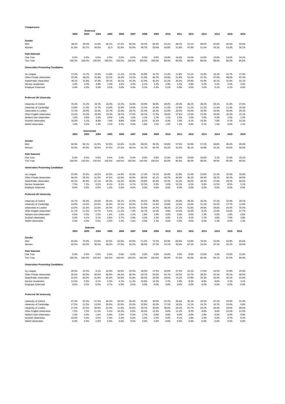| Comparisons                               |        |                     |        |        |        |        |        |        |       |       |       |       |       |       |       |
|-------------------------------------------|--------|---------------------|--------|--------|--------|--------|--------|--------|-------|-------|-------|-------|-------|-------|-------|
|                                           |        | Endorsed            |        |        |        |        |        |        |       |       |       |       |       |       |       |
|                                           | 2002   | 2003                | 2004   | 2005   | 2006   | 2007   | 2008   | 2009   | 2010  | 2011  | 2012  | 2013  | 2014  | 2015  | 2016  |
| Gender                                    |        |                     |        |        |        |        |        |        |       |       |       |       |       |       |       |
| Men                                       | 48.2%  | 49.3%               | 51.0%  | 48.1%  | 47.4%  | 50.0%  | 50.3%  | 49.4%  | 45.2% | 48.1% | 52.1% | 48.5% | 45.8% | 46.6% | 43.9% |
| Women                                     | 51.8%  | 50.7%               | 49.0%  | 51.9   | 52.6%  | 50.0%  | 49.7%  | 50.6%  | 54.8% | 51.9% | 47.9% | 51.5% | 54.2% | 53.4% | 56.1% |
|                                           |        |                     |        |        |        |        |        |        |       |       |       |       |       |       |       |
| Path Selected                             |        |                     |        |        |        |        |        |        |       |       |       |       |       |       |       |
| One Year                                  | 0.0%   | 0.0%                | 0.0%   | 0.0%   | 0.0%   | 0.0%   | 0.0%   | 0.0%   | 16.0% | 16.0% | 14.0% | 14.0% | 12.0% | 14.0% | 14.2% |
| Two Year                                  | 100.0% | 100.0%              | 100.0% | 100.0% | 100.0% | 100.0% | 100.0% | 100.0% | 84.0% | 84.0% | 86.0% | 86.0% | 88.0% | 86.0% | 85.8% |
|                                           |        |                     |        |        |        |        |        |        |       |       |       |       |       |       |       |
| <b>Universities Presenting Candidates</b> |        |                     |        |        |        |        |        |        |       |       |       |       |       |       |       |
| Ivy League                                | 17.4%  | 15.7%               | 16.0%  | 11.8%  | 11.2%  | 12.3%  | 10.8%  | 10.7%  | 11.9% | 12.8% | 13.1% | 15.8% | 16.3% | 16.7% | 17.4% |
| Other Private Universities                | 47.4%  | 48.2%               | 41.8%  | 52.2%  | 54.3%  | 51.5%  | 51.0%  | 46.7%  | 50.9% | 51.8% | 52.2% | 47.3% | 47.9% | 48.4% | 47.3% |
| <b>State/Public Universities</b>          | 30.1%  | 31.8%               | 37.4%  | 30.1%  | 30.1%  | 31.3%  | 31.9%  | 30.2%  | 31.2% | 30.2% | 29.9% | 32.0% | 30.1% | 31.9% | 32.1% |
| Service Academies                         | 4.9%   | 4.3%                | 4.8%   | 5.4%   | 4.4%   | 4.5%   | 6.1%   | 5.3%   | 5.9%  | 5.2%  | 4.8%  | 4.2%  | 5.5%  | 3.0%  | 3.3%  |
| <b>Employer Endorsed</b>                  | 0.4%   | 0.0%                | 0.0%   | 0.5%   | 0.0%   | 0.4%   | 0.1%   | 0.3%   | 0.1%  | 0.0%  | 0.0%  | 1.0%  | 0.1%  | 0.1%  | 0.0%  |
|                                           |        |                     |        |        |        |        |        |        |       |       |       |       |       |       |       |
|                                           |        |                     |        |        |        |        |        |        |       |       |       |       |       |       |       |
| <b>Preferred UK University</b>            |        |                     |        |        |        |        |        |        |       |       |       |       |       |       |       |
| University of Oxford                      | 35.4%  | 31.2%               | 32.3%  | 32.0%  | 31.5%  | 32.4%  | 30.9%  | 30.8%  | 28.0% | 29.3% | 36.1% | 28.2% | 29.1% | 31.0% | 27.6% |
| University of Cambridge                   | 13.8%  | 11.4%               | 12.7%  | 13.0%  | 12.9%  | 13.0%  | 12.3%  | 12.4%  | 11.4% | 12.9% | 11.1% | 11.2% | 11.4% | 11.3% | 10.3% |
| Universities in London                    | 17.3%  | 20.9%               | 22.6%  | 25.7%  | 25.9%  | 26.7%  | 25.4%  | 26.3%  | 31.0% | 29.5% | 33.0% | 32.9% | 33.9% | 30.0% | 29.3% |
| Other English Universities                | 21.6%  | 14.4%               | 20.9%  | 19.3%  | 18.7%  | 17.6%  | 20.1%  | 17.5%  | 18.6% | 17.6% | 17.5% | 15.9% | 16.4% | 16.3% | 15.1% |
| Nothern Irish Universities                | 1.0%   | 0.6%                | 1.6%   | 0.9%   | 1.4%   | 1.0%   | 1.2%   | 1.7%   | 1.1%  | 1.5%  | 1.0%  | 7.0%  | 0.3%  | 1.0%  | 1.2%  |
| <b>Scottish Universities</b>              | 10.0%  | 5.1%                | 8.8%   | 7.6%   | 8.8%   | 6.8%   | 8.2%   | 10.3%  | 8.3%  | 7.9%  | 9.1%  | 10.3% | 7.8%  | 9.7%  | 15.3% |
| <b>Welsh Universities</b>                 | 1.0%   | 0.3%                | 1.3%   | 1.5%   | 0.7%   | 0.6%   | 1.8%   | 1.0%   | 1.5%  | 1.2%  | 0.8%  | 0.7%  | 1.0%  | 0.6%  | 1.3%  |
|                                           |        |                     |        |        |        |        |        |        |       |       |       |       |       |       |       |
|                                           | 2002   | Interviewed<br>2003 | 2004   | 2005   | 2006   | 2007   | 2008   | 2009   | 2010  | 2011  | 2012  | 2013  | 2014  | 2015  | 2016  |
|                                           |        |                     |        |        |        |        |        |        |       |       |       |       |       |       |       |
| Gender                                    |        |                     |        |        |        |        |        |        |       |       |       |       |       |       |       |
| Men                                       | 56.5%  | 56.1%               | 61.0%  | 52.5%  | 52.8%  | 51.8%  | 58.3%  | 59.3%  | 56.8% | 57.6% | 53.9% | 57.2% | 46.8% | 49.4% | 49.4% |
| Women                                     | 43.5%  | 43.9%               | 39.0%  | 47.5%  | 47.2%  | 48.2%  | 41.7%  | 40.7%  | 43.2% | 42.4% | 46.1% | 42.8% | 53.2% | 50.6% | 50.6% |
|                                           |        |                     |        |        |        |        |        |        |       |       |       |       |       |       |       |
| Path Selected                             |        |                     |        |        |        |        |        |        |       |       |       |       |       |       |       |
| One Year                                  | 0.0%   | 0.0%                | 0.0%   | 0.0%   | 0.0%   | 0.0%   | 0.0%   | 0.0%   | 15.0% | 15.0% | 10.0% | 10.0% | 5.1%  | 15.0% | 10.1% |
| Two Year                                  | 100.0% | 100.0%              | 100.0% | 100.0% | 100.0% | 100.0% | 100.0% | 100.0% | 85.0% | 85.0% | 90.0% | 90.0% | 94.9% | 85.0% | 89.9% |
| <b>Universities Presenting Candidates</b> |        |                     |        |        |        |        |        |        |       |       |       |       |       |       |       |
|                                           |        |                     |        |        |        |        |        |        |       |       |       |       |       |       |       |
| lvy League                                | 23.0%  | 15.3%               | 18.2%  | 16.9%  | 14.9%  | 22.6%  | 17.3%  | 19.1%  | 20.4% | 22.8% | 21.4% | 22.0% | 21.2% | 22.0% | 19.6% |
| Other Private Universities                | 40.4%  | 36.5%               | 41.5%  | 47.5%  | 42.9%  | 43.9%  | 40.5%  | 45.1%  | 40.7% | 44.9% | 46.1% | 40.3% | 39.7% | 40.2% | 44.9% |
| <b>State/Public Universities</b>          | 29.2%  | 40.9%               | 32.1%  | 26.3%  | 34.2%  | 26.8%  | 29.8%  | 25.9%  | 33.3% | 22.2% | 26.0% | 28.3% | 27.6% | 29.3% | 30.4% |
| Service Academies                         | 7.5%   | 7.3%                | 8.2%   | 8.1%   | 8.1%   | 6.7%   | 12.5%  | 9.3%   | 5.6%  | 10.1% | 6.5%  | 9.4%  | 11.5% | 8.5%  | 5.1%  |
| <b>Employer Endorsed</b>                  | 0.0%   | 0.0%                | 0.0%   | 1.3%   | 0.0%   | 0.0%   | 0.0%   | 0.6%   | 0.0%  | 0.0%  | 0.0%  | 0.0%  | 0.0%  | 0.0%  | 0.0%  |
|                                           |        |                     |        |        |        |        |        |        |       |       |       |       |       |       |       |
| <b>Preferred UK University</b>            |        |                     |        |        |        |        |        |        |       |       |       |       |       |       |       |
| University of Oxford                      | 44.7%  | 35.0%               | 34.6%  | 49.4%  | 39.1%  | 41.5%  | 34.5%  | 38.9%  | 31.5% | 38.0% | 38.3% | 30.2% | 37.2% | 32.9% | 29.7% |
| University of Cambridge                   | 14.9%  | 14.0%               | 20.8%  | 16.3%  | 16.1%  | 18.3%  | 11.9%  | 15.4%  | 14.8% | 14.6% | 13.6% | 15.1% | 10.3% | 17.7% | 11.4% |
| Universities in London                    | 13.0%  | 22.3%               | 22.6%  | 20.0%  | 27.3%  | 25.0%  | 30.4%  | 24.7%  | 38.3% | 27.2% | 31.8% | 39.6% | 34.6% | 24.4% | 35.4% |
| Other English Universities                | 21.1%  | 11.5%               | 15.7%  | 9.4%   | 11.2%  | 7.3%   | 16.7%  | 14.2%  | 9.9%  | 14.6% | 10.4% | 8.2%  | 12.8% | 14.6% | 17.7% |
| Nothern Irish Universities                | 0.6%   | 0.0%                | 2.5%   | 1.3%   | 1.2%   | 1.2%   | 1.8%   | 1.9%   | 0.0%  | 0.6%  | 0.6%  | 1.3%  | 0.0%  | 1.8%  | 0.6%  |
| <b>Scottish Universities</b>              | 5.6%   | 5.1%                | 3.1%   | 3.8%   | 3.7%   | 4.9%   | 4.2%   | 3.7%   | 4.9%  | 5.1%  | 4.5%  | 5.7%  | 3.8%  | 7.9%  | 3.8%  |
| <b>Welsh Universities</b>                 | 0.0%   | 0.0%                | 0.6%   | 0.0%   | 1.2%   | 1.8%   | 0.6%   | 1.2%   | 0.6%  | 0.0%  | 0.6%  | 0.0%  | 1.3%  | 0.6%  | 1.3%  |
|                                           |        |                     |        |        |        |        |        |        |       |       |       |       |       |       |       |
|                                           |        | Selected            |        |        |        |        |        |        |       |       |       |       |       |       |       |
|                                           | 2002   | 2003                | 2004   | 2005   | 2006   | 2007   | 2008   | 2009   | 2010  | 2011  | 2012  | 2013  | 2014  | 2015  | 2016  |
| Gender                                    |        |                     |        |        |        |        |        |        |       |       |       |       |       |       |       |
| Men                                       | 55.0%  | 70.0%               | 63.6%  | 53.5%  | 63.0%  | 56.8%  | 51.4%  | 72.5%  | 62.9% | 60.6% | 52.8% | 76.5% | 52.9% | 54.8% | 65.6% |
| Women                                     | 45.0%  | 30.0%               | 36.4%  | 46.5%  | 37.0%  | 43.2%  | 48.6%  | 27.5%  | 37.1% | 39.4% | 47.2% | 23.5% | 47.1% | 45.2% | 34.4% |
|                                           |        |                     |        |        |        |        |        |        |       |       |       |       |       |       |       |
| Path Selected                             |        |                     |        |        |        |        |        |        |       |       |       |       |       |       |       |
| One Year                                  | 0.0%   | 0.0%                | 0.0%   | 0.0%   | 0.0%   | 0.0%   | 0.0%   | 0.0%   | 14.0% | 3.0%  | 8.0%  | 15.0% | 5.9%  | 13.0% | 15.6% |
| Two Year                                  | 100.0% | 100.0%              | 100.0% | 100.0% | 100.0% | 100.0% | 100.0% | 100.0% | 86.0% | 97.0% | 92.0% | 85.0% | 94.1% | 87.0% | 84.4% |
| <b>Universities Presenting Candidates</b> |        |                     |        |        |        |        |        |        |       |       |       |       |       |       |       |
|                                           |        |                     |        |        |        |        |        |        |       |       |       |       |       |       |       |
| Ivy League                                | 30.0%  | 15.0%               | 9.1%   | 16.3%  | 18.6%  | 20.5%  | 18.9%  | 17.5%  | 20.0% | 27.3% | 22.2% | 17.6% | 23.5% | 25.8% | 25.0% |
| Other Private Universities                | 35.0%  | 40.0%               | 50.0%  | 48.8%  | 44.2%  | 36.4%  | 29.7%  | 50.0%  | 45.7% | 54.5% | 41.7% | 38.2% | 35.3% | 35.5% | 46.9% |
| <b>State/Public Universities</b>          | 22.5%  | 40.0%               | 31.8%  | 20.9%  | 32.6%  | 31.8%  | 40.5%  | 20.0%  | 28.6% | 15.2% | 27.8% | 35.3% | 32.4% | 35.5% | 25.0% |
| Service Academies                         | 12.5%  | 5.0%                | 9.1%   | 9.3%   | 4.7%   | 11.4%  | 10.8%  | 12.5%  | 5.7%  | 3.0%  | 8.3%  | 8.8%  | 8.8%  | 3.2%  | 3.1%  |
| <b>Employer Endorsed</b>                  | 0.0%   | 0.0%                | 0.0%   | 4.7%   | 0.0%   | 0.0%   | 0.0%   | 0.0%   | 0.0%  | 0.0%  | 0.0%  | 0.0%  | 0.0%  | 0.0%  | 0.0%  |
|                                           |        |                     |        |        |        |        |        |        |       |       |       |       |       |       |       |
| Preferred UK University                   |        |                     |        |        |        |        |        |        |       |       |       |       |       |       |       |
|                                           |        |                     |        |        |        |        |        |        |       |       |       |       |       |       |       |
| University of Oxford                      | 47.5%  | 42.5%               | 27.3%  | 44.2%  | 46.5%  | 36.4%  | 32.4%  | 30.0%  | 25.7% | 36.4% | 36.1% | 26.5% | 47.1% | 19.4% | 21.9% |
| University of Cambridge                   | 17.5%  | 12.5%               | 13.6%  | 20.9%  | 20.9%  | 25.0%  | 10.8%  | 20.0%  | 17.1% | 18.2% | 11.1% | 14.7% | 14.7% | 19.4% | 9.4%  |
| University of London                      | 17.5%  | 22.5%               | 38.6%  | 23.3%  | 11.6%  | 25.0%  | 29.7%  | 30.0%  | 48.6% | 24.2% | 41.7% | 44.1% | 29.4% | 29.0% | 40.6% |
| Other English Universities                | 7.5%   | 7.5%                | 11.4%  | 9.3%   | 16.3%  | 6.8%   | 18.9%  | 12.5%  | 8.6%  | 12.1% | 8.3%  | 8.8%  | 8.8%  | 22.6% | 21.9% |
| Nothern Irish Universities                | 1.0%   | 0.0%                | 1.6%   | 0.0%   | 2.3%   | 0.0%   | 2.7%   | 0.0%   | 0.0%  | 0.0%  | 0.0%  | 2.9%  | 0.0%  | 0.0%  | 0.0%  |
| <b>Scottish Universities</b>              | 10.0%  | 5.0%                | 4.5%   | 2.3%   | 2.3%   | 6.8%   | 5.4%   | 2.5%   | 0.0%  | 9.1%  | 2.8%  | 2.9%  | 0.0%  | 9.7%  | 6.3%  |
| <b>Welsh Universities</b>                 | 0.0%   | 0.0%                | 2.3%   | 0.0%   | 0.0%   | 0.0%   | 0.0%   | 5.0%   | 0.0%  | 0.0%  | 0.0%  | 0.0%  | 0.0%  | 0.0%  | 0.0%  |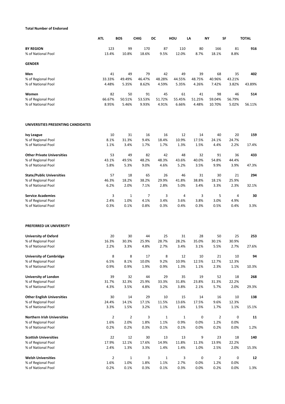# **Total Number of Endorsed**

|                                          | <b>ATL</b>             | <b>BOS</b>     | <b>CHIG</b>   | DC                  | HOU           | LA            | <b>NY</b>      | SF            | <b>TOTAL</b> |
|------------------------------------------|------------------------|----------------|---------------|---------------------|---------------|---------------|----------------|---------------|--------------|
| <b>BY REGION</b>                         | 123                    | 99             | 170           | 87                  | 110           | 80            | 166            | 81            | 916          |
| % of National Pool                       | 13.4%                  | 10.8%          | 18.6%         | 9.5%                | 12.0%         | 8.7%          | 18.1%          | 8.8%          |              |
| <b>GENDER</b>                            |                        |                |               |                     |               |               |                |               |              |
| Men                                      | 41                     | 49             | 79            | 42                  | 49            | 39            | 68             | 35            | 402          |
| % of Regional Pool                       | 33.33%                 | 49.49%         | 46.47%        | 48.28%              | 44.55%        | 48.75%        | 40.96%         | 43.21%        |              |
| % of National Pool                       | 4.48%                  | 5.35%          | 8.62%         | 4.59%               | 5.35%         | 4.26%         | 7.42%          | 3.82%         | 43.89%       |
|                                          |                        |                |               |                     |               |               |                |               |              |
| Women                                    | 82                     | 50             | 91            | 45                  | 61            | 41            | 98             | 46            | 514          |
| % of Regional Pool                       | 66.67%                 | 50.51%         | 53.53%        | 51.72%              | 55.45%        | 51.25%        | 59.04%         | 56.79%        |              |
| % of National Pool                       | 8.95%                  | 5.46%          | 9.93%         | 4.91%               | 6.66%         | 4.48%         | 10.70%         | 5.02%         | 56.11%       |
| UNIVERSITIES PRESENTING CANDIDATES       |                        |                |               |                     |               |               |                |               |              |
| <b>Ivy League</b>                        | 10                     | 31             | 16            | 16                  | 12            | 14            | 40             | 20            | 159          |
| % of Regional Pool                       | 8.1%                   | 31.3%          | 9.4%          | 18.4%               | 10.9%         | 17.5%         | 24.1%          | 24.7%         |              |
| % of National Pool                       | 1.1%                   | 3.4%           | 1.7%          | 1.7%                | 1.3%          | 1.5%          | 4.4%           | 2.2%          | 17.4%        |
|                                          |                        |                |               |                     |               |               |                |               |              |
| <b>Other Private Universities</b>        | 53                     | 49             | 82            | 42                  | 48            | 32            | 91             | 36            | 433          |
| % of Regional Pool                       | 43.1%                  | 49.5%          | 48.2%         | 48.3%               | 43.6%         | 40.0%         | 54.8%          | 44.4%         |              |
| % of National Pool                       | 5.8%                   | 5.3%           | 9.0%          | 4.6%                | 5.2%          | 3.5%          | 9.9%           | 3.9%          | 47.3%        |
| <b>State/Public Universities</b>         | 57                     | 18             | 65            | 26                  | 46            | 31            | 30             | 21            | 294          |
| % of Regional Pool                       | 46.3%                  | 18.2%          | 38.2%         | 29.9%               | 41.8%         | 38.8%         | 18.1%          | 25.9%         |              |
| % of National Pool                       | 6.2%                   | 2.0%           | 7.1%          | 2.8%                | 5.0%          | 3.4%          | 3.3%           | 2.3%          | 32.1%        |
| <b>Service Academies</b>                 | 3                      | $\mathbf{1}$   | 7             | 3                   | 4             | 3             | 5              | 4             | 30           |
| % of Regional Pool                       | 2.4%                   | 1.0%           | 4.1%          | 3.4%                | 3.6%          | 3.8%          | 3.0%           | 4.9%          |              |
| % of National Pool                       | 0.3%                   | 0.1%           | 0.8%          | 0.3%                | 0.4%          | 0.3%          | 0.5%           | 0.4%          | 3.3%         |
| PREFERRED UK UNIVERSITY                  |                        |                |               |                     |               |               |                |               |              |
| <b>University of Oxford</b>              | 20                     | 30             | 44            | 25                  | 31            | 28            | 50             | 25            | 253          |
| % of Regional Pool                       | 16.3%                  | 30.3%          | 25.9%         | 28.7%               | 28.2%         | 35.0%         | 30.1%          | 30.9%         |              |
| % of National Pool                       | 2.2%                   | 3.3%           | 4.8%          | 2.7%                | 3.4%          | 3.1%          | 5.5%           | 2.7%          | 27.6%        |
| <b>University of Cambridge</b>           | 8                      | 8              | 17            | 8                   | 12            | 10            | 21             | 10            | 94           |
| % of Regional Pool                       | 6.5%                   | 8.1%           | 10.0%         | 9.2%                | 10.9%         | 12.5%         | 12.7%          | 12.3%         |              |
| % of National Pool                       | 0.9%                   | 0.9%           | 1.9%          | 0.9%                | 1.3%          | 1.1%          | 2.3%           | 1.1%          | 10.3%        |
| <b>University of London</b>              | 39                     | 32             | 44            | 29                  | 35            | 19            | 52             | 18            | 268          |
| % of Regional Pool                       | 31.7%                  | 32.3%          | 25.9%         | 33.3%               | 31.8%         | 23.8%         | 31.3%          | 22.2%         |              |
| % of National Pool                       | 4.3%                   | 3.5%           | 4.8%          | 3.2%                | 3.8%          | 2.1%          | 5.7%           | 2.0%          | 29.3%        |
| <b>Other English Universities</b>        | 30                     | 14             | 29            | 10                  | 15            | 14            | 16             | 10            | 138          |
| % of Regional Pool                       | 24.4%                  | 14.1%          | 17.1%         | 11.5%               | 13.6%         | 17.5%         | 9.6%           | 12.3%         |              |
| % of National Pool                       | 3.3%                   | 1.5%           | 3.2%          | 1.1%                | 1.6%          | 1.5%          | 1.7%           | 1.1%          | 15.1%        |
|                                          |                        |                |               |                     |               |               |                |               |              |
| <b>Northern Irish Universities</b>       | $\overline{2}$<br>1.6% | $\overline{2}$ | 3<br>1.8%     | $\mathbf 1$<br>1.1% | $1\,$<br>0.9% | 0<br>0.0%     | $\overline{2}$ | 0             | 11           |
| % of Regional Pool<br>% of National Pool | 0.2%                   | 2.0%<br>0.2%   | 0.3%          | 0.1%                | 0.1%          | 0.0%          | 1.2%<br>0.2%   | 0.0%<br>0.0%  | 1.2%         |
|                                          |                        |                |               |                     |               |               |                |               |              |
| <b>Scottish Universities</b>             | 22<br>17.9%            | 12<br>12.1%    | 30            | 13                  | 13            | 9             | 23             | 18            | 140          |
| % of Regional Pool<br>% of National Pool | 2.4%                   | 1.3%           | 17.6%<br>3.3% | 14.9%<br>1.4%       | 11.8%<br>1.4% | 11.3%<br>1.0% | 13.9%<br>2.5%  | 22.2%<br>2.0% | 15.3%        |
|                                          |                        |                |               |                     |               |               |                |               |              |
| <b>Welsh Universities</b>                | $\overline{2}$         | $\mathbf{1}$   | 3             | $\mathbf 1$         | 3             | 0             | $\overline{2}$ | 0             | 12           |
| % of Regional Pool                       | 1.6%                   | 1.0%           | 1.8%          | 1.1%                | 2.7%          | 0.0%          | 1.2%           | 0.0%          |              |
| % of National Pool                       | 0.2%                   | 0.1%           | 0.3%          | 0.1%                | 0.3%          | 0.0%          | 0.2%           | 0.0%          | 1.3%         |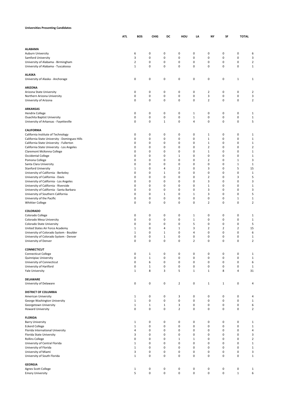#### **Universities Presenting Candidates**

|                                                                               | ATI. | BOS                        | <b>CHIG</b>                | DC             | HOU              | LA               | NY                      | SF                         | <b>TOTAL</b>   |                      |
|-------------------------------------------------------------------------------|------|----------------------------|----------------------------|----------------|------------------|------------------|-------------------------|----------------------------|----------------|----------------------|
|                                                                               |      |                            |                            |                |                  |                  |                         |                            |                |                      |
| <b>ALABAMA</b>                                                                |      |                            |                            |                |                  |                  |                         |                            |                |                      |
| Auburn University                                                             |      | 6                          | $\pmb{0}$                  | 0              | 0                | 0                | 0                       | 0                          | 0              | 6                    |
| Samford University                                                            |      | 3                          | $\pmb{0}$                  | $\mathbf 0$    | $\pmb{0}$        | 0                | 0                       | $\mathbf 0$                | 0              | 3                    |
| University of Alabama - Birmingham                                            |      | $\overline{2}$             | $\pmb{0}$                  | 0              | 0                | 0                | 0                       | $\mathbf 0$                | 0              | $\overline{2}$       |
| University of Alabama - Tuscaloosa                                            |      | 1                          | $\pmb{0}$                  | $\mathbf 0$    | $\pmb{0}$        | 0                | 0                       | $\mathbf 0$                | 0              | $\mathbf 1$          |
| <b>ALASKA</b>                                                                 |      |                            |                            |                |                  |                  |                         |                            |                |                      |
| University of Alaska - Anchorage                                              |      | $\mathbf 0$                | 0                          | $\pmb{0}$      | 0                | 0                | 0                       | 0                          | $\mathbf 1$    | 1                    |
| <b>ARIZONA</b>                                                                |      |                            |                            |                |                  |                  |                         |                            |                |                      |
| Arizona State University                                                      |      | 0                          | $\pmb{0}$                  | $\pmb{0}$      | $\pmb{0}$        | 0                | 2                       | 0                          | 0              | 2                    |
| Northern Arizona University                                                   |      | $\mathbf 0$                | $\pmb{0}$                  | $\pmb{0}$      | $\mathbf 0$      | 0                | 3                       | $\bf 0$                    | 0              | 3                    |
| University of Arizona                                                         |      | $\mathbf 0$                | $\pmb{0}$                  | $\mathbf 0$    | 0                | 0                | $\overline{2}$          | $\mathbf 0$                | 0              | $\mathbf 2$          |
| <b>ARKANSAS</b>                                                               |      |                            |                            |                |                  |                  |                         |                            |                |                      |
| <b>Hendrix College</b>                                                        |      | $\mathbf 0$                | $\pmb{0}$                  | $\mathbf 0$    | 0                | 1                | 0                       | $\mathbf 0$                | 0              | 1                    |
| <b>Ouachita Baptist University</b>                                            |      | $\mathbf 0$                | $\pmb{0}$                  | $\pmb{0}$      | $\mathbf 0$      | $\mathbf 1$      | 0                       | $\bf 0$                    | 0              | $\,1\,$              |
| University of Arkansas - Fayetteville                                         |      | $\mathbf 0$                | 0                          | $\mathbf{1}$   | 0                | 4                | 0                       | 0                          | 0              | 5                    |
| <b>CALIFORNIA</b>                                                             |      |                            |                            |                |                  |                  |                         |                            |                |                      |
| California Institute of Technology                                            |      | $\mathbf 0$                | 0                          | $\pmb{0}$      | 0                | 0                | 1                       | 0                          | 0              | 1                    |
| California State University - Dominguez Hills                                 |      | 0                          | 0                          | 0              | 0                | 0                | $\mathbf{1}$            | 0                          | 0              | $1\,$                |
| California State University - Fullerton                                       |      | $\mathbf 0$                | 0                          | 0              | 0                | 0                | 1                       | 0                          | 0              | $\mathbf{1}$         |
| California State University - Los Angeles                                     |      | $\mathbf 0$                | 0                          | 0              | 0                | 0                | $\overline{\mathbf{2}}$ | 0                          | $\mathbf 0$    | $\overline{2}$       |
| Claremont McKenna College                                                     |      | $\mathbf 0$                | 0                          | 0              | 0                | 0                | 1                       | 0                          | 0              | $\mathbf 1$          |
| Occidental College                                                            |      | $\mathbf 0$                | 0                          | 0              | 1                | 0                | 0                       | 0                          | $\mathbf 0$    | 1                    |
| Pomona College                                                                |      | $\mathbf 0$                | $\mathbf 0$                | 0              | $\mathbf 0$      | 0                | $\overline{2}$          | 0                          | $\mathbf 1$    | 3                    |
| Santa Clara University                                                        |      | $\mathbf 0$                | 0                          | 0              | 0                | 0                | 0                       | $\mathbf 0$                | $\mathbf 1$    | $\mathbf{1}$         |
| <b>Stanford University</b>                                                    |      | 1                          | $\pmb{0}$                  | 4              | $\overline{2}$   | 0                | 3                       | $\mathbf 0$                | 5              | 15                   |
| University of California - Berkeley                                           |      | $\mathbf 0$                | $\pmb{0}$                  | $1\,$          | 0                | 0                | 0                       | $\mathbf 0$                | $\bf 0$        | $\mathbf{1}$         |
| University of California - Davis                                              |      | $\mathbf 0$                | 0                          | 0              | 0                | 0                | $\overline{2}$          | 0                          | 3              | 5                    |
| University of California - Los Angeles                                        |      | $\mathbf 0$                | 0                          | 0              | 0                | 0                | 3                       | 0                          | 0              | 3                    |
| University of California - Riverside                                          |      | $\mathbf 0$<br>$\mathbf 0$ | 0<br>0                     | 0<br>0         | $\mathbf 0$<br>0 | 0<br>0           | 1<br>3                  | 0<br>0                     | 0<br>0         | $\mathbf 1$<br>3     |
| University of California - Santa Barbara<br>University of Southern California |      | $\mathbf 0$                | 0                          | $\mathbf{1}$   | $\mathbf 0$      | $\mathbf 1$      | 3                       | 0                          | 0              | 5                    |
| University of the Pacific                                                     |      | $\mathbf 0$                | 0                          | 0              | 0                | 0                | 0                       | 0                          | $\mathbf 1$    | $1\,$                |
| <b>Whittier College</b>                                                       |      | $\mathbf 0$                | $\pmb{0}$                  | $\mathbf 0$    | 0                | 0                | 2                       | $\mathbf 0$                | 0              | $\overline{2}$       |
|                                                                               |      |                            |                            |                |                  |                  |                         |                            |                |                      |
| COLORADO                                                                      |      |                            |                            |                |                  |                  |                         |                            |                |                      |
| Colorado College                                                              |      | 0                          | 0                          | 0              | 0                | 1                | 0                       | 0                          | 0              | 1                    |
| Colorado Mesa University<br>Colorado State University                         |      | $\mathbf 0$<br>$\mathbf 0$ | $\pmb{0}$<br>$\pmb{0}$     | 0<br>0         | 0<br>0           | $\mathbf 1$<br>5 | 0<br>0                  | $\mathbf 0$<br>$\mathbf 0$ | 0<br>0         | $\mathbf{1}$<br>5    |
| United States Air Force Academy                                               |      | 1                          | $\pmb{0}$                  | 4              | $\mathbf{1}$     | 3                | $\overline{2}$          | $\overline{2}$             | $\overline{2}$ | 15                   |
| University of Colorado System - Boulder                                       |      | $1\,$                      | 0                          | $\,1\,$        | 0                | 4                | 0                       | 0                          | 0              | 6                    |
| University of Colorado System - Denver                                        |      | $\mathbf 0$                | 0                          | $\,1\,$        | 0                | 0                | 0                       | 0                          | 0              | 1                    |
| University of Denver                                                          |      | $\mathbf 0$                | 0                          | 0              | 0                | $\overline{2}$   | 0                       | 0                          | 0              | $\overline{2}$       |
|                                                                               |      |                            |                            |                |                  |                  |                         |                            |                |                      |
| <b>CONNECTICUT</b>                                                            |      |                            |                            |                |                  |                  |                         |                            |                |                      |
| <b>Connecticut College</b><br>Quinnipiac University                           |      | $\pmb{0}$<br>$\pmb{0}$     | $\mathbf 1$<br>$\mathbf 1$ | 0<br>$\pmb{0}$ | 0<br>$\pmb{0}$   | 0<br>0           | 0<br>0                  | 0<br>$\pmb{0}$             | 0<br>0         | $1\,$<br>$\mathbf 1$ |
| University of Connecticut                                                     |      | $\pmb{0}$                  | 6                          | $\pmb{0}$      | $\pmb{0}$        | 0                | 0                       | $\pmb{0}$                  | 0              | 6                    |
| University of Hartford                                                        |      | $\pmb{0}$                  | $\mathbf 1$                | $\pmb{0}$      | $\pmb{0}$        | 0                | 0                       | $\pmb{0}$                  | 0              | $\mathbf 1$          |
| Yale University                                                               |      | 1                          | 8                          | 3              | 5                | $\mathbf 1$      | $\mathbf{1}$            | 8                          | 4              | 31                   |
|                                                                               |      |                            |                            |                |                  |                  |                         |                            |                |                      |
| <b>DELAWARE</b><br>University of Delaware                                     |      | 0                          | $\pmb{0}$                  | $\pmb{0}$      | $\overline{2}$   | 0                | 1                       | $\mathbf 1$                | 0              | 4                    |
|                                                                               |      |                            |                            |                |                  |                  |                         |                            |                |                      |
| <b>DISTRICT OF COLUMBIA</b>                                                   |      |                            |                            |                |                  |                  |                         |                            |                |                      |
| American University                                                           |      | $\mathbf{1}$               | 0                          | $\pmb{0}$      | 3                | 0                | 0                       | 0                          | 0              | 4                    |
| George Washington University                                                  |      | $\mathbf 1$                | $\pmb{0}$                  | $\pmb{0}$      | $\pmb{0}$        | $\pmb{0}$        | 0                       | $\pmb{0}$                  | 0              | $\mathbf 1$          |
| Georgetown University                                                         |      | $\mathbf 1$                | $\mathbf 1$                | $\,1\,$        | 3                | 0                | 0                       | $\bf 0$                    | 0              | 6                    |
| <b>Howard University</b>                                                      |      | 0                          | $\pmb{0}$                  | $\pmb{0}$      | $\overline{2}$   | 0                | 0                       | $\pmb{0}$                  | 0              | $\overline{2}$       |
| <b>FLORIDA</b>                                                                |      |                            |                            |                |                  |                  |                         |                            |                |                      |
| <b>Barry University</b>                                                       |      | $\mathbf{1}$               | $\pmb{0}$                  | $\pmb{0}$      | $\pmb{0}$        | 0                | 0                       | 0                          | 0              | $1\,$                |
| <b>Eckerd College</b>                                                         |      | $\mathbf{1}$               | $\pmb{0}$                  | $\pmb{0}$      | $\pmb{0}$        | 0                | 0                       | $\pmb{0}$                  | 0              | $\mathbf 1$          |
| Florida International University                                              |      | $\overline{4}$             | $\pmb{0}$                  | 0              | $\pmb{0}$        | 0                | 0                       | $\pmb{0}$                  | 0              | 4                    |
| Florida State University                                                      |      | 3                          | $\pmb{0}$                  | $\pmb{0}$      | $\pmb{0}$        | 0                | 0                       | $\pmb{0}$                  | 0              | 3                    |
| <b>Rollins College</b>                                                        |      | $\mathbf 0$                | 0                          | 0              | $1\,$            | $\mathbf 1$      | 0                       | 0                          | 0              | $\mathbf 2$          |
| University of Central Florida                                                 |      | $\,1\,$                    | 0                          | 0              | 0                | 0                | 0                       | 0                          | 0              | $\mathbf 1$          |
| University of Florida                                                         |      | $1\,$                      | $\pmb{0}$<br>$\pmb{0}$     | 0              | 0                | 0                | 0<br>0                  | 0                          | 0              | $\mathbf 1$          |
| University of Miami<br>University of South Florida                            |      | 3<br>$\mathbf{1}$          | $\pmb{0}$                  | 0<br>0         | 0<br>0           | 0<br>0           | 0                       | 0<br>$\pmb{0}$             | 0<br>0         | 3<br>$\mathbf 1$     |
|                                                                               |      |                            |                            |                |                  |                  |                         |                            |                |                      |
| <b>GEORGIA</b>                                                                |      |                            |                            |                |                  |                  |                         |                            |                |                      |
| Agnes Scott College                                                           |      | $\mathbf{1}$               | 0                          | $\pmb{0}$      | $\pmb{0}$        | 0                | 0                       | 0                          | 0              | $1\,$                |
| <b>Emory University</b>                                                       |      | 5                          | $\pmb{0}$                  | $\pmb{0}$      | $\pmb{0}$        | $\pmb{0}$        | 0                       | 0                          | $\mathbf 1$    | 6                    |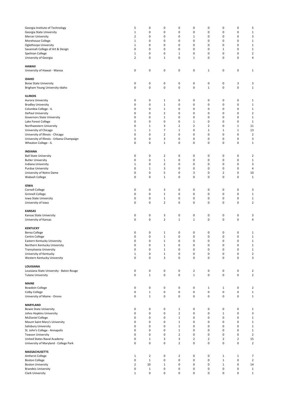| Georgia Institute of Technology           | 5              | 0              | 0                       | 0              | $\mathbf 0$    | 0              | 0              | 0              | 5              |
|-------------------------------------------|----------------|----------------|-------------------------|----------------|----------------|----------------|----------------|----------------|----------------|
|                                           |                |                |                         |                |                |                |                |                |                |
| Georgia State University                  | $\mathbf 1$    | 0              | 0                       | 0              | $\pmb{0}$      | 0              | $\mathbf 0$    | 0              | $\mathbf 1$    |
| Mercer University                         | $\overline{2}$ | 0              | 0                       | 0              | $1\,$          | 0              | $\pmb{0}$      | 0              | 3              |
|                                           |                |                |                         |                |                |                |                |                |                |
| Morehouse College                         | $\mathbf 1$    | 0              | 0                       | 0              | $\pmb{0}$      | 0              | 0              | 0              | $\mathbf 1$    |
| Oglethorpe University                     | $\mathbf{1}$   | 0              | 0                       | 0              | $\mathbf 0$    | 0              | 0              | 0              | $\mathbf 1$    |
|                                           |                |                |                         |                |                |                |                |                |                |
| Savannah College of Art & Design          | $\mathbf 0$    | 0              | $\mathbf 0$             | 0              | $\mathbf 0$    | 0              | $\,1\,$        | 0              | $\mathbf 1$    |
| Spelman College                           | $\mathbf{1}$   | 0              | $\mathbf 0$             | 1              | $\mathbf 0$    | 0              | $\mathbf 0$    | 0              | $\mathbf 2$    |
|                                           |                |                |                         |                |                |                |                |                |                |
| University of Georgia                     | $\overline{2}$ | 0              | $\mathbf{1}$            | 0              | $\mathbf 1$    | 0              | $\mathbf 0$    | 0              | 4              |
|                                           |                |                |                         |                |                |                |                |                |                |
|                                           |                |                |                         |                |                |                |                |                |                |
| HAWAII                                    |                |                |                         |                |                |                |                |                |                |
| University of Hawaii - Manoa              | 0              | 0              | 0                       | 0              | $\pmb{0}$      | $\,1\,$        | 0              | 0              | $\mathbf{1}$   |
|                                           |                |                |                         |                |                |                |                |                |                |
|                                           |                |                |                         |                |                |                |                |                |                |
| <b>IDAHO</b>                              |                |                |                         |                |                |                |                |                |                |
|                                           |                |                |                         |                |                |                |                |                |                |
| <b>Boise State University</b>             | 0              | 0              | 0                       | 0              | $\pmb{0}$      | 0              | 0              | 3              | 3              |
| Brigham Young University-Idaho            | 0              | 0              | $\pmb{0}$               | 0              | $\pmb{0}$      | $\mathbf 1$    | 0              | 0              | $\mathbf 1$    |
|                                           |                |                |                         |                |                |                |                |                |                |
|                                           |                |                |                         |                |                |                |                |                |                |
|                                           |                |                |                         |                |                |                |                |                |                |
| <b>ILLINOIS</b>                           |                |                |                         |                |                |                |                |                |                |
| Aurora University                         | 0              | 0              | 1                       | 0              | 0              | 0              | 0              | 0              | $\mathbf{1}$   |
|                                           |                |                |                         |                |                |                |                |                |                |
| <b>Bradley University</b>                 | 0              | 0              | $\mathbf{1}$            | 0              | $\pmb{0}$      | 0              | 0              | $\bf 0$        | $\mathbf 1$    |
| Columbia College - IL                     | 0              | 0              | $\mathbf{1}$            | 0              | $\mathbf 0$    | 0              | $\mathbf 0$    | 0              | $\mathbf{1}$   |
|                                           |                |                |                         |                |                |                |                |                |                |
| DePaul University                         | 0              | 0              | $\overline{2}$          | 0              | $\mathbf 0$    | 0              | $\mathbf 0$    | 0              | $\overline{2}$ |
| Governors State University                | 0              | 0              | $\mathbf{1}$            | 0              | $\mathbf 0$    | 0              | $\mathbf 0$    | 0              | $\mathbf 1$    |
|                                           |                |                |                         |                |                |                |                |                |                |
| Lake Forest College                       | 0              | 0              | 0                       | 0              | $1\,$          | 0              | $\mathbf 0$    | 0              | $\mathbf{1}$   |
| Northwestern University                   | 0              | 1              | 3                       | 2              | $\overline{2}$ | $\overline{2}$ | $\mathbf 0$    | $1\,$          | 11             |
|                                           |                |                |                         |                |                |                |                |                |                |
| University of Chicago                     | $\mathbf 1$    | $\mathbf 1$    | $\overline{7}$          | $\mathbf 1$    | $\pmb{0}$      | $\,1\,$        | $\,1\,$        | $\mathbf 1$    | 13             |
| University of Illinois - Chicago          | 0              | 0              | $\overline{2}$          | 0              | $\mathbf 0$    | 0              | 0              | 0              | $\overline{2}$ |
|                                           |                |                |                         |                |                |                |                |                |                |
| University of Illinois - Urbana-Champaign | 0              | 0              | 3                       | 0              | $\mathbf 0$    | 0              | 0              | 0              | 3              |
|                                           | 0              | 0              | $1\,$                   | 0              | $\mathbf 0$    | 0              | 0              | 0              | $\mathbf 1$    |
| Wheaton College - IL                      |                |                |                         |                |                |                |                |                |                |
|                                           |                |                |                         |                |                |                |                |                |                |
|                                           |                |                |                         |                |                |                |                |                |                |
| <b>INDIANA</b>                            |                |                |                         |                |                |                |                |                |                |
| <b>Ball State University</b>              | 0              | 0              | $\overline{2}$          | 0              | $\mathbf 0$    | 0              | 0              | 0              | 2              |
|                                           |                |                |                         |                |                |                |                |                |                |
| <b>Butler University</b>                  | 0              | 0              | $\mathbf 1$             | 0              | $\pmb{0}$      | 0              | $\mathbf 0$    | 0              | $\mathbf 1$    |
| Indiana University                        | 1              | 0              | $\mathbf 2$             | 0              | $\mathbf 0$    | 0              | $\mathbf 0$    | 0              | 3              |
|                                           |                |                |                         |                |                |                |                |                |                |
| Purdue University                         | 0              | $\mathbf{1}$   | 3                       | 0              | $\mathbf 0$    | 0              | 0              | 0              | 4              |
| University of Notre Dame                  | 0              | $\pmb{0}$      | 5                       | 0              | 3              | 0              | $\overline{2}$ | 0              | 10             |
|                                           |                |                |                         |                |                |                |                |                |                |
| Wabash College                            | 0              | 0              | $\mathbf{1}$            | 0              | $\pmb{0}$      | 0              | 0              | 0              | $\mathbf 1$    |
|                                           |                |                |                         |                |                |                |                |                |                |
|                                           |                |                |                         |                |                |                |                |                |                |
| IOWA                                      |                |                |                         |                |                |                |                |                |                |
| Cornell College                           | 0              | 0              | 3                       | 0              | $\mathbf 0$    | 0              | 0              | 0              | 3              |
|                                           |                |                |                         |                |                |                |                |                |                |
| <b>Grinnell College</b>                   | 0              | 0              | $\mathbf 1$             | 0              | $\pmb{0}$      | 0              | 0              | 0              | $\mathbf{1}$   |
|                                           | 0              | 0              |                         | 0              |                |                |                |                |                |
| Iowa State University                     |                |                | $\mathbf 1$             |                | $\pmb{0}$      | 0              | 0              | 0              | $\mathbf{1}$   |
| University of Iowa                        | 0              | 0              | $\overline{\mathbf{c}}$ | 0              | $\mathbf 0$    | 0              | 0              | 0              | $\mathbf 2$    |
|                                           |                |                |                         |                |                |                |                |                |                |
|                                           |                |                |                         |                |                |                |                |                |                |
| <b>KANSAS</b>                             |                |                |                         |                |                |                |                |                |                |
|                                           |                |                |                         |                |                |                |                |                |                |
| Kansas State University                   | 0              | 0              | 3                       | 0              | $\mathbf 0$    | 0              | 0              | 0              | 3              |
| University of Kansas                      | $\mathbf 0$    | 0              | $\mathbf 2$             | $\mathbf 1$    | $\mathbf 1$    | 0              | $\mathbf 0$    | 0              | 4              |
|                                           |                |                |                         |                |                |                |                |                |                |
|                                           |                |                |                         |                |                |                |                |                |                |
| <b>KENTUCKY</b>                           |                |                |                         |                |                |                |                |                |                |
|                                           |                |                |                         |                |                |                |                |                |                |
| Berea College                             | 0              | 0              | 1                       | 0              | $\mathbf 0$    | 0              | 0              | 0              | $\mathbf{1}$   |
| Centre College                            | $\mathbf 0$    | 0              | $\mathbf 1$             | 0              | 0              | 0              | $\mathbf 0$    | 0              | $\mathbf 1$    |
|                                           |                |                |                         |                |                |                |                |                |                |
| Eastern Kentucky University               | $\pmb{0}$      | 0              | $\mathbf 1$             | 0              | $\pmb{0}$      | 0              | 0              | 0              | $\mathbf{1}$   |
| Northern Kentucky University              | $\pmb{0}$      | 0              | $\mathbf 1$             | 0              | $\pmb{0}$      | 0              | $\pmb{0}$      | 0              | $\mathbf{1}$   |
|                                           |                |                |                         |                |                |                |                |                |                |
| Transylvania University                   | $\pmb{0}$      | 0              | $\mathbf 1$             | 0              | $\pmb{0}$      | 0              | $\pmb{0}$      | 0              | $\mathbf{1}$   |
|                                           |                |                |                         |                | $\pmb{0}$      |                | $\pmb{0}$      | 0              |                |
| University of Kentucky                    | $\,1\,$        | 0              | $\mathbf 1$             | 0              |                | 0              |                |                | $\overline{2}$ |
| Western Kentucky University               | $\mathbf 0$    | $\pmb{0}$      | 3                       | 0              | $\pmb{0}$      | $\pmb{0}$      | 0              | 0              | 3              |
|                                           |                |                |                         |                |                |                |                |                |                |
|                                           |                |                |                         |                |                |                |                |                |                |
| LOUISIANA                                 |                |                |                         |                |                |                |                |                |                |
| Louisiana State University - Baton Rouge  | 0              | $\pmb{0}$      | 0                       | 0              | $\mathbf 2$    | $\pmb{0}$      | $\pmb{0}$      | 0              |                |
|                                           |                |                |                         |                |                |                |                |                | $\overline{2}$ |
| <b>Tulane University</b>                  | $\pmb{0}$      | $\mathbf 1$    | $\pmb{0}$               | $\pmb{0}$      | $\mathbf 1$    | $\pmb{0}$      | $\pmb{0}$      | 0              | $\overline{2}$ |
|                                           |                |                |                         |                |                |                |                |                |                |
|                                           |                |                |                         |                |                |                |                |                |                |
| <b>MAINE</b>                              |                |                |                         |                |                |                |                |                |                |
|                                           |                |                |                         |                |                |                |                |                |                |
| <b>Bowdoin College</b>                    | $\pmb{0}$      | $\pmb{0}$      | 0                       | 0              | 0              | $1\,$          | $\mathbf 1$    | 0              | $\overline{2}$ |
| Colby College                             | $\pmb{0}$      | $1\,$          | $\pmb{0}$               | 0              | $\pmb{0}$      | 0              | $\pmb{0}$      | 0              | $\mathbf{1}$   |
|                                           |                |                |                         |                |                |                |                |                |                |
| University of Maine - Orono               | $\mathbf 0$    | $1\,$          | $\pmb{0}$               | 0              | $\pmb{0}$      | $\pmb{0}$      | 0              | 0              | $\mathbf{1}$   |
|                                           |                |                |                         |                |                |                |                |                |                |
|                                           |                |                |                         |                |                |                |                |                |                |
| <b>MARYLAND</b>                           |                |                |                         |                |                |                |                |                |                |
| <b>Bowie State University</b>             | 0              | 0              | 0                       | 1              | $\pmb{0}$      | 0              | 0              | 0              | $\mathbf{1}$   |
|                                           |                |                |                         |                |                |                |                |                |                |
| Johns Hopkins University                  | $\mathbf 0$    | $\pmb{0}$      | $\pmb{0}$               | $\overline{2}$ | $\pmb{0}$      | $\pmb{0}$      | $\mathbf 1$    | 0              | 3              |
| <b>McDaniel College</b>                   | 0              | 0              | $\mathbf 0$             | $\mathbf 1$    | $\pmb{0}$      | $\pmb{0}$      | 0              | 0              | $\mathbf{1}$   |
|                                           |                |                |                         |                |                |                |                |                |                |
| Mount Saint Mary's University             | 0              | 0              | $\mathbf 0$             | $\mathbf{1}$   | $\pmb{0}$      | $\pmb{0}$      | 0              | 0              | $\mathbf{1}$   |
|                                           | $\mathbf 0$    | 0              | $\mathbf 0$             | $\mathbf{1}$   | $\pmb{0}$      | $\pmb{0}$      | 0              | 0              |                |
| Salisbury University                      |                |                |                         |                |                |                |                |                | $\mathbf{1}$   |
| St. John's College - Annapolis            | $\mathbf 0$    | 0              | $\mathbf 0$             | $\mathbf{1}$   | $\pmb{0}$      | $\pmb{0}$      | 0              | 0              | $\mathbf{1}$   |
|                                           |                |                |                         |                |                |                |                |                |                |
| <b>Towson University</b>                  | $\mathbf 0$    | $\pmb{0}$      | $\pmb{0}$               | $\overline{2}$ | $\mathbf 0$    | $\pmb{0}$      | $\pmb{0}$      | 0              | $\overline{2}$ |
| United States Naval Academy               | 0              | $1\,$          | 3                       | 3              | $\overline{2}$ | $\mathbf 2$    | $\overline{2}$ | $\overline{2}$ | 15             |
|                                           |                |                |                         |                |                |                |                |                |                |
| University of Maryland - College Park     | $\mathbf 0$    | $\pmb{0}$      | $\pmb{0}$               | $\overline{2}$ | $\pmb{0}$      | $\pmb{0}$      | 0              | 0              | $\overline{2}$ |
|                                           |                |                |                         |                |                |                |                |                |                |
|                                           |                |                |                         |                |                |                |                |                |                |
| <b>MASSACHUSETTS</b>                      |                |                |                         |                |                |                |                |                |                |
| Amherst College                           | $\mathbf{1}$   | $\overline{2}$ | 0                       | 2              | $\pmb{0}$      | 0              | $\mathbf 1$    | $\mathbf{1}$   | 7              |
|                                           |                |                |                         |                |                |                |                |                |                |
| <b>Boston College</b>                     | $\pmb{0}$      | $1\,$          | $\pmb{0}$               | 0              | $\pmb{0}$      | $\pmb{0}$      | $\mathbf 1$    | 0              | $\overline{2}$ |
| <b>Boston University</b>                  | $\mathbf 2$    | 10             | $\mathbf 1$             | 0              | $\pmb{0}$      | 0              | $\mathbf 1$    | 0              |                |
|                                           |                |                |                         |                |                |                |                |                | 14             |
| <b>Brandeis University</b>                | $\pmb{0}$      | $\mathbf 1$    | $\pmb{0}$               | 0              | $\pmb{0}$      | 0              | 0              | 0              | $\mathbf{1}$   |
|                                           | $\mathbf 1$    | $\pmb{0}$      | $\pmb{0}$               |                |                |                |                |                |                |
| Clark University                          |                |                |                         | 0              | 0              | 0              | 0              | 0              | $\mathbf 1$    |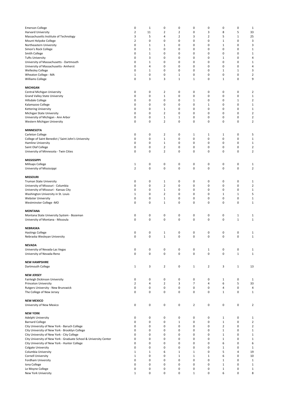| <b>Emerson College</b><br>Harvard University<br>Massachusetts Institute of Technology<br>Mount Holyoke College<br>Northeastern University<br>Simon's Rock College<br>Smith College<br><b>Tufts University</b><br>University of Massachusetts - Dartmouth<br>University of Massachusetts- Amherst | 0<br>$\mathbf 2$<br>3<br>$\overline{2}$<br>0<br>0<br>0<br>0<br>0<br>0 | $1\,$<br>11<br>5<br>0<br>$\mathbf{1}$<br>$\mathbf 1$<br>$\mathbf{1}$<br>3<br>$\mathbf 1$<br>$\overline{4}$ | 0<br>$\overline{2}$<br>4<br>0<br>$\,1\,$<br>0<br>0<br>0<br>0<br>0 | 0<br>2<br>$\overline{2}$<br>0<br>0<br>0<br>0<br>0<br>0<br>0 | 0<br>0<br>3<br>0<br>0<br>0<br>0<br>0<br>0<br>0 | $\pmb{0}$<br>3<br>$\overline{2}$<br>0<br>0<br>0<br>0<br>0<br>0<br>0 | $\pmb{0}$<br>8<br>5<br>$\mathbf{1}$<br>$\,1\,$<br>$\mathbf 0$<br>$\mathbf 0$<br>$\mathbf{1}$<br>$\mathbf 0$<br>$\mathbf 0$ | 0<br>5<br>$\mathbf 1$<br>0<br>0<br>0<br>0<br>0<br>0<br>0 | $\,1\,$<br>33<br>25<br>3<br>3<br>$\mathbf{1}$<br>$\mathbf 1$<br>4<br>$\mathbf{1}$<br>4 |
|--------------------------------------------------------------------------------------------------------------------------------------------------------------------------------------------------------------------------------------------------------------------------------------------------|-----------------------------------------------------------------------|------------------------------------------------------------------------------------------------------------|-------------------------------------------------------------------|-------------------------------------------------------------|------------------------------------------------|---------------------------------------------------------------------|----------------------------------------------------------------------------------------------------------------------------|----------------------------------------------------------|----------------------------------------------------------------------------------------|
| <b>Wellesley College</b><br>Wheaton College - MA<br><b>Williams College</b>                                                                                                                                                                                                                      | $\mathbf 0$<br>$\mathbf{1}$<br>0                                      | 1<br>$\pmb{0}$<br>3                                                                                        | $\mathbf 0$<br>$\mathbf 0$<br>3                                   | 0<br>$\mathbf{1}$<br>1                                      | $\pmb{0}$<br>$\pmb{0}$<br>$\mathbf{1}$         | 0<br>0<br>0                                                         | $\mathbf{1}$<br>$\mathbf 0$<br>$\mathbf{1}$                                                                                | $\mathbf 1$<br>0<br>0                                    | 3<br>$\overline{2}$<br>9                                                               |
| <b>MICHIGAN</b><br>Central Michigan University                                                                                                                                                                                                                                                   | 0                                                                     | 0                                                                                                          | $\overline{2}$                                                    | 0                                                           | 0                                              | $\pmb{0}$                                                           | $\pmb{0}$                                                                                                                  | 0                                                        | $\overline{2}$                                                                         |
| Grand Valley State University                                                                                                                                                                                                                                                                    | 0<br>0                                                                | 0                                                                                                          | $\mathbf 1$                                                       | 0                                                           | 0                                              | 0                                                                   | $\pmb{0}$                                                                                                                  | 0                                                        | $\mathbf 1$                                                                            |
| Hillsdale College<br>Kalamazoo College                                                                                                                                                                                                                                                           | 0                                                                     | 0<br>0                                                                                                     | 0<br>0                                                            | 0<br>0                                                      | $\,1\,$<br>0                                   | 0<br>$\,1\,$                                                        | $\pmb{0}$<br>$\mathbf 0$                                                                                                   | $\mathbf 1$<br>0                                         | $\overline{2}$<br>$\mathbf 1$                                                          |
| <b>Kettering University</b>                                                                                                                                                                                                                                                                      | 0                                                                     | 0                                                                                                          | $1\,$                                                             | 0                                                           | 0                                              | 0                                                                   | $\mathbf 0$                                                                                                                | 0                                                        | $\mathbf 1$                                                                            |
| Michigan State University<br>University of Michigan - Ann Arbor                                                                                                                                                                                                                                  | 0<br>0                                                                | 0<br>0                                                                                                     | $\overline{2}$<br>$\mathbf 1$                                     | 0<br>$\mathbf{1}$                                           | 0<br>0                                         | 0<br>0                                                              | $\mathbf 0$<br>$\mathbf 0$                                                                                                 | 0<br>0                                                   | $\overline{2}$<br>$\mathbf 2$                                                          |
| Western Michigan University                                                                                                                                                                                                                                                                      | 0                                                                     | $\pmb{0}$                                                                                                  | $\overline{2}$                                                    | $\pmb{0}$                                                   | $\pmb{0}$                                      | $\mathbf 0$                                                         | $\mathbf 0$                                                                                                                | 0                                                        | $\overline{2}$                                                                         |
| <b>MINNESOTA</b>                                                                                                                                                                                                                                                                                 |                                                                       |                                                                                                            |                                                                   |                                                             |                                                |                                                                     |                                                                                                                            |                                                          |                                                                                        |
| Carleton College<br>College of Saint Benedict / Saint John's University                                                                                                                                                                                                                          | 0<br>0                                                                | 0<br>$\pmb{0}$                                                                                             | $\overline{2}$<br>$\mathbf 1$                                     | 0<br>0                                                      | 1<br>$\pmb{0}$                                 | 1<br>$\mathbf 0$                                                    | $\mathbf{1}$<br>$\mathbf 0$                                                                                                | 0<br>0                                                   | 5<br>$\mathbf 1$                                                                       |
| Hamline University                                                                                                                                                                                                                                                                               | 0                                                                     | 0                                                                                                          | $\mathbf{1}$                                                      | 0                                                           | 0                                              | 0                                                                   | $\mathbf 0$                                                                                                                | 0                                                        | $\mathbf 1$                                                                            |
| Saint Olaf College                                                                                                                                                                                                                                                                               | 0                                                                     | 0                                                                                                          | $\overline{2}$                                                    | 0                                                           | 0                                              | 0                                                                   | $\mathbf 0$                                                                                                                | 0                                                        | $\overline{2}$                                                                         |
| University of Minnesota - Twin Cities                                                                                                                                                                                                                                                            | 0                                                                     | 0                                                                                                          | $\overline{2}$                                                    | 0                                                           | 0                                              | 0                                                                   | $\mathbf 0$                                                                                                                | 0                                                        | $\overline{2}$                                                                         |
| <b>MISSISSIPPI</b>                                                                                                                                                                                                                                                                               |                                                                       | 0                                                                                                          |                                                                   |                                                             | 0                                              | $\pmb{0}$                                                           | $\pmb{0}$                                                                                                                  |                                                          |                                                                                        |
| Millsaps College<br>University of Mississippi                                                                                                                                                                                                                                                    | $\mathbf{1}$<br>$\overline{2}$                                        | $\pmb{0}$                                                                                                  | 0<br>$\pmb{0}$                                                    | 0<br>$\pmb{0}$                                              | $\pmb{0}$                                      | $\mathbf 0$                                                         | $\mathbf 0$                                                                                                                | 0<br>$\mathbf 0$                                         | $1\,$<br>$\mathbf 2$                                                                   |
| <b>MISSOURI</b>                                                                                                                                                                                                                                                                                  |                                                                       |                                                                                                            |                                                                   |                                                             |                                                |                                                                     |                                                                                                                            |                                                          |                                                                                        |
| Truman State University                                                                                                                                                                                                                                                                          | $\pmb{0}$                                                             | 0                                                                                                          | $\mathbf{1}$                                                      | 0                                                           | 0                                              | 0                                                                   | $\mathbf 0$                                                                                                                | 0                                                        | $\mathbf{1}$                                                                           |
| University of Missouri - Columbia                                                                                                                                                                                                                                                                | 0                                                                     | $\pmb{0}$                                                                                                  | $\overline{2}$                                                    | $\pmb{0}$                                                   | $\pmb{0}$                                      | 0                                                                   | $\mathbf 0$                                                                                                                | 0                                                        | $\overline{2}$                                                                         |
| University of Missouri - Kansas City<br>Washington University in St. Louis                                                                                                                                                                                                                       | 0<br>$\mathbf 1$                                                      | 0<br>0                                                                                                     | $\mathbf 1$<br>$\overline{2}$                                     | 0<br>0                                                      | 0<br>0                                         | 0<br>0                                                              | $\pmb{0}$<br>$\mathbf{1}$                                                                                                  | 0<br>$\mathbf 1$                                         | $\mathbf 1$<br>5                                                                       |
| <b>Webster University</b>                                                                                                                                                                                                                                                                        | 0                                                                     | 0                                                                                                          | $\mathbf{1}$                                                      | 0                                                           | 0                                              | 0                                                                   | $\pmb{0}$                                                                                                                  | 0                                                        | $\mathbf 1$                                                                            |
| Westminster College -MO                                                                                                                                                                                                                                                                          | 0                                                                     | 0                                                                                                          | $\mathbf 1$                                                       | 0                                                           | 0                                              | 0                                                                   | $\pmb{0}$                                                                                                                  | 0                                                        | $\mathbf{1}$                                                                           |
| <b>MONTANA</b>                                                                                                                                                                                                                                                                                   |                                                                       |                                                                                                            |                                                                   |                                                             |                                                |                                                                     |                                                                                                                            |                                                          |                                                                                        |
| Montana State University System - Bozeman<br>University of Montana - Missoula                                                                                                                                                                                                                    | 0<br>$\mathbf 0$                                                      | 0<br>$\pmb{0}$                                                                                             | 0<br>$\pmb{0}$                                                    | 0<br>$\pmb{0}$                                              | 0<br>$\pmb{0}$                                 | $\pmb{0}$<br>$\pmb{0}$                                              | $\pmb{0}$<br>$\pmb{0}$                                                                                                     | $1\,$<br>$\mathbf 1$                                     | $\mathbf{1}$<br>$\mathbf 1$                                                            |
|                                                                                                                                                                                                                                                                                                  |                                                                       |                                                                                                            |                                                                   |                                                             |                                                |                                                                     |                                                                                                                            |                                                          |                                                                                        |
| NEBRASKA<br><b>Hastings College</b>                                                                                                                                                                                                                                                              | 0                                                                     | 0                                                                                                          | 1                                                                 | 0                                                           | 0                                              | 0                                                                   | $\pmb{0}$                                                                                                                  | 0                                                        | 1                                                                                      |
| Nebraska Wesleyan University                                                                                                                                                                                                                                                                     | $\mathbf 0$                                                           | $\pmb{0}$                                                                                                  | $\mathbf 1$                                                       | 0                                                           | $\pmb{0}$                                      | $\mathbf 0$                                                         | $\mathbf 0$                                                                                                                | 0                                                        | $\mathbf{1}$                                                                           |
| <b>NEVADA</b>                                                                                                                                                                                                                                                                                    |                                                                       |                                                                                                            |                                                                   |                                                             |                                                |                                                                     |                                                                                                                            |                                                          |                                                                                        |
| University of Nevada-Las Vegas                                                                                                                                                                                                                                                                   | 0                                                                     | 0                                                                                                          | 0                                                                 | 0                                                           | 0                                              | $\,1\,$                                                             | $\mathbf 0$                                                                                                                | 0                                                        | $\mathbf 1$                                                                            |
| University of Nevada-Reno                                                                                                                                                                                                                                                                        | $\pmb{0}$                                                             | $\pmb{0}$                                                                                                  | $\pmb{0}$                                                         | $\pmb{0}$                                                   | $\pmb{0}$                                      | $\pmb{0}$                                                           | $\pmb{0}$                                                                                                                  | $\mathbf 1$                                              | $\mathbf{1}$                                                                           |
| <b>NEW HAMPSHIRE</b>                                                                                                                                                                                                                                                                             |                                                                       |                                                                                                            |                                                                   |                                                             |                                                |                                                                     |                                                                                                                            |                                                          |                                                                                        |
| Dartmouth College                                                                                                                                                                                                                                                                                | $\mathbf{1}$                                                          | 3                                                                                                          | $\overline{2}$                                                    | 0                                                           | $\mathbf{1}$                                   | $\overline{2}$                                                      | 3                                                                                                                          | $\mathbf 1$                                              | 13                                                                                     |
| <b>NEW JERSEY</b>                                                                                                                                                                                                                                                                                |                                                                       | $\pmb{0}$                                                                                                  |                                                                   |                                                             |                                                |                                                                     |                                                                                                                            |                                                          |                                                                                        |
| Fairleigh Dickinson University<br><b>Princeton University</b>                                                                                                                                                                                                                                    | 0<br>$\mathbf 2$                                                      | $\sqrt{4}$                                                                                                 | 0<br>$\mathbf 2$                                                  | 0<br>3                                                      | 0<br>$\overline{7}$                            | $\mathbf 0$<br>$\overline{4}$                                       | $\mathbf 1$<br>6                                                                                                           | 0<br>5                                                   | $\mathbf{1}$<br>33                                                                     |
| Rutgers University - New Brunswick                                                                                                                                                                                                                                                               | $\pmb{0}$                                                             | $\pmb{0}$                                                                                                  | $\pmb{0}$                                                         | $\pmb{0}$                                                   | $\pmb{0}$                                      | 0                                                                   | 4                                                                                                                          | 0                                                        | 4                                                                                      |
| The College of New Jersey                                                                                                                                                                                                                                                                        | $\pmb{0}$                                                             | $\pmb{0}$                                                                                                  | $\pmb{0}$                                                         | $\pmb{0}$                                                   | $\pmb{0}$                                      | $\pmb{0}$                                                           | $\mathbf{1}$                                                                                                               | 0                                                        | $\mathbf{1}$                                                                           |
| <b>NEW MEXICO</b><br>University of New Mexico                                                                                                                                                                                                                                                    | 0                                                                     | 0                                                                                                          | 0                                                                 | 0                                                           | $\overline{2}$                                 | $\pmb{0}$                                                           | $\pmb{0}$                                                                                                                  | 0                                                        | $\overline{2}$                                                                         |
| <b>NEW YORK</b>                                                                                                                                                                                                                                                                                  |                                                                       |                                                                                                            |                                                                   |                                                             |                                                |                                                                     |                                                                                                                            |                                                          |                                                                                        |
| Adelphi University                                                                                                                                                                                                                                                                               | 0                                                                     | 0                                                                                                          | 0                                                                 | 0                                                           | 0                                              | $\pmb{0}$                                                           | $\mathbf 1$                                                                                                                | $\pmb{0}$                                                | $\mathbf{1}$                                                                           |
| <b>Barnard College</b><br>City University of New York - Baruch College                                                                                                                                                                                                                           | 0<br>0                                                                | $\pmb{0}$<br>$\pmb{0}$                                                                                     | $\pmb{0}$<br>$\pmb{0}$                                            | $\mathbf 1$<br>$\pmb{0}$                                    | $\pmb{0}$<br>$\pmb{0}$                         | 0<br>0                                                              | $\mathbf 1$<br>$\overline{2}$                                                                                              | 0<br>0                                                   | $\overline{2}$<br>$\mathbf 2$                                                          |
| City University of New York - Brooklyn College                                                                                                                                                                                                                                                   | 0                                                                     | 0                                                                                                          | $\pmb{0}$                                                         | $\pmb{0}$                                                   | 0                                              | 0                                                                   | $\,1\,$                                                                                                                    | 0                                                        | $\mathbf 1$                                                                            |
| City University of New York - City College                                                                                                                                                                                                                                                       | $\mathbf 0$                                                           | $\pmb{0}$                                                                                                  | $\pmb{0}$                                                         | $\pmb{0}$                                                   | 0                                              | 0                                                                   | $\,1\,$                                                                                                                    | 0                                                        | $\mathbf 1$                                                                            |
| City University of New York - Graduate School & University Center<br>City University of New York - Hunter College                                                                                                                                                                                | $\mathbf 0$<br>$\pmb{0}$                                              | $\pmb{0}$<br>$\pmb{0}$                                                                                     | $\pmb{0}$<br>$\pmb{0}$                                            | $\pmb{0}$<br>$\pmb{0}$                                      | $\pmb{0}$<br>0                                 | 0<br>0                                                              | $\mathbf 1$<br>6                                                                                                           | 0<br>0                                                   | $\mathbf 1$<br>6                                                                       |
| Colgate University                                                                                                                                                                                                                                                                               | $\pmb{0}$                                                             | $\pmb{0}$                                                                                                  | $\pmb{0}$                                                         | $\pmb{0}$                                                   | $\pmb{0}$                                      | 0                                                                   | $\mathbf{1}$                                                                                                               | 0                                                        | $\mathbf{1}$                                                                           |
| Columbia University                                                                                                                                                                                                                                                                              | $1\,$                                                                 | $\mathbf{1}$                                                                                               | 6                                                                 | $\mathbf{1}$                                                | $\mathbf{1}$                                   | $\mathbf 0$                                                         | 5                                                                                                                          | 4                                                        | 19                                                                                     |
| Cornell University<br>Fordham University                                                                                                                                                                                                                                                         | $\mathbf{1}$<br>0                                                     | 0<br>0                                                                                                     | 0<br>0                                                            | $\mathbf{1}$<br>0                                           | $\mathbf{1}$<br>0                              | $\mathbf{1}$<br>0                                                   | 6<br>$\mathbf{1}$                                                                                                          | 0<br>0                                                   | 10<br>$\mathbf 1$                                                                      |
| Iona College                                                                                                                                                                                                                                                                                     | 0                                                                     | 0                                                                                                          | $\pmb{0}$                                                         | 0                                                           | 0                                              | 0                                                                   | $\mathbf{1}$                                                                                                               | 0                                                        | $\mathbf 1$                                                                            |
| Le Moyne College                                                                                                                                                                                                                                                                                 | 0                                                                     | 0                                                                                                          | 0                                                                 | 0                                                           | 0                                              | 0                                                                   | $\mathbf 1$                                                                                                                | 0                                                        | $\mathbf{1}$                                                                           |
| New York University                                                                                                                                                                                                                                                                              | $1\,$                                                                 | 0                                                                                                          | $\pmb{0}$                                                         | 0                                                           | $\mathbf 1$                                    | 0                                                                   | 6                                                                                                                          | 0                                                        | 8                                                                                      |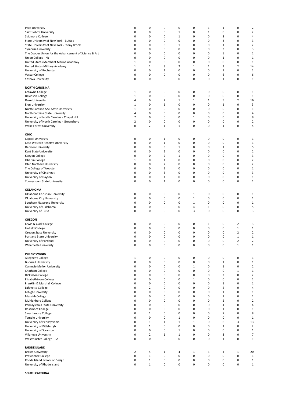| Pace University<br>Saint John's University<br>Skidmore College<br>State University of New York - Buffalo<br>State University of New York - Stony Brook<br><b>Syracuse University</b><br>The Cooper Union for the Advancement of Science & Art<br>Union College - NY<br>United States Merchant Marine Academy<br>United States Military Academy<br>University of Rochester<br>Vassar College<br>Yeshiva University<br><b>NORTH CAROLINA</b> | 0<br>0<br>0<br>0<br>0<br>0<br>0<br>0<br>$\mathbf 1$<br>1<br>0<br>0<br>0 | 0<br>0<br>0<br>0<br>0<br>0<br>0<br>0<br>0<br>1<br>$\mathbf 0$<br>0<br>0 | 0<br>0<br>0<br>0<br>0<br>0<br>0<br>0<br>0<br>3<br>$\mathbf{1}$<br>0<br>0 | 0<br>1<br>$1\,$<br>0<br>1<br>0<br>0<br>0<br>0<br>2<br>$\mathbf 0$<br>0<br>0 | 0<br>0<br>0<br>0<br>0<br>0<br>0<br>0<br>0<br>1<br>0<br>0<br>0 | $\mathbf{1}$<br>$\mathbf{1}$<br>0<br>0<br>0<br>0<br>0<br>0<br>0<br>1<br>0<br>0<br>0 | $\mathbf{1}$<br>0<br>3<br>3<br>$\mathbf 1$<br>3<br>$\mathbf 1$<br>$1\,$<br>0<br>3<br>$\mathbf 1$<br>6<br>$\mathbf{1}$ | 0<br>0<br>0<br>0<br>0<br>0<br>0<br>0<br>0<br>$\overline{2}$<br>0<br>0<br>0 | 2<br>$\overline{\mathbf{c}}$<br>4<br>3<br>$\overline{\mathbf{c}}$<br>3<br>$\mathbf{1}$<br>$\mathbf{1}$<br>$\mathbf{1}$<br>14<br>$\mathbf 2$<br>6<br>$\mathbf{1}$ |
|--------------------------------------------------------------------------------------------------------------------------------------------------------------------------------------------------------------------------------------------------------------------------------------------------------------------------------------------------------------------------------------------------------------------------------------------|-------------------------------------------------------------------------|-------------------------------------------------------------------------|--------------------------------------------------------------------------|-----------------------------------------------------------------------------|---------------------------------------------------------------|-------------------------------------------------------------------------------------|-----------------------------------------------------------------------------------------------------------------------|----------------------------------------------------------------------------|------------------------------------------------------------------------------------------------------------------------------------------------------------------|
| Catawba College                                                                                                                                                                                                                                                                                                                                                                                                                            | $\mathbf{1}$                                                            | 0                                                                       | 0                                                                        | 0                                                                           | 0                                                             | 0                                                                                   | 0                                                                                                                     | 0                                                                          | 1                                                                                                                                                                |
| Davidson College                                                                                                                                                                                                                                                                                                                                                                                                                           | $\mathbf 1$                                                             | 0                                                                       | 0                                                                        | 0                                                                           | 0                                                             | 0                                                                                   | 0                                                                                                                     | 0                                                                          | $\mathbf{1}$                                                                                                                                                     |
| Duke University                                                                                                                                                                                                                                                                                                                                                                                                                            | 4                                                                       | 0                                                                       | 2                                                                        | 1                                                                           | $\mathbf 1$                                                   | 1                                                                                   | 5                                                                                                                     | 2                                                                          | 16                                                                                                                                                               |
| Elon University<br>North Carolina A&T State University                                                                                                                                                                                                                                                                                                                                                                                     | $\mathbf{1}$<br>$\mathbf{1}$                                            | 0<br>0                                                                  | $\mathbf 1$<br>0                                                         | 0<br>0                                                                      | 0<br>0                                                        | 0<br>0                                                                              | $\mathbf 1$<br>0                                                                                                      | 0<br>0                                                                     | 3<br>$\mathbf{1}$                                                                                                                                                |
| North Carolina State University                                                                                                                                                                                                                                                                                                                                                                                                            | 4                                                                       | 0                                                                       | 0                                                                        | 0                                                                           | 0                                                             | 0                                                                                   | 0                                                                                                                     | 0                                                                          | 4                                                                                                                                                                |
| University of North Carolina - Chapel Hill                                                                                                                                                                                                                                                                                                                                                                                                 | 7                                                                       | 0                                                                       | 0                                                                        | 0                                                                           | $1\,$                                                         | 0                                                                                   | 0                                                                                                                     | 0                                                                          | 8                                                                                                                                                                |
| University of North Carolina - Greensboro                                                                                                                                                                                                                                                                                                                                                                                                  | $\mathbf 2$                                                             | 0                                                                       | 0                                                                        | 0                                                                           | $\mathbf 0$                                                   | 0                                                                                   | 0                                                                                                                     | 0                                                                          | $\mathbf 2$                                                                                                                                                      |
| Wake Forest University                                                                                                                                                                                                                                                                                                                                                                                                                     | 0                                                                       | $\overline{2}$                                                          | $\mathbf{1}$                                                             | $\mathbf{1}$                                                                | 0                                                             | 0                                                                                   | $\mathbf 1$                                                                                                           | 0                                                                          | 5                                                                                                                                                                |
| оню                                                                                                                                                                                                                                                                                                                                                                                                                                        |                                                                         |                                                                         |                                                                          |                                                                             |                                                               |                                                                                     |                                                                                                                       |                                                                            |                                                                                                                                                                  |
| Capital University                                                                                                                                                                                                                                                                                                                                                                                                                         | 0                                                                       | 0                                                                       | 1                                                                        | 0                                                                           | 0                                                             | 0                                                                                   | 0                                                                                                                     | 0                                                                          | 1                                                                                                                                                                |
| Case Western Reserve University                                                                                                                                                                                                                                                                                                                                                                                                            | 0                                                                       | 0                                                                       | $\mathbf 1$                                                              | 0                                                                           | 0                                                             | 0                                                                                   | 0                                                                                                                     | 0                                                                          | $\mathbf{1}$                                                                                                                                                     |
| Denison University                                                                                                                                                                                                                                                                                                                                                                                                                         | 0                                                                       | 0                                                                       | 3                                                                        | $\mathbf{1}$                                                                | 0                                                             | 0                                                                                   | $\mathbf 1$                                                                                                           | 0                                                                          | 5                                                                                                                                                                |
| Kent State University<br>Kenyon College                                                                                                                                                                                                                                                                                                                                                                                                    | 0<br>0                                                                  | 0<br>0                                                                  | 2<br>2                                                                   | 0<br>$\mathbf{1}$                                                           | 0<br>0                                                        | 0<br>0                                                                              | 0<br>0                                                                                                                | 0<br>0                                                                     | $\overline{\mathbf{c}}$<br>3                                                                                                                                     |
| Oberlin College                                                                                                                                                                                                                                                                                                                                                                                                                            | $\mathbf 1$                                                             | 0                                                                       | $\mathbf{1}$                                                             | 0                                                                           | 0                                                             | 0                                                                                   | 0                                                                                                                     | 0                                                                          | $\overline{2}$                                                                                                                                                   |
| Ohio Northern University                                                                                                                                                                                                                                                                                                                                                                                                                   | 0                                                                       | 0                                                                       | 2                                                                        | 0                                                                           | 0                                                             | 0                                                                                   | 0                                                                                                                     | 0                                                                          | $\overline{2}$                                                                                                                                                   |
| The College of Wooster                                                                                                                                                                                                                                                                                                                                                                                                                     | 0                                                                       | 0                                                                       | $\mathbf 1$                                                              | 0                                                                           | 0                                                             | 0                                                                                   | 0                                                                                                                     | 0                                                                          | $\mathbf{1}$                                                                                                                                                     |
| University of Cincinnati<br>University of Dayton                                                                                                                                                                                                                                                                                                                                                                                           | 0<br>0                                                                  | 0<br>0                                                                  | 3<br>$\mathbf 1$                                                         | 0<br>0                                                                      | 0<br>0                                                        | 0<br>0                                                                              | 0<br>0                                                                                                                | 0<br>0                                                                     | 3<br>$\mathbf{1}$                                                                                                                                                |
| Youngstown State University                                                                                                                                                                                                                                                                                                                                                                                                                | 0                                                                       | 0                                                                       | $\mathbf 1$                                                              | $\mathbf 0$                                                                 | 0                                                             | $\pmb{0}$                                                                           | 0                                                                                                                     | 0                                                                          | $\mathbf{1}$                                                                                                                                                     |
|                                                                                                                                                                                                                                                                                                                                                                                                                                            |                                                                         |                                                                         |                                                                          |                                                                             |                                                               |                                                                                     |                                                                                                                       |                                                                            |                                                                                                                                                                  |
| OKLAHOMA                                                                                                                                                                                                                                                                                                                                                                                                                                   |                                                                         |                                                                         |                                                                          |                                                                             |                                                               |                                                                                     |                                                                                                                       |                                                                            |                                                                                                                                                                  |
| Oklahoma Christian University                                                                                                                                                                                                                                                                                                                                                                                                              | 0                                                                       | 0                                                                       | 0                                                                        | 0                                                                           | 1                                                             | 0                                                                                   | 0                                                                                                                     | 0                                                                          | $\mathbf{1}$                                                                                                                                                     |
| Oklahoma City University<br>Southern Nazarene University                                                                                                                                                                                                                                                                                                                                                                                   | 0<br>0                                                                  | 0<br>0                                                                  | 0<br>0                                                                   | 0<br>0                                                                      | $1\,$<br>$\,1\,$                                              | 0<br>0                                                                              | 0<br>0                                                                                                                | 0<br>0                                                                     | $\mathbf{1}$<br>$\mathbf{1}$                                                                                                                                     |
| University of Oklahoma                                                                                                                                                                                                                                                                                                                                                                                                                     | 0                                                                       | 0                                                                       | 0                                                                        | 0                                                                           | 4                                                             | $\,1\,$                                                                             | 0                                                                                                                     | 0                                                                          | 5                                                                                                                                                                |
| University of Tulsa                                                                                                                                                                                                                                                                                                                                                                                                                        | 0                                                                       | 0                                                                       | 0                                                                        | 0                                                                           | 3                                                             | 0                                                                                   | 0                                                                                                                     | 0                                                                          | 3                                                                                                                                                                |
|                                                                                                                                                                                                                                                                                                                                                                                                                                            |                                                                         |                                                                         |                                                                          |                                                                             |                                                               |                                                                                     |                                                                                                                       |                                                                            |                                                                                                                                                                  |
| <b>OREGON</b><br>Lewis & Clark College                                                                                                                                                                                                                                                                                                                                                                                                     | 0                                                                       | 0                                                                       | 0                                                                        | 0                                                                           | 0                                                             | $\mathbf{1}$                                                                        | 0                                                                                                                     | 2                                                                          | 3                                                                                                                                                                |
| Linfield College                                                                                                                                                                                                                                                                                                                                                                                                                           | 0                                                                       | 0                                                                       | 0                                                                        | 0                                                                           | 0                                                             | 0                                                                                   | 0                                                                                                                     | $\mathbf{1}$                                                               | $\mathbf{1}$                                                                                                                                                     |
| Oregon State University                                                                                                                                                                                                                                                                                                                                                                                                                    | 0                                                                       | 0                                                                       | 0                                                                        | 0                                                                           | 0                                                             | 0                                                                                   | 0                                                                                                                     | $\overline{2}$                                                             | $\mathbf 2$                                                                                                                                                      |
| Portland State University                                                                                                                                                                                                                                                                                                                                                                                                                  | 0                                                                       | 0                                                                       | 0                                                                        | 0                                                                           | 0                                                             | 0                                                                                   | 0                                                                                                                     | $\mathbf{1}$                                                               | $\mathbf 1$                                                                                                                                                      |
| University of Portland<br>Willamette University                                                                                                                                                                                                                                                                                                                                                                                            | 0<br>0                                                                  | 0<br>0                                                                  | 0<br>0                                                                   | 0<br>$\pmb{0}$                                                              | 0<br>$\pmb{0}$                                                | 0<br>$\pmb{0}$                                                                      | 0<br>$\pmb{0}$                                                                                                        | 2<br>$\mathbf 1$                                                           | $\overline{2}$<br>$\mathbf 1$                                                                                                                                    |
|                                                                                                                                                                                                                                                                                                                                                                                                                                            |                                                                         |                                                                         |                                                                          |                                                                             |                                                               |                                                                                     |                                                                                                                       |                                                                            |                                                                                                                                                                  |
| PENNSYLVANIA                                                                                                                                                                                                                                                                                                                                                                                                                               |                                                                         |                                                                         |                                                                          |                                                                             |                                                               |                                                                                     |                                                                                                                       |                                                                            |                                                                                                                                                                  |
| Allegheny College                                                                                                                                                                                                                                                                                                                                                                                                                          | $\mathbf{1}$                                                            | 0                                                                       | 0                                                                        | 0                                                                           | 0                                                             | 0                                                                                   | 0                                                                                                                     | 0                                                                          | $\mathbf{1}$                                                                                                                                                     |
| <b>Bucknell University</b><br>Carnegie Mellon University                                                                                                                                                                                                                                                                                                                                                                                   | 0<br>0                                                                  | $\pmb{0}$<br>0                                                          | 0<br>0                                                                   | 0<br>0                                                                      | $\pmb{0}$<br>$\,1\,$                                          | $\pmb{0}$<br>0                                                                      | $\mathbf 1$<br>$\mathbf 1$                                                                                            | 0<br>0                                                                     | $\mathbf 1$<br>$\overline{2}$                                                                                                                                    |
| Chatham College                                                                                                                                                                                                                                                                                                                                                                                                                            | 0                                                                       | 0                                                                       | 0                                                                        | 0                                                                           | 0                                                             | 0                                                                                   | 0                                                                                                                     | $\mathbf{1}$                                                               | $\mathbf{1}$                                                                                                                                                     |
| Dickinson College                                                                                                                                                                                                                                                                                                                                                                                                                          | 0                                                                       | 0                                                                       | 0                                                                        | 0                                                                           | 0                                                             | 0                                                                                   | $\mathbf 2$                                                                                                           | 0                                                                          | $\overline{2}$                                                                                                                                                   |
| Elizabethtown College                                                                                                                                                                                                                                                                                                                                                                                                                      | 0                                                                       | 0                                                                       | 0                                                                        | 0                                                                           | 1                                                             | 0                                                                                   | 0                                                                                                                     | 0                                                                          | $\mathbf{1}$                                                                                                                                                     |
| Franklin & Marshall College<br>Lafayette College                                                                                                                                                                                                                                                                                                                                                                                           | 0<br>0                                                                  | 0<br>$\overline{2}$                                                     | 0<br>0                                                                   | 0<br>0                                                                      | $\pmb{0}$<br>0                                                | 0<br>0                                                                              | $\mathbf 1$<br>$\overline{2}$                                                                                         | 0<br>0                                                                     | $\mathbf 1$<br>4                                                                                                                                                 |
| Lehigh University                                                                                                                                                                                                                                                                                                                                                                                                                          | 0                                                                       | $\pmb{0}$                                                               | 0                                                                        | $\mathbf 0$                                                                 | $\pmb{0}$                                                     | 0                                                                                   | $\mathbf 1$                                                                                                           | 0                                                                          | $\mathbf{1}$                                                                                                                                                     |
| <b>Messiah College</b>                                                                                                                                                                                                                                                                                                                                                                                                                     | 0                                                                       | $\pmb{0}$                                                               | 0                                                                        | 0                                                                           | $\pmb{0}$                                                     | 0                                                                                   | $\mathbf 1$                                                                                                           | 0                                                                          | $\mathbf 1$                                                                                                                                                      |
| Muhlenberg College                                                                                                                                                                                                                                                                                                                                                                                                                         | 0                                                                       | 0<br>0                                                                  | 0<br>0                                                                   | 0                                                                           | $\mathbf 0$                                                   | 0                                                                                   | $\overline{2}$                                                                                                        | 0                                                                          | $\overline{2}$                                                                                                                                                   |
| Pennsylvania State University<br>Rosemont College                                                                                                                                                                                                                                                                                                                                                                                          | 0<br>0                                                                  | 0                                                                       | 0                                                                        | 0<br>0                                                                      | 0<br>$\mathbf 0$                                              | 0<br>$\pmb{0}$                                                                      | 4<br>$\mathbf{1}$                                                                                                     | 0<br>0                                                                     | 4<br>$\mathbf{1}$                                                                                                                                                |
| Swarthmore College                                                                                                                                                                                                                                                                                                                                                                                                                         | 0                                                                       | $1\,$                                                                   | 0                                                                        | 0                                                                           | 0                                                             | 0                                                                                   | $\overline{7}$                                                                                                        | 0                                                                          | 8                                                                                                                                                                |
| Temple University                                                                                                                                                                                                                                                                                                                                                                                                                          | 0                                                                       | 0                                                                       | 0                                                                        | $1\,$                                                                       | 0                                                             | 0                                                                                   | 0                                                                                                                     | 0                                                                          | $\mathbf{1}$                                                                                                                                                     |
| University of Pennsylvania                                                                                                                                                                                                                                                                                                                                                                                                                 | 0                                                                       | $1\,$                                                                   | $1\,$                                                                    | $\,1\,$                                                                     | $\,1\,$                                                       | 0                                                                                   | 6                                                                                                                     | 3                                                                          | 13                                                                                                                                                               |
| University of Pittsburgh<br>University of Scranton                                                                                                                                                                                                                                                                                                                                                                                         | 0<br>0                                                                  | $1\,$<br>0                                                              | 0<br>0                                                                   | 0<br>$\mathbf{1}$                                                           | $\pmb{0}$<br>0                                                | 0<br>0                                                                              | $\mathbf 1$<br>0                                                                                                      | 0<br>0                                                                     | $\overline{2}$<br>$\mathbf{1}$                                                                                                                                   |
| Villanova University                                                                                                                                                                                                                                                                                                                                                                                                                       | 0                                                                       | 2                                                                       | $1\,$                                                                    | $1\,$                                                                       | $\pmb{0}$                                                     | 0                                                                                   | 3                                                                                                                     | 0                                                                          | 7                                                                                                                                                                |
| Westminster College - PA                                                                                                                                                                                                                                                                                                                                                                                                                   | 0                                                                       | 0                                                                       | 0                                                                        | $\mathsf 0$                                                                 | $\pmb{0}$                                                     | 0                                                                                   | $\mathbf 1$                                                                                                           | 0                                                                          | $\mathbf 1$                                                                                                                                                      |
|                                                                                                                                                                                                                                                                                                                                                                                                                                            |                                                                         |                                                                         |                                                                          |                                                                             |                                                               |                                                                                     |                                                                                                                       |                                                                            |                                                                                                                                                                  |
| <b>RHODE ISLAND</b><br><b>Brown University</b>                                                                                                                                                                                                                                                                                                                                                                                             | 2                                                                       | 4                                                                       | $\mathbf{1}$                                                             | 4                                                                           | 1                                                             | 3                                                                                   | 4                                                                                                                     | $\mathbf{1}$                                                               | 20                                                                                                                                                               |
| Providence College                                                                                                                                                                                                                                                                                                                                                                                                                         | 0                                                                       | $\mathbf{1}$                                                            | $\pmb{0}$                                                                | 0                                                                           | $\pmb{0}$                                                     | $\pmb{0}$                                                                           | $\pmb{0}$                                                                                                             | 0                                                                          | $\mathbf 1$                                                                                                                                                      |
| Rhode Island School of Design                                                                                                                                                                                                                                                                                                                                                                                                              | 0                                                                       | $1\,$                                                                   | 0                                                                        | 0                                                                           | 0                                                             | 0                                                                                   | 0                                                                                                                     | 0                                                                          | $\mathbf{1}$                                                                                                                                                     |
| University of Rhode Island                                                                                                                                                                                                                                                                                                                                                                                                                 | 0                                                                       | $\mathbf 1$                                                             | 0                                                                        | $\pmb{0}$                                                                   | $\pmb{0}$                                                     | $\pmb{0}$                                                                           | 0                                                                                                                     | 0                                                                          | $\mathbf 1$                                                                                                                                                      |

**SOUTH CAROLINA**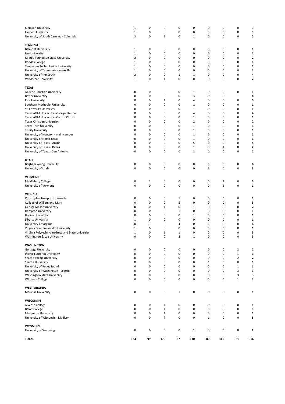| <b>Clemson University</b><br>Lander University<br>University of South Carolina - Columbia | 1<br>$1\,$<br>3            | 0<br>0<br>$\pmb{0}$ | 0<br>$\pmb{0}$<br>$\mathbf 1$ | 0<br>$\pmb{0}$<br>0 | 0<br>$\pmb{0}$<br>$1\,$ | 0<br>$\pmb{0}$<br>$\pmb{0}$ | 0<br>$\bf 0$<br>0 | 0<br>0<br>0      | 1<br>$\mathbf{1}$<br>5 |
|-------------------------------------------------------------------------------------------|----------------------------|---------------------|-------------------------------|---------------------|-------------------------|-----------------------------|-------------------|------------------|------------------------|
| <b>TENNESSEE</b>                                                                          |                            |                     |                               |                     |                         |                             |                   |                  |                        |
| <b>Belmont University</b>                                                                 | 1                          | 0                   | 0                             | 0                   | 0                       | 0                           | 0                 | 0                | 1                      |
| Lee University                                                                            | $\mathbf 1$                | 0                   | 0                             | 0                   | 0                       | 0                           | 0                 | 0                | 1                      |
| Middle Tennessee State University                                                         | $\overline{2}$             | 0                   | 0                             | 0                   | 0                       | 0                           | 0                 | 0                | 2                      |
| <b>Rhodes College</b>                                                                     | $\mathbf 1$                | 0                   | 0                             | 0                   | 0                       | 0                           | 0                 | 0                | 1                      |
| Tennessee Technological University                                                        | $\mathbf 1$<br>$\mathbf 1$ | 0<br>0              | 0<br>0                        | 0<br>0              | 0<br>0                  | 0<br>0                      | 0<br>0            | 0<br>0           | 1<br>1                 |
| University of Tennessee - Knoxville<br>University of the South                            | $\mathbf 2$                | 0                   | 0                             | 1                   | $\,1\,$                 | 0                           | 0                 | 0                | 4                      |
| Vanderbilt University                                                                     | $\mathbf 1$                | 0                   | $\mathbf 1$                   | 0                   | $\mathbf 0$             | 0                           | $\bf 0$           | 0                | $\mathbf{z}$           |
| TEXAS                                                                                     |                            |                     |                               |                     |                         |                             |                   |                  |                        |
| Abilene Christian University                                                              | 0                          | 0                   | 0                             | 0                   | 1                       | 0                           | 0                 | 0                | 1                      |
| <b>Baylor University</b>                                                                  | 0                          | 0                   | 0                             | 0                   | 3                       | 0                           | 0                 | $\mathbf 1$      | 4                      |
| <b>Rice University</b>                                                                    | 0                          | 0                   | $\,1\,$                       | 0                   | 4                       | 0                           | 0                 | 0                | 5                      |
| Southern Methodist University                                                             | 0                          | 0                   | 0                             | 0                   | $\,1\,$                 | 0                           | 0                 | 0                | 1                      |
| St. Edward's University                                                                   | 0                          | 0                   | 0                             | 0                   | 1                       | 0                           | 0                 | 0                | 1                      |
| Texas A&M University - College Station                                                    | 0                          | 0                   | 0                             | 0                   | 4                       | 0                           | 0                 | 0                | 4                      |
| Texas A&M University - Corpus Christi                                                     | 0<br>0                     | 0<br>0              | 0<br>0                        | 0<br>$\mathbf 0$    | 1<br>$\mathbf 2$        | 0<br>0                      | 0<br>0            | 0<br>0           | 1                      |
| Texas Christian University<br><b>Texas Tech University</b>                                | 0                          | 0                   | 0                             | 0                   | $\mathbf{1}$            | 0                           | 0                 | 0                | 2<br>1                 |
| <b>Trinity University</b>                                                                 | 0                          | 0                   | 0                             | $\mathbf 0$         | $\mathbf{1}$            | 0                           | 0                 | 0                | 1                      |
| University of Houston - main campus                                                       | 0                          | 0                   | 0                             | 0                   | $\,1\,$                 | 0                           | 0                 | 0                | 1                      |
| University of North Texas                                                                 | 0                          | 0                   | 0                             | 0                   | $1\,$                   | 0                           | 0                 | 0                | $\mathbf{1}$           |
| University of Texas - Austin                                                              | 0                          | 0                   | 0                             | 0                   | 5                       | 0                           | 0                 | 0                | 5                      |
| University of Texas - Dallas                                                              | 0                          | 0                   | $\mathbf 0$                   | 0                   | $\mathbf 1$             | 0                           | $\mathbf 1$       | 0                | $\mathbf 2$            |
| University of Texas - San Antonio                                                         | 0                          | 0                   | 0                             | 0                   | $\,1\,$                 | 0                           | 0                 | 0                | $\mathbf{1}$           |
| <b>UTAH</b>                                                                               |                            |                     |                               |                     |                         |                             |                   |                  |                        |
| Brigham Young University                                                                  | $\pmb{0}$                  | $\pmb{0}$           | 0                             | 0                   | 0                       | 6                           | 0                 | 0                | 6                      |
| University of Utah                                                                        | 0                          | $\pmb{0}$           | $\pmb{0}$                     | 0                   | $\pmb{0}$               | 3                           | 0                 | 0                | з                      |
| <b>VERMONT</b>                                                                            |                            |                     |                               |                     |                         |                             |                   |                  |                        |
| Middlebury College                                                                        | $\pmb{0}$                  | $\overline{2}$      | 0                             | 0                   | 0                       | 0                           | 3                 | 0                | 5                      |
| University of Vermont                                                                     | 0                          | $\pmb{0}$           | $\pmb{0}$                     | $\pmb{0}$           | $\pmb{0}$               | $\pmb{0}$                   | $\mathbf 1$       | 0                | 1                      |
| <b>VIRGINIA</b>                                                                           |                            |                     |                               |                     |                         |                             |                   |                  |                        |
| Christopher Newport University                                                            | 0                          | $\pmb{0}$           | 0                             | 1                   | 0                       | 0                           | 0                 | 0                | 1                      |
| College of William and Mary                                                               | 0                          | 0                   | 0                             | 5                   | 0                       | 0                           | 0                 | 0                | 5                      |
| George Mason University                                                                   | 0                          | 0                   | $\,1\,$                       | 0                   | $\mathbf 1$             | 0                           | 0                 | 0                | 2                      |
| Hampton University                                                                        | 0<br>0                     | 0<br>0              | 0<br>0                        | $\mathbf{1}$<br>0   | 0<br>$\mathbf{1}$       | 0<br>0                      | 0<br>0            | 0<br>0           | 1                      |
| <b>Hollins University</b><br>Liberty University                                           | 1                          | 0                   | 0                             | 0                   | 0                       | 0                           | 0                 | 0                | 1<br>1                 |
| University of Virginia                                                                    | 0                          | $\mathbf{1}$        | 0                             | 4                   | 0                       | $\mathbf{1}$                | 0                 | 0                | 6                      |
| Virginia Commonwealth University                                                          | 1                          | 0                   | 0                             | 0                   | 0                       | 0                           | 0                 | 0                | 1                      |
| Virginia Polytechnic Institute and State University                                       | 1                          | 0                   | $\,1\,$                       | 1                   | 0                       | 0                           | 0                 | 0                | 3                      |
| Washington & Lee University                                                               | $\mathbf 0$                | $\mathbf 0$         | $\mathbf 0$                   | $\overline{2}$      | $\mathbf 1$             | $\pmb{0}$                   | $\mathbf 0$       | $\mathbf 0$      | 3                      |
| <b>WASHINGTON</b>                                                                         |                            |                     |                               |                     |                         |                             |                   |                  |                        |
| Gonzaga University                                                                        | $\pmb{0}$                  | $\pmb{0}$           | $\pmb{0}$                     | 0                   | $\pmb{0}$               | $\pmb{0}$                   | 0                 | $\mathbf 2$      | 2                      |
| Pacific Lutheran University                                                               | $\pmb{0}$                  | $\pmb{0}$           | $\pmb{0}$                     | $\pmb{0}$           | $\pmb{0}$               | $\pmb{0}$                   | 0                 | $\mathbf 1$      | $\mathbf 1$            |
| Seattle Pacific University                                                                | 0                          | 0                   | $\pmb{0}$                     | 0                   | 0                       | 0                           | 0                 | $\mathbf 2$      | 2                      |
| Seattle University                                                                        | $\pmb{0}$                  | 0                   | $\pmb{0}$<br>$\pmb{0}$        | 0                   | $\pmb{0}$               | $\mathbf 1$                 | 0                 | 0                | 1                      |
| University of Puget Sound<br>University of Washington - Seattle                           | 0<br>0                     | 0<br>0              | $\pmb{0}$                     | 0<br>0              | 0<br>0                  | 0<br>0                      | 0<br>0            | $\mathbf 1$<br>3 | $\mathbf{1}$<br>3      |
| Washington State University                                                               | $\pmb{0}$                  | 0                   | $\pmb{0}$                     | 0                   | 0                       | 0                           | 0                 | 3                | 3                      |
| Whitman College                                                                           | $\pmb{0}$                  | $\pmb{0}$           | $\pmb{0}$                     | 0                   | $\pmb{0}$               | $\pmb{0}$                   | 0                 | $\mathbf{1}$     | 1                      |
| <b>WEST VIRGINIA</b>                                                                      |                            |                     |                               |                     |                         |                             |                   |                  |                        |
| <b>Marshall University</b>                                                                | 0                          | $\pmb{0}$           | $\pmb{0}$                     | $\mathbf{1}$        | 0                       | $\pmb{0}$                   | 0                 | 0                | 1                      |
| WISCONSIN                                                                                 |                            |                     |                               |                     |                         |                             |                   |                  |                        |
| Alverno College                                                                           | 0                          | $\pmb{0}$           | $\mathbf 1$                   | 0                   | 0                       | 0                           | 0                 | 0                | 1                      |
| <b>Beloit College</b>                                                                     | $\pmb{0}$                  | $\mathbf 0$         | $\mathbf 1$                   | $\pmb{0}$           | $\pmb{0}$               | $\pmb{0}$                   | 0                 | 0                | 1                      |
| Marquette University                                                                      | 0                          | 0                   | $\,1\,$                       | 0                   | 0                       | 0                           | 0                 | 0                | 1                      |
| University of Wisconsin - Madison                                                         | 0                          | 0                   | $\overline{7}$                | $\pmb{0}$           | 0                       | $\mathbf{1}$                | 0                 | 0                | 8                      |
| <b>WYOMING</b>                                                                            |                            |                     |                               |                     |                         |                             |                   |                  |                        |
| University of Wyoming                                                                     | 0                          | $\pmb{0}$           | $\pmb{0}$                     | 0                   | $\overline{2}$          | 0                           | 0                 | 0                | 2                      |
| <b>TOTAL</b>                                                                              | 123                        | 99                  | 170                           | 87                  | 110                     | 80                          | 166               | 81               | 916                    |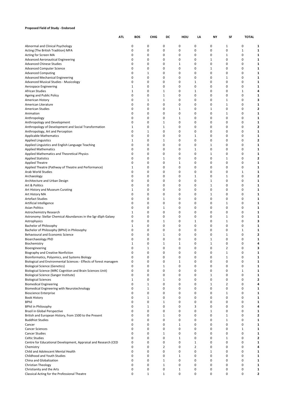# **Proposed Field of Study - Endorsed**

|                                                                                     | ATL | <b>BOS</b> | <b>CHIG</b>                  | DC                | HOU          | LA                | NΥ          | SF                            | <b>TOTAL</b> |                         |
|-------------------------------------------------------------------------------------|-----|------------|------------------------------|-------------------|--------------|-------------------|-------------|-------------------------------|--------------|-------------------------|
| Abnormal and Clinical Psychology                                                    |     | 0          | 0                            | 0                 | 0            | 0                 | 0           | 1                             | 0            | 1                       |
| Acting (The British Tradition) MFA                                                  |     | 0          | 0                            | 0                 | 0            | 0                 | 0           | $\mathbf 0$                   | 1            | 1                       |
| Acting for Screen MA                                                                |     | 0          | 0                            | 0                 | 0            | 0                 | 0           | $\mathbf{1}$                  | 0            | 1                       |
| <b>Advanced Aeronautical Engineering</b>                                            |     | 0          | 0                            | 0                 | 0            | 0                 | 1           | $\mathbf 0$                   | 0            | 1                       |
| <b>Advanced Chinese Studies</b>                                                     |     | 0          | 0                            | 0                 | $\mathbf{1}$ | 0                 | 0           | 0                             | 0            |                         |
| <b>Advanced Computer Science</b>                                                    |     | 0          | 0                            | 0                 | 0            | 0                 | 1           | 0                             | 0            | 1                       |
| <b>Advanced Computing</b><br><b>Advanced Mechanical Engineering</b>                 |     | 0<br>0     | $\mathbf{1}$<br>0            | 0<br>0            | 0<br>0       | 0<br>0            | 0<br>0      | 0<br>1                        | 0<br>0       | 1<br>1                  |
| <b>Advanced Musical Studies - Musicology</b>                                        |     | 0          | 0                            | 0                 | 0            | 1                 | 0           | $\mathbf 0$                   | 0            | 1                       |
| Aerospace Engineering                                                               |     | 1          | 0                            | 0                 | 0            | 0                 | 0           | 0                             | 0            |                         |
| <b>African Studies</b>                                                              |     | 1          | 0                            | 1                 | 0            | 1                 | 0           | 0                             | 1            | 4                       |
| Ageing and Public Policy                                                            |     | 0          | 0                            | $\mathbf{1}$      | 0            | 0                 | 0           | 0                             | 0            | 1                       |
| American History                                                                    |     | 0          | $\mathbf{1}$                 | 1                 | 0            | 0                 | 0           | 1                             | 0            | 3                       |
| American Literature                                                                 |     | 0          | 0                            | 0                 | 0            | 0                 | 0           | 1                             | 0            |                         |
| <b>American Studies</b><br>Animation                                                |     | 0<br>0     | 0<br>0                       | 0<br>0            | 1<br>0       | 0<br>0            | 1<br>0      | 0<br>1                        | 0<br>0       | 2<br>1                  |
| Anthropology                                                                        |     | 0          | 0                            | 0                 | 1            | 0                 | 0           | $\mathbf 0$                   | 0            |                         |
| Anthropology and Development                                                        |     | 0          | 0                            | 1                 | 0            | 0                 | 0           | 0                             | 0            |                         |
| Anthropology of Development and Social Transformation                               |     | 1          | 0                            | 1                 | 0            | 0                 | 0           | 0                             | 0            | 2                       |
| Anthropology, Art and Perception                                                    |     | 0          | $\mathbf{1}$                 | 0                 | 0            | 0                 | 0           | $\mathbf 0$                   | 0            | 1                       |
| <b>Applicable Mathematics</b>                                                       |     | 0          | 0                            | 0                 | 0            | 1                 | 0           | 0                             | 0            |                         |
| <b>Applied Linguistics</b>                                                          |     | 1          | 0                            | 1                 | 0            | 0                 | 0           | $\mathbf 0$                   | 0            | 2                       |
| Applied Linguistics and English Language Teaching<br><b>Applied Mathematics</b>     |     | 0<br>0     | 0<br>0                       | 0<br>0            | 0<br>0       | 0<br>$\mathbf{1}$ | 1<br>0      | 0<br>0                        | 0<br>0       | 1<br>1                  |
| Applied Mathematics and Theoretical Physics                                         |     | 0          | 0                            | 0                 | 0            | 0                 | 1           | 0                             | 0            | 1                       |
| <b>Applied Statistics</b>                                                           |     | 0          | 0                            | 1                 | 0            | 0                 | 0           | $\mathbf{1}$                  | 0            | 2                       |
| <b>Applied Theatre</b>                                                              |     | 0          | 0                            | 0                 | 1            | 0                 | 0           | 0                             | 0            | 1                       |
| Applied Theatre (Pathway of Theatre and Performance)                                |     | 1          | 0                            | 0                 | 0            | 0                 | 0           | 0                             | 0            | 1                       |
| Arab World Studies                                                                  |     | 0          | 0                            | 0                 | 0            | 0                 | 0           | $\mathbf 0$                   | 1            | 1                       |
| Archaeology                                                                         |     | 0          | 0                            | 0                 | 0            | $\mathbf{1}$      | 0           | $\mathbf{1}$                  | 0            | 2                       |
| Architecture and Urban Design<br>Art & Politics                                     |     | 0<br>0     | 0<br>0                       | 0<br>0            | 0<br>0       | 0<br>0            | 1<br>1      | 0<br>0                        | 0<br>0       | 1<br>1                  |
| Art History and Museum Curating                                                     |     | 1          | 0                            | 0                 | 0            | 0                 | 0           | 0                             | 0            | 1                       |
| Art History MA                                                                      |     | 0          | 0                            | 0                 | 0            | 0                 | 1           | 0                             | 0            | 1                       |
| <b>Artefact Studies</b>                                                             |     | 0          | 0                            | 1                 | 0            | 0                 | 0           | 0                             | 0            | 1                       |
| Artificial Intelligence                                                             |     | 0          | 0                            | 0                 | 0            | 0                 | 0           | 1                             | 0            | 1                       |
| <b>Asian Politics</b>                                                               |     | 0          | 0                            | $\mathbf{1}$      | 0            | 0                 | 0           | 0                             | 0            | 1                       |
| Astrochemistry Research                                                             |     | 1          | 0                            | 0                 | 0            | 0                 | 0           | $\mathbf 0$                   | 0            | 1                       |
| Astronomy: Stellar Chemical Abundances in the Sgr dSph Galaxy<br>Astrophysics       |     | 0<br>0     | 0<br>0                       | 0<br>$\mathbf{1}$ | 0<br>0       | 0<br>$\mathbf{1}$ | 0<br>0      | $\mathbf{1}$<br>1             | 0<br>0       | 3                       |
| Bachelor of Philosophy                                                              |     | 1          | 0                            | 0                 | 0            | 0                 | 0           | $\mathbf 0$                   | 0            | 1                       |
| Bachelor of Philosophy (BPhil) in Philosophy                                        |     | 0          | 0                            | 0                 | 0            | 0                 | 0           | 0                             | 1            |                         |
| Behavioural and Economic Science                                                    |     | 0          | 0                            | 1                 | 0            | 0                 | 0           | $\mathbf{1}$                  | 0            | 2                       |
| <b>Bioarchaeology PhD</b>                                                           |     | 0          | 0                            | 0                 | 0            | 0                 | 1           | 0                             | 0            | 1                       |
| Biochemistry                                                                        |     | 1          | 0                            | 1                 | $\mathbf{1}$ | 0                 | $1\,$       | 0                             | 0            | 4                       |
| Bioengineering                                                                      |     | $\Omega$   | 1                            | 0                 | $\mathbf 0$  | $\mathbf 0$       | 0           | $\overline{2}$                | $\Omega$     | 3                       |
| Biography and Creative Nonfiction<br>Bioinformatics, Polyomics, and Systems Biology |     | 0<br>0     | 0<br>0                       | 0<br>0            | 0<br>0       | 0<br>0            | 0<br>0      | 1<br>1                        | 0<br>0       |                         |
| Biological and Environmental Sciences - Effects of forest managem                   |     | 0          | 0                            | 0                 | 1            | 0                 | 0           | 0                             | 0            |                         |
| <b>Biological Science (Genetics)</b>                                                |     | 0          | $\mathbf 0$                  | $\mathbf{1}$      | $\mathbf 0$  | $\mathbf 0$       | 0           | $\mathbf 0$                   | $\mathbf 0$  |                         |
| Biological Science (MRC Cognition and Brain Sciences Unit)                          |     | 0          | 0                            | 0                 | 0            | 0                 | 0           | 0                             | 1            |                         |
| Biological Science (Sanger Institute)                                               |     | 0          | 0                            | 0                 | 0            | 0                 | 1           | 0                             | 0            | 1                       |
| <b>Biological Sciences</b>                                                          |     | 1          | 0                            | $\mathbf{1}$      | 0            | 0                 | 0           | $\mathbf 0$                   | 0            | 2                       |
| <b>Biomedical Engineering</b>                                                       |     | 0<br>0     | $\mathbf{1}$<br>$\mathbf{1}$ | 0<br>0            | 0<br>0       | 0<br>0            | $1\,$<br>0  | $\overline{2}$<br>$\mathbf 0$ | 0<br>0       | 4                       |
| Biomedical Engineering with Neurotechnology<br><b>Bioscience Enterprise</b>         |     | 0          | 0                            | 0                 | 0            | 0                 | 0           | 1                             | 0            | 1                       |
| <b>Book History</b>                                                                 |     | 0          | $\mathbf{1}$                 | 0                 | 0            | 0                 | 0           | $\mathbf 0$                   | 0            |                         |
| <b>BPhil</b>                                                                        |     | 0          | $\mathbf 0$                  | $\mathbf{1}$      | $\mathbf 0$  | 0                 | 0           | 0                             | 0            |                         |
| <b>BPhil in Philosophy</b>                                                          |     | 0          | 1                            | 0                 | 0            | 3                 | $\mathbf 0$ | 0                             | $\mathbf 0$  | 4                       |
| Brazil in Global Perspective                                                        |     | 0          | 0                            | 0                 | 0            | 0                 | 1           | 0                             | 0            | 1                       |
| British and European History, from 1500 to the Present                              |     | 0<br>0     | 0                            | $\mathbf{1}$      | 0<br>0       | 0<br>0            | 0<br>0      | 1                             | 0<br>0       | 2<br>1                  |
| <b>Buddhist Studies</b><br>Cancer                                                   |     | 0          | 0<br>$\mathbf 0$             | 0<br>0            | $\mathbf{1}$ | 0                 | 0           | 1<br>$\mathbf 0$              | 0            | 1                       |
| <b>Cancer Sciences</b>                                                              |     | 0          | 0                            | 0                 | 0            | 0                 | 0           | 0                             | 1            | 1                       |
| <b>Cancer Studies</b>                                                               |     | 0          | 0                            | $\mathbf{1}$      | 0            | 0                 | 0           | $\mathbf 0$                   | 0            | 1                       |
| <b>Celtic Studies</b>                                                               |     | 0          | $\mathbf 0$                  | 0                 | 1            | 0                 | 0           | 1                             | 0            | 2                       |
| Centre for Educational Development, Appraisal and Research (CED                     |     | 0          | $\mathbf 0$                  | 0                 | $\mathbf 0$  | $\mathbf{1}$      | 0           | $\mathbf 0$                   | 0            |                         |
| Chemistry                                                                           |     | 0          | $\mathbf 0$                  | 2                 | 0            | $\overline{2}$    | $\mathbf 0$ | 0                             | 0            | 4                       |
| Child and Adolescent Mental Health                                                  |     | 0          | 0                            | 0                 | 0            | 0                 | 1           | 0                             | 0            | 1                       |
| Childhood and Youth Studies<br>China and Globalization                              |     | 0<br>0     | 0<br>$\mathbf 0$             | 0<br>$\mathbf{1}$ | 1<br>0       | 0<br>0            | 0<br>0      | $\mathbf 0$<br>$\mathbf 0$    | 0<br>0       | 1                       |
| Christian Theology                                                                  |     | 0          | 0                            | $\mathbf{1}$      | 0            | 0                 | 0           | $\mathbf 0$                   | 0            | 1                       |
| Christianity and the Arts                                                           |     | 0          | 0                            | 0                 | $\mathbf{1}$ | 0                 | $\pmb{0}$   | $\pmb{0}$                     | 0            | 1                       |
| Classical Acting for the Professional Theatre                                       |     | 0          | $\mathbf{1}$                 | 1                 | 0            | 0                 | 0           | 0                             | 0            | $\overline{\mathbf{c}}$ |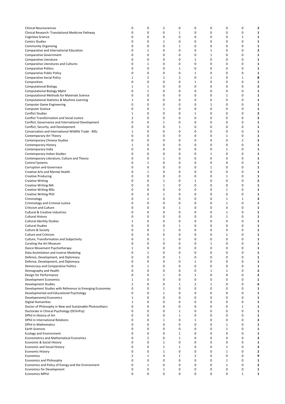| Clinical Neurosciences                                    | 0              | 0              | 2            | 0 | 0 | 0            | 0           | 0           | 2                       |
|-----------------------------------------------------------|----------------|----------------|--------------|---|---|--------------|-------------|-------------|-------------------------|
| Clinical Research: Translational Medicine Pathway         | 0              | 0              | 0            | 1 | 0 | 0            | 0           | 0           | 1                       |
| Cognitive Science                                         | 0              | 0              | 0            | 0 | 0 | 0            | 0           | 1           | 1                       |
| <b>Comics Studies</b>                                     | 0              | 0              | 1            | 0 | 0 | 0            | 0           | 0           | 1                       |
|                                                           |                |                |              |   |   |              |             |             |                         |
| <b>Community Organizing</b>                               | 0              | 0              | 0            | 1 | 0 | 0            | 0           | 0           | 1                       |
| Comparative and International Education                   | 0              | 1              | 0            | 0 | 0 | 1            | 0           | 0           | 2                       |
| <b>Comparative Government</b>                             | 0              | 0              | 0            | 0 | 0 | 1            | 0           | 0           | 1                       |
|                                                           |                |                |              |   |   |              |             |             |                         |
| Comparative Literature                                    | 0              | 0              | 0            | 0 | 1 | 0            | 0           | 0           | 1                       |
| Comparative Literatures and Cultures                      | 0              | $\mathbf{1}$   | 0            | 0 | 0 | 0            | 0           | 0           | 1                       |
| <b>Comparative Politics</b>                               | 0              | 0              | 0            | 1 | 0 | 0            | 0           | 0           | 1                       |
|                                                           | 0              | 0              | 0            | 0 | 1 | 0            | 0           | 0           | 1                       |
| Comparative Public Policy                                 |                |                |              |   |   |              |             |             |                         |
| Comparative Social Policy                                 | $\mathbf{1}$   | $\overline{2}$ | 1            | 2 | 0 | 1            | 0           | 1           | 8                       |
| Composition                                               | 0              | 0              | 0            | 0 | 1 | 0            | 0           | 0           | 1                       |
| <b>Computational Biology</b>                              | 1              | 1              | 0            | 0 | 0 | 0            | 0           | 0           | 2                       |
|                                                           |                |                |              |   |   |              |             |             |                         |
| <b>Computational Biology Mphil</b>                        | 0              | $\mathbf{1}$   | 0            | 0 | 0 | 0            | 0           | 0           | 1                       |
| Computational Methods for Materials Science               | 0              | 0              | 0            | 0 | 0 | 0            | 1           | 0           | 1                       |
| Computational Statistics & Machine Learning               | $\mathbf{1}$   | 0              | 0            | 0 | 0 | 0            | 0           | 0           | 1                       |
|                                                           | 0              | 0              | 0            | 0 | 0 | 1            | 0           | 0           | 1                       |
| <b>Computer Game Engineering</b>                          |                |                |              |   |   |              |             |             |                         |
| Computer Science                                          | 0              | 0              | 1            | 0 | 0 | 0            | 0           | 0           | 1                       |
| <b>Conflict Studies</b>                                   | $\mathbf{1}$   | 0              | 0            | 0 | 1 | 0            | 0           | 0           | $\overline{\mathbf{2}}$ |
| <b>Conflict Transformation and Social Justice</b>         | 2              | 0              | 0            | 0 | 0 | 0            | 0           | 0           | $\overline{\mathbf{2}}$ |
|                                                           |                |                |              |   |   |              |             |             |                         |
| Conflict, Governance and International Development        | 0              | 0              | 1            | 0 | 0 | 0            | 0           | 0           | 1                       |
| Conflict, Security, and Development                       | 0              | 0              | 0            | 1 | 0 | 0            | 0           | 0           | 1                       |
| Conservation and International Wildlife Trade - MSc       | $\mathbf{1}$   | 0              | 0            | 0 | 0 | 0            | 0           | 0           | 1                       |
|                                                           |                |                |              |   |   |              |             |             |                         |
| Contemporary Art Theory                                   | 0              | 0              | 0            | 0 | 0 | 0            | 1           | 0           | 1                       |
| Contemporary Chinese Studies                              | 0              | 0              | 0            | 0 | 0 | 0            | 0           | 2           | 2                       |
| Contemporary History                                      | $\mathbf{1}$   | 0              | 0            | 0 | 0 | 0            | 0           | 0           | 1                       |
|                                                           | 0              |                | 0            | 0 | 0 |              |             | 0           |                         |
| Contemporary India                                        |                | 0              |              |   |   | 0            | 1           |             | 1                       |
| Contemporary Indian Studies                               | 0              | 0              | 0            | 0 | 0 | 1            | 0           | 0           | 1                       |
| Contemporary Literature, Culture and Theory               | 0              | 0              | 1            | 0 | 0 | 0            | 0           | 0           | 1                       |
| <b>Control Systems</b>                                    | 0              | 1              | 0            | 0 | 0 | 0            | 0           | 0           | 1                       |
|                                                           |                |                |              |   |   |              |             |             |                         |
| Corruption and Governace                                  | 0              | 0              | 0            | 0 | 0 | 1            | 0           | 0           | 1                       |
| Creative Arts and Mental Health                           | 0              | $\mathbf{1}$   | 0            | 0 | 0 | 0            | 0           | 0           | 1                       |
| <b>Creative Producing</b>                                 | 0              | 0              | 0            | 0 | 0 | 0            | 1           | 0           | 1                       |
|                                                           |                |                |              |   |   |              |             |             |                         |
| <b>Creative Writing</b>                                   | 0              | 0              | 1            | 0 | 1 | 0            | 0           | 0           | 2                       |
| <b>Creative Writing MA</b>                                | 0              | 0              | 1            | 0 | 0 | 0            | 0           | 0           | 1                       |
| <b>Creative Writing MSc</b>                               | 0              | 0              | 0            | 0 | 0 | 0            | 1           | 0           | 1                       |
|                                                           | 0              | 0              |              | 0 | 0 | 0            | 0           | 0           |                         |
| <b>Creative Writing PhD</b>                               |                |                | 1            |   |   |              |             |             | 1                       |
| Criminology                                               | 0              | 1              | 0            | 0 | 0 | 0            | 1           | 1           | 3                       |
| Criminology and Criminal Justice                          | 0              | 0              | 0            | 0 | 0 | 0            | 1           | 0           | 1                       |
| <b>Criticism and Culture</b>                              | 0              | 0              | 0            | 1 | 0 | 0            | 0           | 0           | 1                       |
|                                                           |                |                |              |   |   |              |             |             |                         |
| <b>Cultural &amp; Creative Industries</b>                 | 0              | 0              | 0            | 0 | 0 | 0            | 1           | 0           | 1                       |
| Cultural History                                          | 0              | 0              | 0            | 0 | 0 | 0            | 1           | 0           | 1                       |
| <b>Cultural Identity Studies</b>                          | 1              | 0              | 0            | 0 | 0 | 0            | 0           | $\mathbf 0$ | 1                       |
|                                                           |                |                |              |   |   |              |             |             |                         |
| <b>Cultural Studies</b>                                   | 0              | 0              | 0            | 1 | 0 | 0            | 0           | 0           | 1                       |
| Culture & Society                                         | 0              | $\mathbf 0$    | 1            | 0 | 0 | 0            | 0           | 0           | 1                       |
| <b>Culture and Criticism</b>                              | 0              | 0              | 0            | 0 | 0 | 0            | 1           | 0           | 1                       |
|                                                           |                |                |              |   |   |              |             |             |                         |
| Culture, Transformation and Subjectivity                  | 0              | 0              | 1            | 0 | 0 | 0            | 0           | 0           | 1                       |
| Curating the Art Museum                                   | 0              | 0              | 0            | 0 | 0 | $\mathbf{1}$ | 0           | $\pmb{0}$   | 1                       |
| Dance Movement Psychotherapy                              | $\mathbf{1}$   | 0              | 0            | 0 | 0 | 0            | 0           | $\mathbf 0$ | 1                       |
|                                                           | 0              | $\mathbf{1}$   | 0            | 0 | 0 | 0            | 0           | 0           | 1                       |
| Data Assimilation and Inverse Modeling                    |                |                |              |   |   |              |             |             |                         |
| Defence, Development, and Diplomacy                       | 0              | 0              | 0            | 1 | 0 | 0            | 0           | 0           | 1                       |
| Defense, Development, and Diplomacy                       | 0              | 0              | 0            | 0 | 1 | 0            | 0           | $\mathbf 0$ | 1                       |
| Democracy and Comparative Politics                        | 0              | 1              | 0            | 0 | 0 | 0            | 0           | 0           | 1                       |
|                                                           |                |                |              |   |   |              |             |             |                         |
| Demography and Health                                     | 0              | 0              | 0            | 0 | 0 | 1            | 1           | 0           | 2                       |
| Design for Performance                                    | 0              | 0              | 1            | 0 | 1 | 0            | 0           | 0           | $\mathbf{2}$            |
| Development Economics                                     | $\mathbf{1}$   | 0              | 0            | 0 | 0 | 0            | 0           | 0           | 1                       |
|                                                           | $\overline{2}$ | 0              | 0            | 1 | 2 | 1            | 0           | 0           | 6                       |
| <b>Development Studies</b>                                |                |                |              |   |   |              |             |             |                         |
| Development Studies with Reference to Emerging Economies  | 0              | 0              | 1            | 0 | 0 | 0            | 0           | 0           | 1                       |
| Developmental and Educational Psychology                  | 0              | 0              | 1            | 0 | 0 | 0            | 0           | 0           | 1                       |
| Developmental Economics                                   | $\mathbf{1}$   | 0              | 0            | 0 | 0 | 0            | $\mathbf 0$ | 0           | 1                       |
|                                                           |                |                |              |   |   |              |             |             |                         |
| <b>Digital Humanities</b>                                 | $\mathbf{1}$   | 0              | 0            | 0 | 0 | 0            | 0           | 0           | 1                       |
| Doctor of Philosophy in New and Sustainable Photovoltaics | 0              | 0              | 0            | 0 | 0 | 0            | 0           | 1           | 1                       |
| Doctorate in Clinical Psychology (DClinPsy)               | 0              | 0              | 0            | 1 | 0 | 0            | 0           | 0           | 1                       |
|                                                           |                |                |              |   |   |              |             |             |                         |
| DPhil in History of Art                                   | 0              | 0              | 0            | 1 | 0 | 0            | 0           | 0           | 1                       |
| DPhil in International Relations                          | 0              | 0              | $\mathbf{1}$ | 0 | 1 | 0            | 0           | 0           | $\mathbf{2}$            |
| <b>DPhil in Mathematics</b>                               | 0              | 0              | 0            | 0 | 0 | 0            | 1           | 0           | 1                       |
| <b>Earth Sciences</b>                                     | 0              | 0              | 0            | 0 | 0 | 0            | 1           | 0           | 1                       |
|                                                           |                |                |              |   |   |              |             |             |                         |
| <b>Ecology and Environment</b>                            | 0              | 0              | 0            | 1 | 0 | 0            | 0           | 0           | 1                       |
| <b>Econometrics and Mathematical Economics</b>            | 0              | $\overline{2}$ | 0            | 1 | 0 | 0            | 0           | 0           | з                       |
| Economic & Social History                                 | $\mathbf 0$    | 0              | 1            | 0 | 0 | 0            | 0           | 0           | 1                       |
|                                                           |                |                |              |   |   |              |             |             |                         |
| <b>Economic and Social History</b>                        | 0              | 0              | $\mathbf{1}$ | 1 | 0 | 0            | 1           | 0           | 3                       |
| <b>Economic History</b>                                   | 0              | 0              | $\mathbf{1}$ | 0 | 0 | 0            | 1           | 0           | 2                       |
| Economics                                                 | $\overline{2}$ | $\mathbf{1}$   | 3            | 1 | 2 | 0            | 0           | 0           | 9                       |
|                                                           | 0              | 0              | 0            | 0 | 0 | 0            | 1           | 0           | 1                       |
| <b>Economics and Philosophy</b>                           |                |                |              |   |   |              |             |             |                         |
| Economics and Policy of Energy and the Environment        | 0              | 1              | 0            | 0 | 0 | 0            | 1           | 0           | 2                       |
| Economics for Development                                 | 0              | 0              | $\mathbf{1}$ | 0 | 0 | 0            | 0           | 0           | 1                       |
| <b>Economics MPhil</b>                                    | $\mathbf 0$    | 0              | 0            | 0 | 0 | 0            | 0           | 1           | 1                       |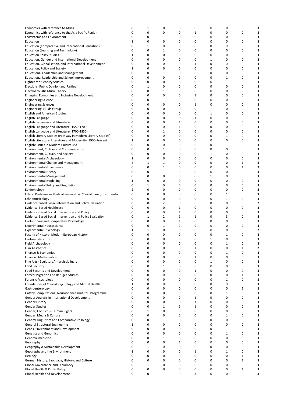|                                                                     | 0                       |             |                | 0            |              | 0            |              |              |   |
|---------------------------------------------------------------------|-------------------------|-------------|----------------|--------------|--------------|--------------|--------------|--------------|---|
| Economics with reference to Africa                                  |                         | 1           | 0              |              | 0            |              | 0            | 0            | 1 |
| Economics with reference to the Asia Pacific Region                 | 0                       | 0           | 0              | 0            | 1            | 0            | 0            | 0            | 1 |
| <b>Ecosystems and Environment</b>                                   | 0                       | 0           | 1              | 0            | $\mathbf 0$  | 0            | 0            | 0            | 1 |
| Education                                                           | 1                       | 0           | 0              | 0            | $\mathbf 0$  | 0            | 0            | 0            | 1 |
| Education (Comparative and International Education)                 | 0                       | 1           | 0              | 0            | 0            | 0            | 0            | 0            | 1 |
| Education (Learning and Technology)                                 | 0                       | $\mathbf 0$ | $\mathbf{1}$   | 0            | 0            | 0            | 0            | 0            | 1 |
| <b>Education Policy Studies</b>                                     | 1                       | 0           | 0              | 0            | 0            | 0            | 0            | 0            | 1 |
| Education, Gender and International Development                     | 0                       | 0           | 0              | 0            | 0            | 1            | 0            | 0            | 1 |
| Education, Globalisation, and International Development             | 0                       | 0           | 0              | 0            | 1            | 0            | 0            | 0            | 1 |
| <b>Education, Policy and Society</b>                                | 1                       | 0           | 0              | 0            | 0            | 0            | 0            | 0            | 1 |
| <b>Educational Leadership and Management</b>                        | 0                       | 0           | 1              | 0            | 0            | 0            | 0            | 0            | 1 |
|                                                                     | 0                       | 0           |                |              |              |              |              | 0            |   |
| Educational Leadership and School Improvement                       |                         |             | 0              | 0            | 0            | 0            | 1            |              | 1 |
| <b>Eighteenth-Century Studies</b>                                   | 0                       | 0           | 0              | 0            | 0            | 0            | 1            | 0            | 1 |
| Elections, Public Opinion and Parties                               | 0                       | 1           | 0              | 0            | 0            | 0            | 0            | 0            | 1 |
| <b>Electroacoustic Music Theory</b>                                 | 0                       | 0           | 1              | 0            | 0            | 0            | 0            | 0            | 1 |
| <b>Emerging Economies and Inclusive Development</b>                 | 0                       | 0           | 0              | 0            | 1            | 0            | 0            | 0            | 1 |
| <b>Engineering Science</b>                                          | 0                       | 0           | 1              | 0            | 0            | 0            | 0            | 0            | 1 |
| <b>Engineering Sciences</b>                                         | 0                       | 0           | 0              | 0            | 1            | 0            | 0            | 0            | 1 |
| Engineering, Fluids Group                                           | 0                       | 0           | 0              | 0            | 0            | 1            | 0            | 0            | 1 |
| <b>English and American Studies</b>                                 | 0                       | 0           | 0              | 0            | 0            | $\mathbf 1$  | 0            | 0            | 1 |
| English Language                                                    | 0                       | 0           | 0              | 0            | 1            | 0            | 0            | 0            | 1 |
| English Language and Literature                                     | 0                       | 0           | 0              | 1            | 0            | 0            | 0            | 0            | 1 |
|                                                                     |                         | 0           |                |              |              | 0            |              | 0            |   |
| English Language and Literature (1550-1700)                         | 0                       |             | 0              | 1            | 0            |              | 0            |              | 1 |
| English Language and Literature (1700-1830)                         | 0                       | 0           | 1              | 0            | 0            | 0            | 0            | 0            | 1 |
| English Literary Studies (Pathway in Modern Literary Studies)       | 0                       | 0           | 0              | 0            | 0            | 0            | $\mathbf{1}$ | 0            | 1 |
| English Literature: Literature and Modernity: 1900-Present          | 1                       | 0           | 0              | 0            | 0            | 0            | 0            | 0            | 1 |
| English: Issues in Modern Culture MA                                | 0                       | 0           | 0              | 0            | 0            | 0            | 1            | 0            | 1 |
| Environment, Culture and Communication                              | 0                       | 0           | 1              | 0            | 0            | 0            | 0            | 0            | 1 |
| Environment, Culture, and Society                                   | 0                       | 0           | 0              | 0            | 0            | 1            | 0            | 0            | 1 |
| <b>Environmental Archaeology</b>                                    | 1                       | 0           | 0              | 0            | 0            | 0            | 0            | 0            | 1 |
| <b>Environmental Change and Management</b>                          | $\overline{\mathbf{c}}$ | 1           | 1              | 0            | 0            | 0            | 0            | $\mathbf{1}$ | 5 |
| <b>Environmental Governance</b>                                     | 0                       | 0           | $\mathbf{1}$   | 0            | 0            | 0            | 0            | $\mathbf{1}$ | 2 |
|                                                                     | 0                       | 0           | 1              | 0            | 0            | 0            | 0            | 0            |   |
| <b>Environmental History</b>                                        |                         |             |                |              |              |              |              |              | 1 |
| <b>Environmental Management</b>                                     | 0                       | 0           | 0              | 0            | 0            | 1            | 0            | 0            | 1 |
| <b>Environmental Modelling</b>                                      | 1                       | 0           | 0              | 0            | 0            | 0            | 0            | 0            | 1 |
| Environmental Policy and Regulation                                 | 0                       | 1           | 0              | 0            | 0            | 0            | 0            | 0            | 1 |
| Epidemiology                                                        | 2                       | 0           | 0              | 0            | 0            | 0            | 0            | 0            | 2 |
| Ethical Problems in Medical Research or Clinical Care (Ethox Centre | 0                       | 0           | 0              | 0            | 0            | 0            | 1            | 0            | 1 |
| Ethnomusicology                                                     | 0                       | 0           | 0              | 0            | 0            | 0            | $\mathbf{1}$ | 0            | 1 |
| Evidence Based Social Intervention and Policy Evaluation            | 0                       | 0           | $\overline{2}$ | 0            | 0            | 0            | 0            | 0            | 2 |
| Evidence-Based Healthcare                                           | 0                       | 0           | 0              | $\mathbf 1$  | 0            | 0            | 0            | 0            | 1 |
| Evidence-Based Social Intervention and Policy                       | 0                       | 0           | 0              | $\mathbf 1$  | 0            | 0            | 0            | 0            | 1 |
| Evidence-Based Social Intervention and Policy Evaluation            | 0                       | 1           | $\overline{2}$ | 1            | 1            | 0            | 3            | 0            | 8 |
| Evolutionary and Comparative Psychology                             | 0                       | 0           | 0              | 1            | 0            | 0            | 0            | 0            | 1 |
| <b>Experimental Neuroscience</b>                                    | 0                       | 0           | 1              | 0            | 0            | 0            | 0            | 0            | 1 |
| <b>Experimental Psychology</b>                                      | 1                       | 1           | 0              | 0            | 0            | 0            | 0            | 0            | 2 |
| Faculty of History: Modern European History                         | 0                       | $\mathbf 0$ | $\mathbf 0$    | $\mathbf 0$  | $\mathbf 0$  | $\mathbf 0$  | $\mathbf{1}$ | 0            | 1 |
|                                                                     |                         |             |                |              |              |              |              |              |   |
| Fantasy Literature                                                  | 0                       | 0           | 0              | 0            | 0            | 1            | 0            | 0            | 1 |
| <b>Field Archaeology</b>                                            | 0                       | 0           | $\pmb{0}$      | 0            | $\pmb{0}$    | $\pmb{0}$    | $\mathbf{1}$ | 0            | 1 |
| Film Aesthetics                                                     | 0                       | 0           | 0              | 0            | 1            | 0            | 0            | $\mathbf{1}$ | 2 |
| Finance & Economics                                                 | 0                       | 0           | 0              | 0            | 0            | 0            | 1            | 0            | 1 |
| <b>Financial Mathematics</b>                                        | 0                       | 0           | 0              | 0            | 1            | 0            | 0            | 0            | 1 |
| Fine Arts - Sculpture/Interdisciplinary                             | 0                       | 0           | 0              | 0            | 0            | $\mathbf{1}$ | 0            | 0            | 1 |
| <b>Food Security</b>                                                | 0                       | 0           | $\mathbf{1}$   | 0            | 0            | 0            | 0            | 0            | 1 |
| Food Security and Development                                       | 0                       | 0           | 0              | 0            | 1            | 0            | 0            | 0            | 1 |
| Forced Migration and Refugee Studies                                | 0                       | 0           | 0              | 0            | $\mathbf 0$  | 0            | 0            | $\mathbf{1}$ | 1 |
| Forensic Psychology                                                 | 0                       | 0           | 0              | 0            | 0            | 0            | $\mathbf{1}$ | 0            | 1 |
| Foundations of Clinical Psychology and Mental Health                | 1                       | 0           | 0              | 0            | 0            | 0            | 0            | 0            | 1 |
| Gastroenterology                                                    | 0                       | 0           | 0              | 0            | 0            | 0            | 0            | $\mathbf{1}$ | 1 |
| Gatsby Computational Neuroscience Unit PhD Programme                |                         |             |                |              |              |              |              |              |   |
|                                                                     | 0                       | 0           | 0              | 0            | 0            | 0            | 1            | 0            | 1 |
| Gender Analysis in International Development                        | 0                       | 0           | 0              | 0            | $\mathbf{1}$ | 0            | 0            | 0            | 1 |
| Gender History                                                      | 0                       | 0           | 0              | 0            | $\mathbf{1}$ | 0            | 0            | 0            | 1 |
| Gender Studies                                                      | 0                       | 0           | $\mathbf{1}$   | $\mathbf{1}$ | $\mathbf{1}$ | 0            | 0            | 0            | з |
| Gender, Conflict, & Human Rights                                    | 0                       | 1           | $\mathbf 0$    | 0            | 0            | 0            | 0            | 0            | 1 |
| Gender, Media & Culture                                             | 0                       | 0           | 0              | 0            | 0            | 0            | $\mathbf{1}$ | 0            | 1 |
| General Linguistics and Comparative Philology                       | 0                       | $\mathbf 0$ | 1              | 0            | 0            | 0            | 0            | 0            | 1 |
| General Structural Engineering                                      | 1                       | 0           | $\mathbf 0$    | 0            | 0            | 0            | 0            | 0            | 1 |
| Genes, Environment and Development                                  | 0                       | 0           | 0              | 0            | 0            | 0            | 1            | 0            | 1 |
| <b>Genetics and Genomics</b>                                        | 0                       | 0           | 0              | 0            | 0            | 0            | 1            | 0            | 1 |
| Genomic medicine                                                    | 0                       | 0           | $\mathbf{1}$   | 0            | 0            | 0            | 0            | 0            | 1 |
| Geography                                                           | 0                       | 0           | 0              | 1            | $\mathbf 0$  | 0            | 0            | 0            | 1 |
| Geography & Sustainable Development                                 | 0                       | 1           | 0              | 0            | 0            | 0            | 0            | 0            | 1 |
|                                                                     | 1                       | 0           | 0              | 0            | 1            | 0            | 1            | 0            |   |
| Geography and the Environment                                       |                         |             |                |              |              |              |              |              | з |
| Geology                                                             | 0                       | 0           | 0              | 0            | 0            | 0            | 0            | $\mathbf{1}$ | 1 |
| German History: Language, History, and Culture                      | 0                       | 0           | 0              | 0            | 0            | 0            | 0            | $\mathbf{1}$ | 1 |
| Global Governance and Diplomacy                                     | 0                       | 1           | 0              | 0            | 0            | 0            | 0            | 0            | 1 |
| Global Health & Public Policy                                       | 0                       | 0           | 0              | 0            | 0            | 0            | 0            | $\mathbf{1}$ | 1 |
| Global Health and Development                                       | 0                       | 0           | 1              | 0            | 3            | 0            | 0            | 0            | 4 |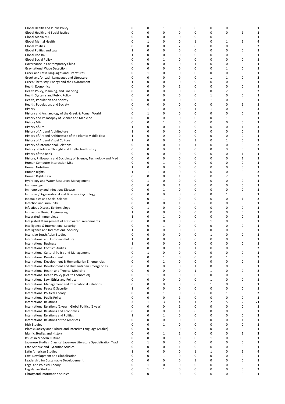| Global Health and Public Policy                                      | 0            | 0            | 1            | 0            | 0            | 0            | 0 | 0              | 1            |
|----------------------------------------------------------------------|--------------|--------------|--------------|--------------|--------------|--------------|---|----------------|--------------|
| Global Health and Social Justice                                     | 0            | 0            | 0            | 0            | 0            | 0            | 0 | $\mathbf{1}$   | 1            |
| Global Media MA                                                      | 0            | 0            | 0            | 0            | 0            | 0            | 1 | 0              | 1            |
|                                                                      |              |              |              |              |              |              |   |                |              |
| Global Mental Health                                                 | 0            | 1            | 0            | 0            | 1            | 0            | 1 | $\mathbf{1}$   | 4            |
| <b>Global Politics</b>                                               | 0            | 0            | 0            | 2            | 0            | 0            | 0 | 0              | 2            |
| <b>Global Politics and Law</b>                                       | 1            | 0            | 0            | 0            | 0            | 0            | 0 | 0              | 1            |
| <b>Global Racism</b>                                                 | 1            | 0            | 0            | 0            | 0            | 0            | 0 | $\mathbf 0$    | 1            |
|                                                                      |              |              |              |              |              |              |   |                |              |
| <b>Global Social Policy</b>                                          | 0            | 0            | 1            | 0            | 0            | 0            | 0 | 0              | 1            |
| Governance in Contemporary China                                     | 0            | 0            | 0            | 0            | 1            | 0            | 0 | 0              | 1            |
| <b>Gravitational Wave Detection</b>                                  | 0            | 0            | 0            | 0            | 0            | 0            | 1 | 0              | 1            |
|                                                                      |              |              |              |              |              |              |   |                |              |
| Greek and Latin Languages and Literatures                            | 0            | 1            | 0            | 0            | 0            | 0            | 0 | 0              | 1            |
| Greek and/or Latin Languages and Literature                          | 0            | 0            | 0            | 0            | 0            | 1            | 1 | 0              | 2            |
| Green Chemistry: Energy and the Environment                          | 1            | 0            | 0            | 0            | 0            | 0            | 0 | 0              | 1            |
| <b>Health Economics</b>                                              | 0            | 0            | 0            | 1            | 0            | 0            | 0 | $\mathbf 0$    | 1            |
|                                                                      |              |              |              |              |              |              |   |                |              |
| Health Policy, Planning, and Financing                               | 0            | 0            | 0            | 0            | 0            | 0            | 2 | 0              | 2            |
| <b>Health Systems and Public Policy</b>                              | 0            | 0            | 0            | 0            | 0            | 1            | 0 | 0              | 1            |
| Health, Population and Society                                       | 0            | 0            | 0            | 0            | 0            | 1            | 0 | 0              | 1            |
| Health, Population, and Society                                      | 0            | 0            | 0            | 0            | 0            | 0            | 0 | $\mathbf{1}$   | 1            |
|                                                                      |              |              |              |              |              |              |   |                |              |
| History                                                              | 0            | 1            | 0            | 0            | $\mathbf{1}$ | $\mathbf{1}$ | 0 | 0              | 3            |
| History and Archaeology of the Greek & Roman World                   | 0            | 1            | 0            | 0            | 0            | 0            | 0 | 0              | 1            |
| History and Philosophy of Science and Medicine                       | 0            | 0            | 0            | 0            | 0            | 0            | 1 | 0              | 1            |
|                                                                      | 0            | 0            |              | 0            | 0            | 0            | 0 | $\mathbf 0$    |              |
| <b>History MA</b>                                                    |              |              | $\mathbf{1}$ |              |              |              |   |                | 1            |
| History of Art                                                       | 1            | 0            | 0            | 1            | 0            | 0            | 0 | 1              | 3            |
| History of Art and Architecture                                      | 1            | 0            | 0            | 0            | 0            | 0            | 0 | 0              | 1            |
| History of Art and Architecture of the Islamic Middle East           | 1            | 0            | 0            | 0            | 0            | 0            | 0 | 0              | 1            |
|                                                                      |              |              |              |              |              |              |   |                |              |
| History of Art and Visual Culture                                    | 1            | 0            | 0            | 0            | $\mathbf{1}$ | 0            | 1 | 0              | 3            |
| History of International Relations                                   | 0            | 0            | 0            | $\mathbf{1}$ | $\mathbf{1}$ | 0            | 0 | 0              | 2            |
| History of Political Thought and Intellectual History                | 0            | 0            | 0            | 1            | 0            | 0            | 0 | 0              | 1            |
|                                                                      |              |              |              |              |              |              |   |                |              |
| History of the Book                                                  | 0            | 0            | 0            | 0            | 0            | 0            | 0 | $\mathbf{1}$   | 1            |
| History, Philosophy and Sociology of Science, Technology and Med     | 0            | 0            | 0            | 0            | 0            | 0            | 0 | $\mathbf{1}$   | 1            |
| Human Computer Interaction MSc                                       | $\mathbf 0$  | 0            | 1            | 0            | 0            | 0            | 0 | 0              | 1            |
| <b>Human Nutrition</b>                                               | 1            | 0            | 0            | 0            | 0            | 0            | 0 | 0              | 1            |
|                                                                      |              |              |              |              |              |              |   |                |              |
| Human Rights                                                         | 1            | 1            | 0            | 0            | 0            | 0            | 0 | 0              | 2            |
| Human Rights Law                                                     | 0            | 0            | 0            | $\mathbf{1}$ | 0            | 0            | 2 | 0              | 3            |
| Hydrology and Water Resources Management                             | 0            | 1            | 0            | 0            | 0            | 0            | 0 | 0              | 1            |
|                                                                      | 0            | 0            | 0            | $\mathbf{1}$ | 0            | 0            | 0 | 0              | 1            |
| Immunology                                                           |              |              |              |              |              |              |   |                |              |
| Immunology and Infectious Disease                                    | 0            | 0            | 1            | 0            | 0            | 0            | 0 | 0              | 1            |
| Industrial/Organisational and Business Psychology                    | 0            | 0            | 0            | 0            | 0            | 0            | 1 | 0              | 1            |
| <b>Inequalities and Social Science</b>                               | $\mathbf 0$  | 0            | 1            | 0            | 0            | 0            | 0 | 1              | 2            |
|                                                                      |              |              |              |              |              |              |   |                |              |
| Infection and Immunity                                               | $\mathbf 0$  | 0            | 0            | $\mathbf{1}$ | 0            | 0            | 0 | 0              | 1            |
| Infectious Disease Epidemiology                                      | 0            | 1            | 0            | 0            | 0            | 0            | 0 | 0              | 1            |
| Innovation Design Engineering                                        | 1            | 0            | 0            | 0            | 0            | 0            | 0 | 0              | 1            |
| Integrated Immunology                                                | 1            | 0            | $\mathbf{1}$ | 0            | 0            | 0            | 0 | 0              | 2            |
|                                                                      |              |              |              |              |              |              |   |                |              |
| Integrated Management of Freshwater Environments                     | 0            | 0            | 0            | 0            | 0            | 1            | 0 | 0              | 1            |
| Intelligence & International Security                                | 0            | 0            | 1            | 0            | 0            | 0            | 0 | 0              | 1            |
| Intelligence and International Security                              | 1            | 0            | 0            | 0            | 0            | 0            | 0 | 0              | 1            |
|                                                                      | 0            | $\mathbf 0$  | 0            | 0            | 0            | $\mathbf{1}$ | 0 | $\mathbf 0$    |              |
| Intensive South Asian Studies                                        |              |              |              |              |              |              |   |                | 1            |
| International and European Politics                                  | 1            | $\Omega$     | 0            | $\Omega$     | $\Omega$     | 0            | n | $\Omega$       | 1            |
| <b>International Business</b>                                        | 1            | 0            | $\pmb{0}$    | 0            | 0            | 0            | 0 | 0              | 1            |
| <b>International Conflict Studies</b>                                | 0            | 0            | 0            | $\mathbf{1}$ | 1            | 0            | 0 | 0              | 2            |
|                                                                      |              |              |              |              |              |              |   |                |              |
| <b>International Cultural Policy and Management</b>                  | 0            | $1\,$        | 0            | 0            | 0            | 0            | 0 | 0              | 1            |
| <b>International Development</b>                                     | 0            | $\mathbf 0$  | 1            | 0            | 0            | 0            | 1 | 0              | 2            |
| International Development & Humanitarian Emergencies                 | 0            | 0            | 1            | 0            | 0            | 0            | 0 | 0              | 1            |
| International Development and Humanitarian Emergencies               | 0            | 0            | 0            | 0            | $\mathbf{1}$ | 0            | 0 | 0              | 1            |
|                                                                      |              |              |              |              |              |              |   |                |              |
| International Health and Tropical Medicine                           | 0            | 0            | 0            | 0            | $\mathbf{1}$ | 1            | 0 | $\mathbf 0$    | 2            |
| International Health Policy (Health Economics)                       | $\mathbf 0$  | 1            | 0            | 0            | 0            | 0            | 0 | 0              | 1            |
| International Law, Ethics and Politics                               | $\mathbf 0$  | 0            | 0            | 0            | 0            | 1            | 0 | 0              | 1            |
| International Management and International Relations                 | 0            | 0            | 0            | 0            | 0            | 1            | 0 | 0              | 1            |
|                                                                      |              |              |              |              |              |              |   |                |              |
| <b>International Peace &amp; Security</b>                            | $\mathbf{1}$ | 0            | 0            | 0            | 0            | 0            | 0 | 0              | 1            |
| International Political Theory                                       | 0            | 0            | 1            | 0            | 0            | 0            | 1 | 0              | $\mathbf{2}$ |
| <b>International Public Policy</b>                                   | 0            | 0            | 0            | $\mathbf{1}$ | 0            | 0            | 0 | 0              | 1            |
| <b>International Relations</b>                                       | 3            | 1            | 3            | 4            | 1            | 2            | 5 | $\overline{2}$ | 21           |
|                                                                      |              |              |              |              |              |              |   |                |              |
| International Relations (1 year), Global Politics (1 year)           | 0            | 0            | 0            | $\mathbf{1}$ | 0            | 0            | 0 | 0              | 1            |
| <b>International Relations and Economics</b>                         | $\mathbf 0$  | 0            | 0            | $\mathbf{1}$ | 0            | 0            | 0 | 0              | 1            |
| <b>International Relations and Politics</b>                          | 1            | 0            | 1            | 0            | 0            | 0            | 0 | 0              | 2            |
|                                                                      |              |              |              |              |              |              |   |                |              |
| International Relations of the Americas                              | 0            | 0            | 0            | 0            | 0            | 0            | 0 | 1              | 1            |
| Irish Studies                                                        | 0            | 0            | 1            | 0            | 0            | 0            | 0 | 0              | 1            |
| Islamic Society and Culture and Intensive Language (Arabic)          | 0            | 0            | $\mathbf{1}$ | 0            | 0            | 0            | 0 | 0              | 1            |
| <b>Islamic Studies and History</b>                                   | $\mathbf 0$  | 0            | 1            | $\mathbf{1}$ | 0            | 0            | 0 | 1              | 3            |
|                                                                      |              |              |              |              |              |              |   |                |              |
| Issues in Modern Culture                                             | 0            | 0            | 0            | 0            | 0            | 1            | 0 | 0              | 1            |
| Japanese Studies (Classical Japanese Literature Specialization Tracl | 0            | $\mathbf 1$  | 0            | 0            | 0            | 0            | 0 | 0              | 1            |
| Late Antique and Byzantine Studies                                   | $\mathbf 0$  | 0            | 0            | $\mathbf{1}$ | 0            | 0            | 0 | 0              | 1            |
|                                                                      | 1            | 0            | 0            | 0            |              | $\mathbf{1}$ | 0 |                | 4            |
| Latin American Studies                                               |              |              |              |              | 1            |              |   | 1              |              |
| Law, Development and Globalisation                                   | 0            | 0            | 1            | 0            | 0            | 0            | 0 | 0              | 1            |
| Leadership for Sustainable Developement                              | 0            | 0            | 0            | 0            | 1            | 0            | 0 | 0              | 1            |
| Legal and Political Theory                                           | 0            | $\mathbf{1}$ | 0            | 0            | 0            | 0            | 0 | 0              | 1            |
|                                                                      |              |              |              |              |              |              |   |                |              |
| Legislative Studies                                                  | 0            | $\mathbf 1$  | $\mathbf{1}$ | $\pmb{0}$    | 0            | 0            | 0 | 0              | 2            |
| Library and Information Studies                                      | 0            | 0            | $\mathbf{1}$ | 0            | 0            | 0            | 0 | 0              | 1            |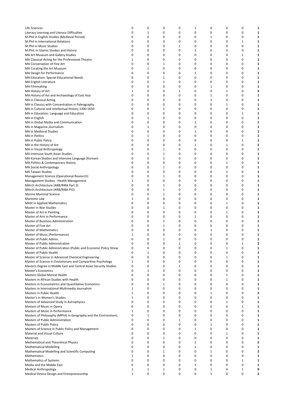| Life Sciences                                                                                        | 0                | 0           | 0            | 0            | 1      | 0      | 0            | 0           | 1            |
|------------------------------------------------------------------------------------------------------|------------------|-------------|--------------|--------------|--------|--------|--------------|-------------|--------------|
| Literacy Learning and Literacy Difficulties                                                          | 0                | $1\,$       | 0            | 0            | 0      | 0      | 0            | 0           | 1            |
| M.Phil in English Studies (Medieval Period)                                                          | 0                | 0           | 0            | 0            | 0      | 1      | 0            | 0           | 1            |
| M.Phil in International Relations                                                                    | $\mathbf 0$      | 0           | 0            | 0            | 0      | 0      | 0            | 1           | 1            |
| M.Phil in Music Studies                                                                              | $\mathbf 0$      | $\mathbf 0$ | 0            | $\mathbf{1}$ | 0      | 0      | 0            | 0           | 1            |
| M.Phil. in Islamic Studies and History                                                               | 0                | 0           | 0            | 0            | 1      | 0      | 0            | 0           | 1            |
| MA Art Museum and Gallery Studies                                                                    | 0                | 0           | 0            | 0            | 0      | 0      | 0            | 1           | 1            |
| MA Classical Acting for the Professional Theatre                                                     | 1                | 0           | 0            | 0            | 0      | 0      | 0            | 0           | 1            |
| MA Conservation of Fine Art                                                                          | 0                | 0           | 1            | 0            | 0      | 0      | 0            | 0           | 1            |
| MA Curating the Art Museum                                                                           | 0                | 1           | 0            | 0            | 0      | 0      | 0            | 0           | 1            |
| MA Design for Performance                                                                            | 0                | 0           | 0            | 0            | 1      | 0      | 0            | 0           | 1            |
| MA Education: Special Educational Needs                                                              | 0                | 0           | 1            | 0            | 0      | 0      | 0            | 0           | 1            |
| MA English Literature                                                                                | 0                | 0           | $\mathbf{1}$ | 0            | 0      | 0      | 0            | 0           | 1            |
| <b>MA Filmmaking</b>                                                                                 | 0                | 0           | 0            | 0            | 0      | 1      | 0            | 0           | 1            |
| MA History of Art                                                                                    | 1                | 0           | 0            | $\mathbf{1}$ | 0      | 0      | 1            | 0           | 3            |
| MA History of Art and Archaeology of East Asia                                                       | 0                | 0           | $\mathbf 0$  | 0            | 0      | 1      | 0            | 0           | 1            |
| MA in Classical Acting                                                                               | 0                | 0           | 0            | 0            | 0      | 1      | 0            | 0           | 1            |
| MA in Classics with Concentration in Paleography                                                     | 0                | 0           | 0            | 0            | 0      | 0      | 1            | 0           | 1            |
| MA in Cultural and Intellectual History 1300-1650                                                    | 0                | 0           | 1            | 0            | 0      | 0      | 0            | 0           | 1            |
| MA in Education: Language and Education                                                              | 0                | 0           | 0            | 0            | 0      | 0      | 0            | 1           | 1            |
| MA in English                                                                                        | $\mathbf 0$      | 1           | 0            | 0            | 0      | 0      | 0            | 0           | 1            |
| MA in Global Media and Communication                                                                 | 0                | 0           | 0            | 0            | 1      | 0      | 0            | 0           | 1            |
| MA in Magazine Journalism                                                                            | 0                | $1\,$       | 0            | 0            | 0      | 0      | 0            | 0           | 1            |
| MA in Medieval Studies                                                                               | 0                | 0           | 0            | 0            | 1      | 0      | 0            | 0           | 1            |
| <b>MA</b> in Politics                                                                                | 0                | $1\,$<br>0  | 0            | 0            | 0      | 0      | 0<br>0       | 0           | 1            |
| MA in Public Policy                                                                                  | 0<br>0           | 0           | 0<br>0       | 0<br>0       | 0      | 0<br>0 | 1            | 1<br>0      | 1<br>2       |
| MA in the History of Art                                                                             | 0                | 0           | 1            | 0            | 1<br>0 | 0      | 0            | 0           | 1            |
| MA in Visual Anthropology<br>MA Intensive South Asian Studies                                        | 0                | 0           | 1            | 0            | 0      | 0      | 0            | $\mathbf 0$ | 1            |
| MA Korean Studies and Intensive Language (Korean)                                                    | 0                | 0           | 1            | 0            | 0      | 0      | 0            | 0           | 1            |
| MA Politics & Contemporary History                                                                   | 0                | 0           | $\mathbf 0$  | 0            | 0      | 0      | 1            | 0           | 1            |
| MA Social Anthropology                                                                               | 0                | 0           | 1            | 0            | 0      | 0      | 0            | 0           | 1            |
| <b>MA Taiwan Studies</b>                                                                             | 0                | 0           | 0            | 0            | 0      | 0      | 1            | 0           | 1            |
| Management Science (Operational Research)                                                            | 0                | 0           | 1            | 0            | 0      | 0      | 0            | 0           | 1            |
| Management Studies - Health Management                                                               | 1                | 0           | 0            | 0            | 0      | 0      | 0            | 0           | 1            |
| MArch Architecture (ARB/RIBA Part 2)                                                                 | 0                | 0           | $\mathbf{1}$ | 0            | 0      | 0      | 0            | 0           | 1            |
| MArch Architecture (ARB/RIBA Pt2)                                                                    | 0                | 0           | 1            | 0            | 0      | 0      | 0            | 0           | 1            |
| Marine Mammal Science                                                                                | $\mathbf 0$      | 0           | $\mathbf{1}$ | 0            | 0      | 0      | 0            | 0           | 1            |
| Maritime Law                                                                                         | 1                | 0           | 0            | 0            | 0      | 0      | 0            | 0           | 1            |
| <b>MASt in Applied Mathematics</b>                                                                   | 0                | 0           | 0            | 0            | 0      | 0      | 1            | 0           | 1            |
| Master in War Studies                                                                                | 0                | 0           | 1            | 0            | 0      | 0      | 0            | 0           | 1            |
| Master of Art in Painting                                                                            | 0                | 0           | 0            | 0            | 0      | 0      | 1            | 0           | 1            |
| Master of Arts in Performance                                                                        | 0                | 0           | 0            | 0            | 1      | 0      | 0            | 0           | 1            |
| Master of Business Administration                                                                    | 0                | 0           | 1            | 0            | 0      | 0      | 0            | 0           | 1            |
| Master of Fine Art                                                                                   | 0                | 0           | 1            | 0            | 0      | 0      | 0            | 0           | 1            |
| <b>Master of Mathematics</b>                                                                         | 0                | 0           | 0            | $\mathbf 0$  | 0      | 1      | 0            | 0           | 1            |
| Master of Music (Performance)                                                                        | 1                | $\mathbf 0$ | 0            | 0            | 0      | 0      | 0            | 0           | 1            |
| Master of Public Admin.                                                                              | 0                | 0           | 1            | 0            | 0      | 0      | 0            | 0           | 1            |
| Master of Public Administration                                                                      | 0                | 0           | $\pmb{0}$    | $\mathbf{1}$ | 0      | 0      | 0            | 1           | $\mathbf{2}$ |
| Master of Public Administration (Public and Economic Policy Strear                                   | 0                | 0           | $\mathbf 0$  | 0            | 0      | 0      | 1            | 0           | 1            |
| Master of Public Health                                                                              | 0                | 1           | 0            | 0            | 0      | 0      | 0            | 0           | 1            |
| Master of Science in Advanced Chemical Engineering                                                   | 0                | 0           | 0            | 0            | 0      | 0      | 1            | 0           | 1            |
| Master of Science in Evolutionary and Comparitive Psychology                                         | $\mathbf 1$      | 0           | 0            | 0            | 0      | 0      | 0            | 0           | 1            |
| Masters Degree in Middle East and Central Asian Security Studies                                     | 0                | 0           | 0            | $\mathbf{1}$ | 0      | 0      | 0            | 0           | 1            |
| Master's Economics                                                                                   | 0                | 1           | 0            | 0            | 0      | 0      | 0            | 0           | 1            |
| Masters Global Mental Health                                                                         | 0                | 0           | $\mathbf 0$  | 0            | 0      | 0      | 1            | 0           | 1            |
| Masters in African Studies with Health                                                               | 0<br>$\mathbf 0$ | 0           | 0            | 0            | 0      | 0      | $\mathbf{1}$ | 0           | 1            |
| Masters in Econometrics and Quantitative Economics<br>Masters in International Multimedia Journalism | 1                | 0<br>0      | 1<br>0       | 0<br>0       | 0<br>0 | 0<br>0 | 0<br>0       | 0<br>0      | 1<br>1       |
| Masters in Public Health                                                                             | 1                | 0           | 0            | 0            | 0      | 1      | 0            | $\mathbf 0$ | 2            |
| Master's in Women's Studies                                                                          | 1                | 0           | 0            | 0            | 0      | 0      | 0            | 0           | 1            |
| Masters of Advanced Study in Astrophysics                                                            | 0                | 0           | 0            | 0            | 0      | 0      | 1            | 0           | 1            |
| Masters of Music in Opera                                                                            | 0                | 0           | 0            | 0            | 0      | 0      | 0            | 1           | 1            |
| Masters of Music in Performance                                                                      | 1                | 0           | 0            | 0            | 0      | 0      | 0            | 0           | 1            |
| Masters of Philosophy (MPhil) in Geography and the Environment,                                      | 0                | 1           | 0            | 0            | 0      | 0      | 0            | 0           | 1            |
| Masters of Public Administration                                                                     | 0                | 0           | 0            | 1            | 0      | 0      | 0            | 0           | 1            |
| Masters of Public Policy                                                                             | 0                | 0           | 0            | 0            | 0      | 1      | 0            | 0           | 1            |
| Masters of Science in Public Policy and Management                                                   | 0                | 0           | 0            | 0            | 1      | 0      | 0            | 0           | 1            |
| Material and Visual Culture                                                                          | 0                | 0           | 0            | 0            | 0      | 0      | 1            | $\mathbf 0$ | 1            |
| Materials                                                                                            | 0                | 0           | $\mathbf{1}$ | 0            | 0      | 0      | 0            | 0           | 1            |
| Mathematical and Theoretical Physics                                                                 | 0                | 0           | 0            | 0            | 2      | 0      | 0            | 0           | $\mathbf{2}$ |
| <b>Mathematical Modelling</b>                                                                        | 0                | 0           | 0            | 0            | 1      | 0      | 0            | 0           | 1            |
| Mathematical Modelling and Scientific Computing                                                      | 0                | 0           | 1            | 0            | 0      | 1      | 0            | 0           | 2            |
| Mathematics                                                                                          | 1                | 0           | $\mathbf 0$  | 0            | 0      | 0      | 0            | 0           | 1            |
| Mathematics of Systems                                                                               | 0                | 0           | 0            | 0            | 0      | 0      | 0            | 1           | 1            |
| Media and the Middle East                                                                            | 0                | 0           | 0            | 0            | 1      | 0      | 0            | 0           | 1            |
| <b>Medical Anthropology</b>                                                                          | 1                | $\mathbf 1$ | $\mathbf{1}$ | 0            | 0      | 1      | 4            | 1           | 9            |
| Medical Device Design and Entrepreneurship                                                           | 1                | 0           | 0            | 0            | 0      | 1      | 0            | 0           | 2            |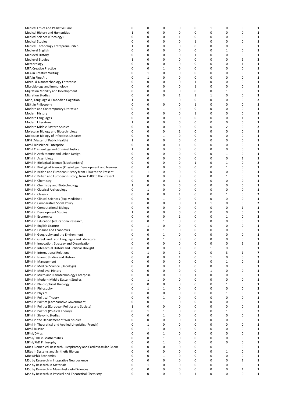| Medical Ethics and Palliative Care                                | 0           | 0           | 0            | 0            | 0            | 1            | 0            | 0            | 1 |
|-------------------------------------------------------------------|-------------|-------------|--------------|--------------|--------------|--------------|--------------|--------------|---|
| <b>Medical History and Humanities</b>                             | 1           | 0           | 0            | 0            | 0            | $\mathbf 0$  | 0            | 0            | 1 |
| Medical Science (Oncology)                                        | 0           | 0           | 0            | 1            | 0            | 0            | 0            | 0            | 1 |
| <b>Medical Studies</b>                                            | 0           | 0           | 0            | 0            | $\mathbf{1}$ | 0            | 0            | 0            | 1 |
| Medical Technology Entrepreneurship                               | 1           | 0           | 0            | 0            | 0            | 0            | 0            | 0            | 1 |
| Medieval English                                                  | 0           | 0           | 0            | 0            | 0            | 0            | 1            | 0            | 1 |
| <b>Medieval History</b>                                           | 0           | 0           | 0            | 0            | $\mathbf{1}$ | 0            | 0            | 0            | 1 |
|                                                                   |             |             |              |              |              |              |              |              |   |
| <b>Medieval Studies</b>                                           | 1           | 0           | 0            | 0            | 0            | $\mathbf 0$  | 0            | $\mathbf{1}$ | 2 |
| Meteorology                                                       | 0           | 0           | 0            | 0            | 0            | 0            | 0            | 1            | 1 |
| <b>MFA Creative Practice</b>                                      | 0           | 0           | 1            | 0            | 0            | 0            | 0            | 0            | 1 |
| <b>MFA in Creative Writing</b>                                    | 0           | 1           | 0            | 0            | 0            | 0            | 0            | 0            | 1 |
| MFA in Fine Art                                                   | 0           | 1           | 0            | 0            | 0            | 0            | 0            | 0            | 1 |
| Micro- & Nanotechnology Enterprise                                | 0           | 0           | 0            | 0            | $\mathbf{1}$ | 0            | 0            | 0            | 1 |
|                                                                   |             |             |              |              |              |              |              |              |   |
| Microbiology and Immunology                                       | 0           | 0           | 0            | 0            | $\mathbf{1}$ | 0            | 0            | 0            | 1 |
| Migration Mobility and Development                                | 0           | 0           | 0            | 0            | $\mathbf 0$  | $\mathbf 0$  | 1            | 0            | 1 |
| <b>Migration Studies</b>                                          | 0           | 0           | 0            | 1            | $\mathbf{1}$ | 1            | 0            | 0            | 3 |
| Mind, Language & Embodied Cognition                               | 1           | 0           | 1            | 0            | 0            | 0            | 0            | 0            | 2 |
| MLitt in Philosophy                                               | 0           | 0           | 0            | 0            | $\mathbf{1}$ | 0            | 0            | 0            | 1 |
| Modern and Contemporary Literature                                | 0           | 0           | 1            | 0            | 0            | 0            | 0            | 0            | 1 |
|                                                                   |             |             |              |              |              |              |              |              |   |
| Modern History                                                    | 0           | 0           | 0            | 0            | $\mathbf{1}$ | 0            | 0            | 0            | 1 |
| Modern Languages                                                  | 0           | 0           | 0            | 0            | 0            | 0            | 0            | 1            | 1 |
| Modern Literature                                                 | 1           | 0           | 0            | 0            | 0            | $\mathbf 0$  | 0            | 0            | 1 |
| Modern Middle Eastern Studies                                     | 0           | 0           | 0            | 0            | 0            | $\mathbf 0$  | 2            | 0            | 2 |
| Molecular Biology and Biotechnology                               | 0           | 0           | 0            | 1            | 0            | 0            | 0            | 0            | 1 |
|                                                                   |             |             |              |              |              |              |              |              |   |
| Molecular Biology of Infectious Diseases                          | 0           | 0           | 1            | 0            | 0            | 0            | 0            | 0            | 1 |
| MPH (Master of Public Health)                                     | 1           | 0           | 0            | 0            | 0            | 0            | 0            | 0            | 1 |
| MPhil Bioscience Enterprise                                       | 0           | 0           | 0            | 1            | 0            | 0            | 0            | 0            | 1 |
| MPhil Criminology and Criminal Justice                            | 1           | 0           | 0            | 0            | 0            | 0            | 0            | 0            | 1 |
| MPhil in Architecture and Urban Design                            | 0           | 0           | 0            | 0            | 0            | 0            | $\mathbf{1}$ | 0            | 1 |
|                                                                   |             |             |              |              |              |              |              |              |   |
| <b>MPhil in Assyriology</b>                                       | 0           | 0           | 0            | 0            | 0            | 0            | 0            | 1            | 1 |
| MPhil in Biological Science (Biochemistry)                        | 0           | 0           | 0            | 0            | $\mathbf{1}$ | 0            | 1            | 0            | 2 |
| MPhil in Biological Science (Physiology, Development and Neurosci | 0           | 0           | 0            | 0            | 0            | $\mathbf 0$  | 1            | 0            | 1 |
| MPhil in British and European History from 1500 to the Present    | 0           | 1           | 0            | 0            | 0            | 0            | 0            | 0            | 1 |
| MPhil in British and European History, from 1500 to the Present   | 0           | 0           | 0            | 0            | 0            | 0            | 1            | 0            | 1 |
| MPhil in Chemistry                                                | $\mathbf 0$ | 0           | 0            | 1            | 0            | 0            | 0            | 0            | 1 |
|                                                                   |             |             |              |              |              |              |              |              |   |
| MPhil in Chemistry and Biotechnology                              | 1           | 0           | 0            | 0            | 0            | 0            | 0            | 0            | 1 |
| MPhil in Classical Archaeology                                    | $\mathbf 0$ | 1           | 0            | 0            | 0            | 0            | 0            | 0            | 1 |
| <b>MPhil in Classics</b>                                          | 0           | 0           | 0            | 1            | 0            | $\mathbf 0$  | 1            | 0            | 2 |
| MPhil in Clinical Sciences (Exp Medicine)                         | 0           | 0           | 1            | 0            | 0            | 0            | 0            | 0            | 1 |
| MPhil in Comparative Social Policy                                | 0           | 0           | 0            | 0            | $\mathbf{1}$ | 1            | 0            | 0            | 2 |
| <b>MPhil in Computational Biology</b>                             | 0           | 0           | 0            | 0            | 0            | $\mathbf 0$  | 0            | 1            | 1 |
|                                                                   |             |             |              |              |              |              |              |              |   |
| MPhil in Development Studies                                      | 1           | 0           | 0            | 0            | 0            | 0            | 0            | 0            | 1 |
| <b>MPhil in Economics</b>                                         | 0           | 0           | 0            | 1            | 0            | 0            | 1            | 0            | 2 |
| MPhil in Education (educational research)                         | 0           | 0           | 1            | 0            | 0            | 0            | 0            | 0            | 1 |
| MPhil in English Litature                                         | 0           | 1           | 0            | 0            | 0            | 0            | 0            | 0            | 1 |
| MPhil in Finance and Economics                                    | 0           | 0           | 1            | 0            | 0            | 0            | 0            | 0            | 1 |
| MPhil in Geography and the Environment                            | 0           | 0           | $\mathbf{1}$ | 0            | 0            | $\mathbf 0$  | 0            | 0            | 1 |
|                                                                   |             |             |              |              |              |              |              |              |   |
| MPhil in Greek and Latin Languages and Literature                 | $\mathbf 0$ | 0           | 1            | 0            | 0            | 0            | 0            | 0            | 1 |
| MPhil in Innovation, Strategy and Organization                    | 0           | 0           | 0            | $\pmb{0}$    | $\pmb{0}$    | $\pmb{0}$    | 0            | 1            | 1 |
| MPhil in Intellectual History and Political Thought               | 0           | 0           | 0            | 0            | 0            | $\mathbf{1}$ | 0            | 0            | 1 |
| MPhil in International Relations                                  | 0           | 1           | 0            | 2            | 0            | 0            | 3            | 1            | 7 |
| MPhil in Islamic Studies and History                              | 0           | 0           | 0            | $\mathbf{1}$ | 0            | $\mathbf{1}$ | 0            | 0            | 2 |
|                                                                   | $\mathbf 0$ | 0           | 0            | 0            | 0            | 0            |              | 0            |   |
| MPhil in Management                                               |             |             |              |              |              |              | 1            |              | 1 |
| MPhil in Medical Science (Oncology)                               | 0           | 0           | 0            | 1            | 0            | $\mathbf 0$  | 0            | 0            | 1 |
| MPhil in Medieval History                                         | 0           | 0           | 0            | 0            | 0            | 1            | 0            | 0            | 1 |
| MPhil in Micro and Nanotechnology Enterprise                      | 0           | 0           | 0            | 0            | $\mathbf{1}$ | $\mathbf 0$  | 0            | 0            | 1 |
| MPhil in Modern Middle Eastern Studies                            | 0           | $\mathbf 1$ | 0            | 0            | 0            | $\mathbf 0$  | 0            | 0            | 1 |
| MPhil in Philosophical Theology                                   | 0           | 0           | 0            | 0            | 0            | 0            | 1            | 0            | 1 |
| MPhil in Philosophy                                               | 0           | 1           | 1            | 0            | 0            | 0            | 0            | 0            | 2 |
|                                                                   |             |             |              |              |              |              |              |              |   |
| <b>MPhil in Physics</b>                                           | 0           | 0           | 0            | 0            | 0            | 0            | 1            | 0            | 1 |
| MPhil in Political Theory                                         | 0           | 0           | 1            | 0            | 0            | 0            | $\mathbf 0$  | 0            | 1 |
| MPhil in Politics (Comparative Government)                        | 0           | 0           | 1            | 0            | 0            | 0            | 0            | 0            | 1 |
| MPhil in Politics (European Politics and Society)                 | 1           | 0           | 0            | 0            | 0            | 0            | 0            | 0            | 1 |
| MPhil in Politics (Political Theory)                              | 0           | 1           | 1            | 0            | 0            | 0            | 1            | 0            | 3 |
|                                                                   | 0           | 0           | 1            | 0            | 0            | 0            | 0            | 0            |   |
| MPhil in Slavonic Studies                                         |             |             |              |              |              |              |              |              | 1 |
| MPhil in the Department of War Studies                            | 0           | 0           | 0            | 0            | $\mathbf{1}$ | 0            | 0            | 0            | 1 |
| MPhil in Theoretical and Applied Linguistics (French)             | 0           | 1           | 0            | 0            | 0            | 0            | 0            | 0            | 1 |
| <b>MPhil Russian</b>                                              | 0           | $\mathbf 1$ | 0            | 0            | 0            | 0            | 0            | 0            | 1 |
| MPhil/DMus                                                        | 0           | 0           | 1            | 0            | 0            | 0            | 0            | 0            | 1 |
| MPhil/PhD in Mathematics                                          | 0           | 0           | $\mathbf{1}$ | 0            | 0            | 0            | $\mathbf 0$  | 0            | 1 |
|                                                                   |             |             |              |              |              |              |              |              |   |
| MPhil/PhD Philosophy                                              | $\mathbf 0$ | 0           | 1            | 0            | 0            | 0            | 0            | $\mathbf 0$  | 1 |
| MRes Biomedical Research - Respiratory and Cardiovascular Scienc  | 0           | 0           | 0            | 0            | 0            | $\mathbf 0$  | 1            | 0            | 1 |
| MRes in Systems and Synthetic Biology                             | 0           | 0           | 0            | 0            | 0            | 0            | 1            | 0            | 1 |
| MRes/PhD Economics                                                | 0           | 0           | 1            | 0            | 0            | $\mathbf 0$  | 0            | 0            | 1 |
| MSc by Research in Integrative Neuroscience                       | 0           | 0           | 0            | 0            | 0            | 0            | 0            | 1            | 1 |
| MSc by Research in Materials                                      | 0           | 1           | 0            | 0            | 0            | 0            | 0            | 0            | 1 |
|                                                                   | 0           | 0           |              |              |              |              |              |              |   |
| MSc by Research in Musculoskeletal Sciences                       |             |             | 0            | 0            | 0            | 0            | 0            | $\mathbf{1}$ | 1 |
| MSc by Research in Physical and Theoretical Chemistry             | 0           | 0           | 0            | 0            | $\mathbf{1}$ | 0            | 0            | 0            | 1 |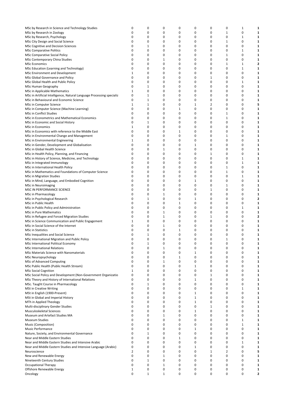| MSc by Research in Science and Technology Studies                     | 0            | 0            | 0            | 0 | 0            | 0 | 0           | 1           | 1                       |
|-----------------------------------------------------------------------|--------------|--------------|--------------|---|--------------|---|-------------|-------------|-------------------------|
| MSc by Research in Zoology                                            | 0            | 0            | 0            | 0 | 0            | 0 | 1           | 0           | 1                       |
| MSc by Research, Psychology                                           | $\mathbf 0$  | 0            | 0            | 0 | 0            | 0 | 0           | 1           | 1                       |
|                                                                       |              |              |              |   |              |   |             |             |                         |
| MSc City Design and Social Science                                    | 0            | 0            | 0            | 0 | 0            | 0 | 1           | 0           | 1                       |
| MSc Cognitive and Decision Sciences                                   | $\mathbf 0$  | 1            | 0            | 0 | 0            | 0 | 0           | 0           | 1                       |
| <b>MSc Comparative Politics</b>                                       | 0            | 0            | 0            | 0 | 0            | 0 | 0           | 1           | 1                       |
|                                                                       |              |              |              |   |              |   |             |             |                         |
| MSc Comparative Social Policy                                         | 0            | 0            | 0            | 0 | 0            | 0 | 1           | 0           | 1                       |
| MSc Contemporary China Studies                                        | 0            | 0            | 1            | 0 | 0            | 0 | 0           | 0           | 1                       |
| <b>MSc Economics</b>                                                  | 0            | 0            | 0            | 0 | 0            | 0 | 1           | 1           | $\overline{\mathbf{2}}$ |
| MSc Education (Learning and Technology)                               | 0            | 0            | 0            | 0 | 0            | 0 | 0           | 1           | 1                       |
|                                                                       |              |              |              |   |              |   |             |             |                         |
| MSc Environment and Development                                       | 1            | 0            | 0            | 0 | 0            | 0 | 0           | 0           | 1                       |
| MSc Global Governance and Policy                                      | 0            | 0            | 0            | 0 | 0            | 1 | 0           | 0           | 1                       |
| MSc Global Health and Public Policy                                   | 0            | 0            | 0            | 0 | 0            | 0 | 0           | 1           | 1                       |
|                                                                       | 0            | 1            | 0            | 0 | 0            | 0 | 0           | 0           | 1                       |
| MSc Human Geography                                                   |              |              |              |   |              |   |             |             |                         |
| MSc in Applicable Mathematics                                         | 1            | 0            | 0            | 0 | 0            | 0 | 0           | 0           | 1                       |
| MSc in Artificial Intelligence, Natural Language Processing specializ | 0            | $\mathbf{1}$ | 0            | 0 | 0            | 0 | 0           | 0           | 1                       |
| MSc in Behavioural and Economic Science                               | 0            | $\mathbf{1}$ | 0            | 0 | 0            | 0 | 0           | 0           | 1                       |
|                                                                       |              |              |              |   |              |   |             |             |                         |
| MSc in Computer Science                                               | $\mathbf{1}$ | $\mathbf{1}$ | 0            | 0 | 1            | 2 | 0           | 0           | 5                       |
| MSc in Computer Science (Machine Learning)                            | 0            | 0            | 0            | 1 | 0            | 0 | 0           | 0           | 1                       |
| MSc in Conflict Studies                                               | 0            | 0            | 0            | 0 | 0            | 0 | 1           | 0           | 1                       |
| MSc in Econometrics and Mathematical Economics                        | $\mathbf 0$  | 0            | 0            | 0 | 0            | 0 | 1           | 0           | 1                       |
|                                                                       |              |              |              |   |              |   |             |             |                         |
| MSc in Economic and Social History                                    | 0            | $\mathbf{1}$ | 0            | 0 | 0            | 0 | 0           | 0           | 1                       |
| <b>MSc in Economics</b>                                               | 1            | 0            | 0            | 0 | 0            | 0 | 0           | 0           | 1                       |
| MSc in Economics with reference to the Middle East                    | 0            | 0            | 0            | 1 | 0            | 0 | 0           | 0           | 1                       |
|                                                                       | 0            | 0            | 0            | 0 | 0            | 0 |             | 0           |                         |
| MSc in Environmental Change and Management                            |              |              |              |   |              |   | 1           |             | 1                       |
| MSc in Environmental Engineering                                      | $\mathbf{1}$ | 0            | 0            | 0 | 0            | 0 | 0           | 0           | 1                       |
| MSc in Gender, Development and Globalisation                          | 0            | 0            | 0            | 0 | 1            | 0 | 0           | 0           | 1                       |
| MSc in Global Health Science                                          | 0            | 0            | 1            | 0 | 0            | 0 | 0           | 0           | 1                       |
|                                                                       |              |              |              |   |              |   |             |             |                         |
| MSc in Health Policy, Planning, and Financing                         | 0            | 0            | 0            | 0 | 0            | 1 | 0           | 0           | 1                       |
| MSc in History of Science, Medicine, and Technology                   | 0            | 0            | 0            | 0 | 0            | 0 | 0           | 1           | 1                       |
| MSc in Integrated Immunology                                          | 0            | 0            | 0            | 0 | 0            | 0 | 0           | 1           | 1                       |
|                                                                       |              |              |              |   |              |   |             |             |                         |
| MSc in International Health Policy                                    | $\mathbf 0$  | 0            | 0            | 0 | 0            | 0 | 1           | 0           | 1                       |
| MSc in Mathematics and Foundations of Computer Science                | 0            | 0            | 0            | 0 | 0            | 0 | 1           | 0           | 1                       |
| MSc in Migration Studies                                              | 0            | 0            | 0            | 0 | 0            | 0 | 0           | 1           | 1                       |
| MSc in Mind, Language, and Embodied Cognition                         | 0            | 0            | 0            | 0 | 1            | 0 | 0           | 0           | 1                       |
|                                                                       |              |              |              |   |              |   |             |             |                         |
| MSc in Neuroimaging                                                   | 0            | 0            | 0            | 0 | 0            | 0 | 1           | 0           | 1                       |
| MSC IN PERFORMANCE SCIENCE                                            | 0            | 0            | 0            | 0 | 0            | 1 | 0           | 0           | 1                       |
| MSc in Pharmacology                                                   | 0            | 0            | 1            | 0 | 0            | 0 | 0           | 0           | 1                       |
| MSc in Psychological Research                                         | 0            | 1            | 0            | 0 | 1            | 0 | 0           | 0           | 2                       |
|                                                                       |              |              |              |   |              |   |             |             |                         |
| MSc in Public Health                                                  | 0            | 0            | 0            | 1 | 0            | 0 | 0           | 0           | 1                       |
| MSc in Public Policy and Administration                               | 0            | 0            | 0            | 0 | 0            | 0 | 0           | 1           | 1                       |
| MSc in Pure Mathematics                                               | 0            | 0            | 1            | 0 | 0            | 0 | 0           | 0           | 1                       |
| MSc in Refugee and Forced Migration Studies                           | 0            | 0            | 1            | 0 | 0            | 1 | 0           | 0           | 2                       |
|                                                                       |              |              |              |   |              |   |             |             |                         |
| MSc in Science Communication and Public Engagement                    | 1            | 0            | 0            | 0 | 0            | 0 | 0           | 0           | 1                       |
| MSc in Social Science of the Internet                                 | 0            | 0            | 1            | 0 | 0            | 0 | 0           | 0           | 1                       |
| <b>MSc in Statistics</b>                                              | 0            | $\mathbf 0$  | 0            | 1 | 0            | 0 | 0           | $\mathbf 0$ | 1                       |
|                                                                       |              |              |              |   |              |   |             |             |                         |
| MSc Inequalities and Social Science                                   | 0            | $\mathbf{1}$ | 0            | 0 | 0            | 0 | 0           | 0           | 1                       |
| MSc International Migration and Public Policy                         | 0            | 0            | 0            | 0 | 0            | 0 | 1           | 0           | 1                       |
| MSc International Political Economy                                   | 0            | $\mathbf{1}$ | 0            | 0 | 0            | 0 | 0           | $\pmb{0}$   | 1                       |
| <b>MSc International Relations</b>                                    | 0            | 0            | $\mathbf{1}$ | 0 | 0            | 0 | 0           | 0           | 1                       |
|                                                                       |              |              |              |   |              |   |             |             |                         |
| MSc Materials Science with Nanomaterials                              | 0            | 0            | 0            | 0 | 1            | 0 | 0           | 0           | 1                       |
| MSc Neuropsychology                                                   | 0            | 0            | 0            | 1 | 0            | 0 | 0           | 0           | 1                       |
| MSc of Advanced Computing                                             | 0            | 0            | 1            | 0 | 0            | 0 | 0           | 0           | 1                       |
| MSc Public Health (Public Health Stream)                              | 0            | 0            | 0            | 0 | 1            | 0 | 0           | 0           | 1                       |
|                                                                       |              |              |              |   |              |   |             |             |                         |
| <b>MSc Social Cognition</b>                                           | 1            | 0            | 0            | 0 | 0            | 0 | 0           | 0           | 1                       |
| MSc Social Policy and Development (Non-Government Organizatio         | 0            | 0            | 0            | 0 | 0            | 1 | 0           | 0           | 1                       |
| MSc Theory and History of International Relations                     | 0            | 0            | 0            | 0 | 1            | 0 | 0           | 0           | 1                       |
| MSc. Taught Course in Pharmacology                                    | 0            | $\mathbf{1}$ | 0            | 0 | 0            | 0 | 0           | 0           | 1                       |
|                                                                       |              |              |              |   |              |   |             |             |                         |
| <b>MSt in Creative Writing</b>                                        | 0            | 0            | 0            | 0 | 0            | 0 | 0           | 1           | 1                       |
| MSt in English (1900-Present)                                         | 0            | 0            | 0            | 0 | 1            | 0 | 0           | 0           | 1                       |
| MSt in Global and Imperial History                                    | 0            | 0            | 0            | 0 | $\mathbf{1}$ | 0 | 0           | 0           | 1                       |
| MTh in Applied Theology                                               | 0            | 0            | 0            | 0 | 1            | 0 | 0           | 0           | 1                       |
|                                                                       |              |              |              |   |              |   |             |             |                         |
| Multi-disciplinary Gender Studies                                     | 0            | 0            | 0            | 0 | 0            | 1 | 0           | 0           | 1                       |
| Musculoskeletal Sciences                                              | 0            | 0            | 0            | 0 | 1            | 0 | 0           | 0           | 1                       |
| Museum and Artefact Studies MA                                        | 0            | 0            | $\mathbf{1}$ | 0 | 0            | 0 | 0           | 0           | 1                       |
|                                                                       | 0            | 0            | 0            | 0 | 0            | 0 | 0           | 1           | 1                       |
| Museum Studies                                                        |              |              |              |   |              |   |             |             |                         |
| Music (Composition)                                                   | 0            | 0            | 0            | 0 | 0            | 0 | 0           | 1           | 1                       |
| Music Performance                                                     | 0            | 0            | 0            | 0 | 1            | 0 | 0           | 0           | 1                       |
| Nature, Society, and Environmental Governance                         | 0            | 1            | 0            | 0 | 0            | 0 | 0           | 0           | 1                       |
|                                                                       |              |              |              |   |              |   |             |             |                         |
| Near and Middle Eastern Studies                                       | 0            | 0            | 0            | 1 | 0            | 0 | $\mathbf 0$ | 0           | 1                       |
| Near and Middle Eastern Studies and Intensive Arabic                  | $\mathbf 0$  | 0            | 0            | 0 | 0            | 0 | 0           | 1           | 1                       |
| Near and Middle Eastern Studies and Intensive Language (Arabic)       | 0            | 0            | 0            | 0 | 1            | 0 | 0           | 0           | 1                       |
| Neuroscience                                                          | 2            | 0            | 0            | 0 | 0            | 1 | 2           | 0           | 5                       |
|                                                                       |              |              |              |   |              |   |             |             |                         |
| New and Renewable Energy                                              | 0            | 0            | 1            | 0 | 0            | 0 | 0           | 0           | 1                       |
| Nineteenth Century Studies                                            | 0            | $\mathbf{1}$ | 0            | 0 | 0            | 0 | 0           | $\mathbf 0$ | 1                       |
| <b>Occupational Therapy</b>                                           | 0            | 0            | 1            | 0 | 0            | 0 | 0           | 0           | 1                       |
| Offshore Renewable Energy                                             | 1            | 0            | 0            | 0 | 0            | 0 | 0           | 0           | 1                       |
|                                                                       |              |              |              |   |              |   |             |             |                         |
| Oncology                                                              | 0            | $\mathbf{1}$ | 1            | 0 | 0            | 0 | 0           | 0           | 2                       |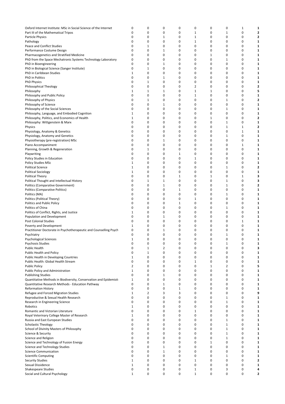| Oxford Internet Institute: MSc in Social Science of the Internet  | 0            | 0              | 0            | 0        | 0        | 0        | 0        | 1           | 1                       |
|-------------------------------------------------------------------|--------------|----------------|--------------|----------|----------|----------|----------|-------------|-------------------------|
| Part III of the Mathematical Tripos                               | 0            | $\mathbf 0$    | 0            | 0        | 1        | 0        | 1        | 0           | $\overline{\mathbf{2}}$ |
| Particle Physics                                                  | 0            | 0              | 1            | 0        | 1        | 0        | 0        | 0           | $\overline{\mathbf{2}}$ |
|                                                                   | 0            | $\mathbf 0$    | 0            | 0        | 1        | 0        | 0        | 0           | 1                       |
| Pathology                                                         |              |                |              |          |          |          |          |             |                         |
| Peace and Conflict Studies                                        | 0            | 1              | 0            | 0        | 0        | 0        | 0        | 0           | 1                       |
| Performance Costume Design                                        | 0            | $\mathbf 0$    | 1            | 0        | 0        | 0        | 0        | 0           | 1                       |
| Pharmacogenetics and Stratified Medicine                          | $\mathbf 0$  | $\mathbf 0$    | 0            | 0        | 0        | 1        | 0        | 0           | 1                       |
| PhD from the Space Mechatronic Systems Technology Laboratory      | 0            | 0              | 0            | 0        | 0        | 0        | 1        | 0           | 1                       |
|                                                                   |              |                |              |          |          |          |          |             |                         |
| PhD in Bioengineering                                             | 0            | 0              | 1            | 0        | 0        | 0        | 0        | 0           | 1                       |
| PhD in Biological Science (Sanger Institute)                      | 0            | 1              | 0            | 0        | 0        | 0        | 0        | 0           | 1                       |
| PhD in Caribbean Studies                                          | $\mathbf{1}$ | $\mathbf 0$    | 0            | 0        | 0        | 0        | 0        | $\mathbf 0$ | 1                       |
| PhD in Politics                                                   | 0            | 0              | 1            | 0        | 0        | 0        | 0        | 0           | 1                       |
|                                                                   |              |                |              |          |          |          |          |             |                         |
| <b>PhD Physics</b>                                                | 0            | 1              | 0            | 0        | 0        | 0        | 0        | 0           | 1                       |
| Philosophical Theology                                            | $\mathbf 0$  | $\mathbf 0$    | 0            | 0        | 2        | 0        | 0        | 0           | $\overline{\mathbf{2}}$ |
| Philosophy                                                        | 1            | 1              | 1            | 0        | 1        | 1        | 0        | 0           | 5                       |
| Philosophy and Public Policy                                      | 0            | 0              | 0            | 0        | 1        | 0        | 0        | 0           | 1                       |
|                                                                   |              |                |              |          |          |          |          |             |                         |
| Philosophy of Physics                                             | 0            | 1              | 0            | 0        | 0        | 0        | 1        | 0           | 2                       |
| Philosophy of Science                                             | 0            | $\mathbf 0$    | 1            | 0        | 0        | 0        | 0        | 0           | 1                       |
| Philosophy of the Social Sciences                                 | 0            | 0              | 0            | 0        | 0        | 0        | 1        | 0           | 1                       |
| Philosophy, Language, and Embodied Cognition                      | $\mathbf{1}$ | $\mathbf 0$    | 0            | 0        | 0        | 0        | 0        | $\mathbf 0$ | 1                       |
|                                                                   |              |                |              |          |          |          |          |             |                         |
| Philosophy, Politics, and Economics of Health                     | 1            | 0              | 0            | 0        | 0        | 1        | 0        | 0           | 2                       |
| Philosophy: Wittgenstein & Marx                                   | $\mathbf 0$  | $\mathbf 0$    | 0            | 0        | 0        | 0        | 1        | 0           | 1                       |
| Physics                                                           | 0            | $\mathbf 0$    | 0            | 0        | 0        | 0        | 1        | 1           | $\overline{\mathbf{2}}$ |
|                                                                   |              |                |              |          |          |          |          |             |                         |
| Physiology, Anatomy & Genetics                                    | 0            | 0              | 0            | 0        | 0        | 0        | 0        | 1           | 1                       |
| Physiology, Anatomy and Genetics                                  | 0            | 0              | 0            | 0        | 0        | 0        | 1        | 0           | 1                       |
| Physiotherapy (pre-registration) MSc                              | 0            | 0              | 1            | 0        | 0        | 0        | 0        | 0           | 1                       |
| Piano Accompaniment                                               | $\mathbf 0$  | $\mathbf 0$    | 0            | 0        | 0        | 0        | 0        | 1           | 1                       |
|                                                                   |              |                |              |          |          |          |          |             |                         |
| Planning, Growth & Regeneration                                   | 0            | 1              | 0            | 0        | 0        | 0        | 0        | 0           | 1                       |
| Playwriting                                                       | 0            | $\mathbf 0$    | 0            | 1        | 0        | 0        | 0        | 0           | 1                       |
| Policy Studies in Education                                       | 0            | $\mathbf 0$    | 0            | 0        | 1        | 0        | 0        | 0           | 1                       |
|                                                                   |              |                |              |          | 0        |          |          |             |                         |
| <b>Policy Studies MSc</b>                                         | 1            | 0              | 0            | 0        |          | 0        | 0        | 0           | 1                       |
| <b>Political Science</b>                                          | 1            | 0              | 0            | 0        | 0        | 0        | 1        | 0           | 2                       |
| <b>Political Sociology</b>                                        | $\mathbf{1}$ | 0              | 0            | 0        | 0        | 0        | 0        | 0           | 1                       |
| Political Theory                                                  | 0            | $\mathbf 0$    | 0            | 1        | 0        | 1        | 0        | 1           | 3                       |
|                                                                   |              |                |              |          |          |          |          |             |                         |
| Political Thought and Intellectual History                        | 0            | 1              | 1            | 0        | 0        | 0        | 1        | 0           | 3                       |
| Politics (Comparative Government)                                 | $\mathbf 0$  | $\mathbf 0$    | $\mathbf{1}$ | 0        | 0        | 0        | 1        | $\mathbf 0$ | $\overline{\mathbf{2}}$ |
| Politics (Comparative Politics)                                   | 0            | $\mathbf 0$    | 0            | 1        | 0        | 0        | 0        | 0           | 1                       |
| Politics (MA)                                                     | 0            | 0              | 0            | 0        | 0        | 0        | 1        | 0           | 1                       |
|                                                                   |              |                |              |          |          |          |          |             |                         |
| Politics (Political Theory)                                       | 0            | $\mathbf 0$    | 0            | 0        | 1        | 0        | 0        | 0           | 1                       |
| Politics and Public Policy                                        | 0            | $\mathbf 0$    | 0            | 1        | 0        | 0        | 0        | 0           | 1                       |
| Politics of China                                                 | 0            | 0              | 0            | 0        | 0        | 0        | 1        | 0           | 1                       |
| Politics of Conflict, Rights, and Justice                         | 1            | 0              | 0            | 0        | 0        | 0        | 0        | 0           | 1                       |
|                                                                   |              |                |              |          |          |          |          |             |                         |
| Population and Development                                        | 0            | 0              | 1            | 0        | 0        | 0        | 0        | 0           | 1                       |
| <b>Post Colonial Studies</b>                                      | $\mathbf 0$  | 0              | 0            | 0        | 0        | 0        | 0        | 1           | 1                       |
| Poverty and Development                                           | 1            | $\mathbf 0$    | 0            | 0        | 0        | 0        | 0        | 0           | 1                       |
| Practitioner Doctorate in Psychotherapeutic and Counselling Psych | 0            | 0              | 1            | 0        | 0        | 0        | 0        | 0           | 1                       |
|                                                                   |              |                |              |          |          |          |          |             |                         |
| Psychiatry                                                        | $\mathbf 0$  | $\mathbf 0$    | 0            | 0        | 0        | 0        | 1        | 0           | 1                       |
| Psychological Sciences                                            | 1            | $\Omega$       | $\Omega$     | $\Omega$ | $\Omega$ | $\Omega$ | $\Omega$ | $\Omega$    | 1                       |
| Psychosis Studies                                                 | $\pmb{0}$    | $\pmb{0}$      | 0            | 0        | 0        | 0        | 1        | $\pmb{0}$   | 1                       |
| Public Health                                                     | 0            | $\mathbf{1}$   | 2            | 0        | 0        | 0        | 0        | 0           | 3                       |
|                                                                   |              |                |              |          |          |          |          |             |                         |
| Public Health and Policy                                          | 0            | 1              | 0            | 0        | 0        | 0        | 0        | $\mathbf 0$ | 1                       |
| Public Health in Developing Countries                             | $\mathbf{1}$ | $\mathbf 0$    | 0            | 0        | 0        | 0        | 0        | $\mathbf 0$ | 1                       |
| Public Health: Global Health Stream                               | $\mathbf 0$  | 0              | 0            | 0        | 1        | 0        | 0        | 0           | 1                       |
| <b>Public Policy</b>                                              | 2            | $\mathbf 0$    | 0            | 0        | 0        | 1        | 2        | 0           | 5                       |
|                                                                   |              |                |              |          |          |          |          |             |                         |
| Public Policy and Administration                                  | $\mathbf{1}$ | 0              | 0            | 0        | 0        | 0        | 0        | 0           | 1                       |
| <b>Publishing Studies</b>                                         | $\mathbf 0$  | $\mathbf 0$    | $\mathbf{1}$ | 0        | 0        | 0        | 0        | 0           | 1                       |
| Quantitative Methods in Biodiversity, Conservation and Epidemiold | 1            | 0              | 0            | 0        | 0        | 0        | 0        | 0           | 1                       |
|                                                                   | $\mathbf 0$  | 0              | 1            | 0        | 0        | 0        | 0        | 0           | 1                       |
| Quantitative Research Methods - Education Pathway                 |              |                |              |          |          |          |          |             |                         |
| <b>Reformation History</b>                                        | $\mathbf 0$  | 0              | 0            | 1        | 0        | 0        | 0        | 0           | 1                       |
| Refugee and Forced Migration Studies                              | $\mathbf{1}$ | $\overline{2}$ | 3            | 3        | 0        | 0        | 0        | 0           | 9                       |
| Reproductive & Sexual Health Research                             | 0            | $\mathbf 0$    | 0            | 0        | 0        | 0        | 1        | 0           | 1                       |
| Research in Engineering Science                                   | 0            | $\mathbf 0$    | 0            | 0        | 0        | 0        | 1        | 0           | 1                       |
|                                                                   |              |                |              |          |          |          |          |             |                         |
| Robotics                                                          | $\mathbf{1}$ | $\mathbf 0$    | 0            | 0        | 0        | 0        | 0        | 0           | 1                       |
| Romantic and Victorian Literature                                 | 0            | $\mathbf 0$    | 0            | 0        | 1        | 0        | 0        | 0           | 1                       |
| Royal Veterinary College Master of Research                       | $\mathbf{1}$ | 0              | 0            | 0        | 0        | 0        | 0        | 0           | 1                       |
|                                                                   | 0            | $\mathbf 0$    | 0            | 0        | 0        | 0        |          | 0           |                         |
| Russia and East European Studies                                  |              |                |              |          |          |          | 1        |             | 1                       |
| <b>Scholastic Theology</b>                                        | 0            | 0              | 0            | 0        | 0        | 0        | 1        | 0           | 1                       |
| School of Divinity Masters of Philosophy                          | 0            | $\mathbf 0$    | 0            | 0        | 0        | 0        | 1        | 0           | 1                       |
| Science & Security                                                | 0            | 0              | 0            | 0        | 0        | 0        | 1        | 0           | 1                       |
|                                                                   |              |                |              |          |          |          |          |             |                         |
| Science and Religion                                              | 0            | $\mathbf 0$    | 0            | 0        | 0        | 0        | 1        | 0           | 1                       |
| Science and Technology of Fusion Energy                           | 0            | 0              | 0            | 0        | 0        | 1        | 0        | 0           | 1                       |
| Science and Technology Studies                                    | 0            | $\mathbf 0$    | $\mathbf{1}$ | 0        | 0        | 0        | 0        | 0           | 1                       |
| <b>Science Communication</b>                                      | 0            | $\mathbf 0$    | $\mathbf{1}$ | 0        | 0        | 0        | 0        | 0           | 1                       |
|                                                                   |              |                |              |          |          |          |          |             |                         |
| <b>Scientific Computing</b>                                       | 0            | 0              | 0            | 0        | 0        | 0        | 1        | 0           | 1                       |
| <b>Security Studies</b>                                           | $\mathbf{1}$ | 0              | 0            | 0        | 1        | 0        | 0        | 0           | 2                       |
| Sexual Dissidence                                                 | $\mathbf{1}$ | 0              | 0            | 0        | 0        | 0        | 0        | $\mathbf 0$ | 1                       |
| <b>Shakespeare Studies</b>                                        | 0            | $\pmb{0}$      | 0            | 0        | 1        | 0        | 3        | 0           | 4                       |
|                                                                   |              |                |              |          |          |          |          |             |                         |
| Social and Cultural Psychology                                    | $\mathbf{1}$ | 0              | 0            | 0        | 1        | 0        | 0        | 0           | 2                       |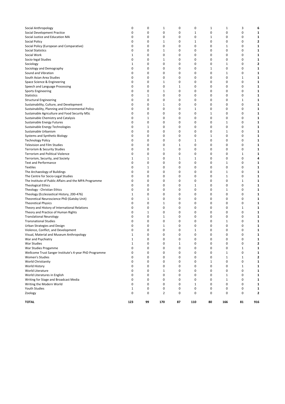| Social Policy                                                      | 0                 | 0            | $\mathbf{1}$   | 0        | 1        | 0      | 0            | $\mathbf 0$ | $\overline{\mathbf{2}}$ |
|--------------------------------------------------------------------|-------------------|--------------|----------------|----------|----------|--------|--------------|-------------|-------------------------|
| Social Policy (European and Comparative)                           | 0                 | 0            | 0              | 0        | 0        | 0      | 1            | 0           | 1                       |
| <b>Social Statistics</b>                                           | 0                 | 0            | 1              | 0        | 0        | 0      | 0            | 0           | 1                       |
| Social Work                                                        | 1<br>0            | 0<br>0       | 0<br>1         | 0<br>0   | 0<br>0   | 0<br>0 | 0<br>0       | 0<br>0      | 1<br>1                  |
| Socio-legal Studies<br>Sociology                                   | $\mathbf{1}$      | 0            | 0              | 0        | 0        | 0      | 1            | 0           | $\mathbf{2}$            |
| Sociology and Demography                                           | 0                 | 0            | 0              | 0        | 0        | 1      | 0            | 0           | 1                       |
| Sound and Vibration                                                | 0                 | 0            | 0              | 0        | 0        | 0      | 1            | 0           | 1                       |
| South Asian Area Studies                                           | 0                 | 0            | 0              | 0        | 0        | 0      | 0            | 1           | 1                       |
| Space Science & Engineering                                        | 0                 | 0            | 1              | 0        | 0        | 0      | 0            | 0           | 1                       |
| Speech and Language Processing                                     | 0                 | 0            | 0              | 1        | 0        | 0      | 0            | 0           | 1                       |
| <b>Sports Engineering</b>                                          | 0                 | 0            | 1              | 0        | 0        | 0      | 0            | 0           | 1                       |
| <b>Statistics</b>                                                  | 0                 | $\mathbf{1}$ | 0              | 0        | 0        | 0      | 0            | 0           | 1                       |
| <b>Structural Engineering</b>                                      | 0                 | 0            | 0              | 0        | 0        | 0      | 0            | 1           | 1                       |
| Sustainability, Culture, and Development                           | 0                 | 0            | 1              | 0        | 0        | 0      | 0            | 0           | 1                       |
| Sustainability, Planning and Environmental Policy                  | 0                 | 0            | 0              | 0        | 1        | 0      | 0            | 0           | 1                       |
| Sustainable Agriculture and Food Security MSc                      | 0                 | 0            | 0              | 0        | 0        | 1      | 0            | 0           | 1                       |
| Sustainable Chemistry and Catalysis                                | 0                 | 1            | 0              | 0        | 0        | 0      | 0            | 0           | 1                       |
| Sustainable Energy Futures                                         | 0                 | 0            | 0              | 0        | 0        | 0      | 1            | 0           | 1                       |
| Sustainable Energy Technologies                                    | 0                 | $\mathbf{1}$ | 0              | 0        | 0        | 0      | 0            | 0           | 1                       |
| Sustainable Urbanism                                               | 0                 | 0            | 0              | 0        | 0        | 0      | 1            | 0           | 1                       |
| Systems and Synthetic Biology                                      | 0                 | 0            | 0              | 0        | 0        | 1      | 0            | 0           | 1                       |
| <b>Technology Policy</b>                                           | 0                 | 0            | 0              | 0        | 1        | 0      | 0            | 0           | 1                       |
| <b>Television and Film Studies</b><br>Terrorism & Security Studies | 0<br>0            | 0<br>0       | 0              | 1<br>0   | 0        | 0<br>0 | 0<br>0       | 0<br>0      | 1<br>1                  |
| <b>Terrorism and Political Violence</b>                            | 0                 | 0            | 1<br>0         | 0        | 0<br>0   | 0      | 0            | 1           | 1                       |
| Terrorism, Security, and Society                                   | 1                 | $\mathbf{1}$ | 0              | 1        | 1        | 0      | 0            | 0           | 4                       |
| <b>Text and Performance</b>                                        | 0                 | 0            | 0              | 0        | 0        | 0      | 1            | 0           | 1                       |
| <b>Textiles</b>                                                    | 0                 | $\mathbf{1}$ | 0              | 0        | 0        | 0      | 0            | 0           | 1                       |
| The Archaeology of Buildings                                       | 0                 | 0            | 0              | 0        | 0        | 0      | 1            | 0           | 1                       |
| The Centre for Socio-Legal Studies                                 | 0                 | 0            | 0              | 0        | 0        | 0      | 1            | 0           | 1                       |
| The Institute of Public Affairs and the MPA Programme              | 0                 | 0            | 0              | 0        | 0        | 0      | 0            | 1           | 1                       |
| <b>Theological Ethics</b>                                          | 0                 | 0            | 0              | 0        | 1        | 0      | 0            | 0           | 1                       |
| Theology - Christian Ethics                                        | 0                 | 0            | 0              | 0        | 0        | 0      | 1            | 0           | 1                       |
| Theology (Ecclesiastical History, 200-476)                         | $\mathbf{1}$      | 0            | 0              | 0        | 0        | 0      | 0            | 0           | 1                       |
| Theoretical Neuroscience PhD (Gatsby Unit)                         | 0                 | 1            | 0              | 0        | 0        | 0      | 0            | 0           | 1                       |
| <b>Theoretical Physics</b>                                         | 0                 | 0            | 1              | 0        | 0        | 0      | 0            | 0           | 1                       |
| Theory and History of International Relations                      | 0                 | 0            | 0              | 0        | 0        | 0      | 0            | 1           | 1                       |
| Theory and Practice of Human Rights                                | 0                 | $\mathbf{1}$ | 0              | 0        | 0        | 0      | 0            | 0           | 1                       |
| <b>Translational Neurology</b>                                     | 0                 | 0            | $\mathbf{1}$   | 0        | 0        | 0      | 0            | 0           | 1                       |
| <b>Transnational Studies</b>                                       | 0                 | 0            | 0              | 0        | 0        | 0      | 1            | 0           | 1                       |
| Urban Strategies and Design                                        | 0                 | 0            | 1              | 0        | 0        | 0      | 0            | 0           | 1                       |
| Violence, Conflict, and Development                                | 0<br>$\mathbf{1}$ | 0<br>0       | 0<br>0         | 0<br>0   | 1<br>0   | 0<br>0 | 0<br>0       | 0<br>0      | 1                       |
| Visual, Material and Museum Anthropology<br>War and Psychiatry     | 1                 | 0            | 0              | $\Omega$ | $\Omega$ | 0      | 0            | 0           | 1<br>1                  |
| War Studies                                                        | $\mathbf{1}$      | 0            | 0              | 1        | 0        | 0      | $\pmb{0}$    | $\pmb{0}$   | 2                       |
| War Studies Progamme                                               | $\pmb{0}$         | 0            | 0              | 0        | 0        | 0      | 0            | $1\,$       | 1                       |
| Wellcome Trust Sanger Institute's 4-year PhD Programme             | 0                 | 0            | 0              | 0        | 0        | 0      | 1            | 0           | 1                       |
| Women's Studies                                                    | 0                 | 0            | 0              | 0        | 0        | 0      | $\mathbf{1}$ | 1           | 2                       |
| World Christianity                                                 | 0                 | 0            | 0              | 0        | 0        | 1      | 0            | 0           | 1                       |
| World History                                                      | 0                 | 0            | 0              | 0        | 0        | 0      | 0            | $\mathbf 1$ | 1                       |
| World Literature                                                   | 0                 | 0            | 1              | 0        | 0        | 0      | 0            | 0           | 1                       |
| World Literatures in English                                       | 0                 | 0            | 0              | 0        | 0        | 0      | 1            | 0           | 1                       |
| Writing for Stage and Broadcast Media                              | 0                 | 0            | 0              | 0        | 0        | 0      | 1            | 0           | 1                       |
| Writing the Modern World                                           | 0                 | 0            | 0              | 0        | 1        | 0      | 0            | 0           | 1                       |
| <b>Youth Studies</b>                                               | $\mathbf{1}$      | 0            | 0              | 0        | 0        | 0      | 0            | 0           | 1                       |
| Zoology                                                            | 0                 | 0            | $\overline{2}$ | 0        | 0        | 0      | 0            | 0           | 2                       |
| TOTAL                                                              | 123               | 99           | 170            | 87       | 110      | 80     | 166          | 81          | 916                     |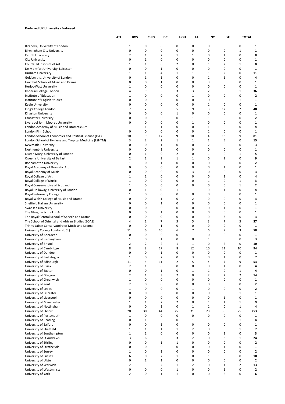# **Preferred UK University - Endorsed**

|                                                                                                                  | ATI. | BOS                | <b>CHIG</b>                 | DC                      | HOU                     | LA                            | NY                   | SF                             | <b>TOTAL</b>        |                |
|------------------------------------------------------------------------------------------------------------------|------|--------------------|-----------------------------|-------------------------|-------------------------|-------------------------------|----------------------|--------------------------------|---------------------|----------------|
| Birkbeck, University of London                                                                                   |      | 1                  | 0                           | 0                       | 0                       | 0                             | 0                    | 0                              | 0                   | 1              |
| Birmingham City University                                                                                       |      | 0                  | 0                           | 0                       | 0                       | 0                             | 0                    | $\mathbf 0$                    | 1                   | 1              |
| <b>Cardiff University</b>                                                                                        |      | 2                  | $\mathbf{1}$                | 2                       | 1                       | 1                             | 0                    | 1                              | 0                   | 8              |
| <b>City University</b>                                                                                           |      | 0                  | $\mathbf 1$                 | 0                       | 0                       | 0                             | 0                    | $\mathbf 0$                    | 0                   | 1              |
| Courtauld Institute of Art                                                                                       |      | $\mathbf{1}$       | $\mathbf{1}$                | 0                       | 2                       | $\mathbf 0$                   | $1\,$                | $\overline{2}$                 | 1                   | 8              |
| De Montfort University, Leicester                                                                                |      | 0                  | 0                           | 1                       | 0                       | 0                             | 0                    | $\mathbf 0$                    | 0                   | 1              |
| Durham University<br>Goldsmiths, University of London                                                            |      | $\mathbf{1}$<br>0  | $\mathbf{1}$<br>$\mathbf 1$ | 4<br>1                  | 1<br>0                  | 1<br>0                        | $1\,$<br>$\mathbf 1$ | $\overline{2}$<br>$\mathbf{1}$ | 0<br>$\mathbf 0$    | 11<br>4        |
| Guildhall School of Music and Drama                                                                              |      | 0                  | 0                           | 1                       | 0                       | 0                             | 0                    | 0                              | $\mathbf 0$         | 1              |
| Heriot-Watt University                                                                                           |      | $\mathbf{1}$       | 0                           | 0                       | 0                       | 0                             | 0                    | 0                              | 0                   | 1              |
| Imperial College London                                                                                          |      | 4                  | 9                           | 5                       | 3                       | 3                             | $\overline{2}$       | 9                              | 1                   | 36             |
| Institute of Education                                                                                           |      | $\mathbf{1}$       | 0                           | 0                       | 0                       | $\mathbf{1}$                  | 0                    | $\mathbf 0$                    | 0                   | $\overline{2}$ |
| Institute of English Studies                                                                                     |      | 0                  | 0                           | 0                       | 0                       | $\mathbf 0$                   | 0                    | 0                              | 1                   | 1              |
| Keele University<br>King's College London                                                                        |      | 0<br>7             | 0<br>$\overline{2}$         | 0<br>8                  | 0<br>5                  | 0<br>9                        | $1\,$<br>3           | $\mathbf 0$<br>12              | 0<br>$\overline{2}$ | 1<br>48        |
| Kingston University                                                                                              |      | 0                  | 0                           | 0                       | 1                       | 0                             | 0                    | $\mathbf 0$                    | $\mathbf 0$         | 1              |
| Lancaster University                                                                                             |      | 0                  | 0                           | 0                       | 0                       | 1                             | $\mathbf{1}$         | 0                              | 0                   | 2              |
| Liverpool John Moores University                                                                                 |      | 0                  | 0                           | 0                       | 0                       | $\mathbf{1}$                  | 0                    | 0                              | 0                   | 1              |
| London Academy of Music and Dramatic Art                                                                         |      | 1                  | $\mathbf{1}$                | $\mathbf{1}$            | 0                       | 0                             | $\mathbf{1}$         | 0                              | 0                   | 4              |
| London Film School                                                                                               |      | 0                  | 0                           | 0                       | 0<br>9                  | $\mathbf 0$                   | $\mathbf{1}$         | 0                              | 0<br>9              | 1              |
| London School of Economics and Political Science (LSE)<br>London School of Hygiene and Tropical Medicine (LSHTM) |      | 10<br>3            | 9<br>$\overline{2}$         | 17<br>$\overline{2}$    | 1                       | 10<br>$\mathbf{1}$            | 4<br>1               | 13<br>5                        | 0                   | 81<br>15       |
| <b>Newcastle University</b>                                                                                      |      | 0                  | 0                           | 1                       | 0                       | 0                             | $\overline{2}$       | 0                              | 0                   | 3              |
| Northumbria University                                                                                           |      | 0                  | 0                           | 1                       | 0                       | 0                             | 0                    | 0                              | 0                   | 1              |
| Queen Mary, University of London                                                                                 |      | 0                  | $\mathbf{1}$                | 0                       | $\overline{2}$          | 0                             | 1                    | 0                              | 1                   | 5              |
| Queen's University of Belfast                                                                                    |      | $\overline{2}$     | $1\,$                       | 2                       | 1                       | $\mathbf{1}$                  | 0                    | $\overline{2}$                 | 0                   | 9              |
| Roehampton University                                                                                            |      | $\mathbf{1}$       | 0                           | 1                       | 0                       | 0                             | 0                    | 0                              | 0                   | 2              |
| Royal Academy of Dramatic Art<br>Royal Academy of Music                                                          |      | 0<br>0             | 0<br>0                      | 0<br>0                  | 0<br>0                  | $\mathbf 0$<br>3              | 0<br>0               | 1<br>$\mathbf 0$               | 0<br>0              | 1<br>3         |
| Royal College of Art                                                                                             |      | $\mathbf{1}$       | $\mathbf{1}$                | 0                       | 0                       | $\pmb{0}$                     | 0                    | $\overline{2}$                 | 0                   | 4              |
| Royal College of Music                                                                                           |      | $\mathbf{1}$       | 0                           | 0                       | 0                       | 0                             | 1                    | 0                              | 1                   | 3              |
| Royal Conservatoire of Scotland                                                                                  |      | $\mathbf{1}$       | 0                           | 0                       | 0                       | 0                             | 0                    | $\mathbf 0$                    | 1                   | 2              |
| Royal Holloway, University of London                                                                             |      | 0                  | $\mathbf{1}$                | 0                       | 1                       | 1                             | 0                    | 1                              | 0                   | 4              |
| Royal Veterinary College                                                                                         |      | $\mathbf{1}$       | 0                           | 0                       | 0                       | $\mathbf 0$                   | 0                    | 0                              | 0                   | 1              |
| Royal Welsh College of Music and Drama<br>Sheffield Hallam University                                            |      | 0<br>0             | 0<br>0                      | $\mathbf{1}$<br>1       | 0<br>0                  | $\overline{2}$<br>$\mathbf 0$ | 0<br>0               | 0<br>$\mathbf 0$               | 0<br>0              | 3<br>1         |
| Swansea University                                                                                               |      | 0                  | 0                           | 0                       | 0                       | 0                             | 0                    | 1                              | 0                   | 1              |
| The Glasgow School of Art                                                                                        |      | 0                  | 0                           | 1                       | 0                       | $\mathbf 0$                   | 0                    | 0                              | 0                   | 1              |
| The Royal Central School of Speech and Drama                                                                     |      | 0                  | 0                           | 0                       | 0                       | 0                             | 0                    | 3                              | 0                   | 3              |
| The School of Oriental and African Studies (SOAS)                                                                |      | 4                  | $\mathbf{1}$                | 7                       | 5                       | 5                             | 3                    | $\overline{7}$                 | 5                   | 37             |
| Trinity Laban Conservatoire of Music and Drama                                                                   |      | 0                  | 0<br>6                      | 1                       | 0                       | 0                             | 0<br>6               | $\mathbf 0$                    | $\mathbf 0$         | 1              |
| University College London (UCL)<br>University of Aberdeen                                                        |      | 11<br>0            | 0                           | 10<br>0                 | 6<br>0                  | 7<br>$\mathbf{1}$             | 0                    | 9<br>0                         | 3<br>0              | 58<br>1        |
| University of Birmingham                                                                                         |      | $\mathbf{1}$       | 0                           | 1                       | 0                       | $\mathbf 0$                   | $1\,$                | 0                              | 0                   | 3              |
| University of Bristol                                                                                            |      | $\overline{2}$     | 2                           | 2                       | 1                       | 1                             | 0                    | $\overline{2}$                 | $\mathbf 0$         | 10             |
| University of Cambridge                                                                                          |      | 8                  | 8                           | 17                      | 8                       | 12                            | 10                   | 21                             | 10                  | 94             |
| University of Dundee                                                                                             |      | 0                  | 0                           | $\mathbf{1}$            | 0                       | 0                             | 0                    | $\mathbf 0$                    | 0                   | 1              |
| University of East Anglia<br>University of Edinburgh                                                             |      | $\mathbf{1}$<br>11 | 0<br>4                      | 2<br>11                 | 0<br>2                  | 3<br>5                        | 0<br>4               | $\mathbf{1}$<br>$\overline{7}$ | 0<br>9              | 7<br>53        |
| University of Essex                                                                                              |      | $\overline{2}$     | $\mathbf 1$                 | 0                       | 0                       | 0                             | 0                    | $\mathbf{1}$                   | 0                   | 4              |
| University of Exeter                                                                                             |      | 0                  | $\pmb{0}$                   | 1                       | 0                       | 1                             | $1\,$                | 0                              | 1                   | 4              |
| University of Glasgow                                                                                            |      | $\overline{2}$     | $\mathbf{1}$                | 3                       | $\overline{\mathbf{c}}$ | 0                             | $\overline{2}$       | $\overline{2}$                 | $\overline{2}$      | 14             |
| University of Greenwich                                                                                          |      | $\mathbf{1}$       | 0                           | 0                       | 0                       | 0                             | 0                    | 0                              | 0                   | 1              |
| University of Kent                                                                                               |      | $\overline{2}$     | 0<br>0                      | 0                       | 0<br>0                  | $\pmb{0}$                     | 0<br>0               | 0                              | 0<br>0              | 2<br>2         |
| University of Leeds<br>University of Leicester                                                                   |      | $\mathbf 1$<br>0   | 0                           | 0<br>0                  | 0                       | $\mathbf{1}$<br>0             | 0                    | 0<br>0                         | $1\,$               | 1              |
| University of Liverpool                                                                                          |      | 0                  | 0                           | 0                       | 0                       | $\mathbf 0$                   | 0                    | $\mathbf{1}$                   | 0                   | 1              |
| University of Manchester                                                                                         |      | $\mathbf 1$        | $\mathbf 1$                 | $\overline{\mathbf{c}}$ | $\overline{2}$          | $\mathbf 0$                   | $1\,$                | $1\,$                          | $1\,$               | 9              |
| University of Nottingham                                                                                         |      | 0                  | 0                           | $\mathbf{1}$            | $\mathbf 0$             | $\mathbf{1}$                  | $1\,$                | 0                              | $1\,$               |                |
| University of Oxford                                                                                             |      | 20                 | 30                          | 44                      | 25                      | 31                            | 28                   | 50                             | 25                  | 253            |
| University of Portsmouth<br>University of Reading                                                                |      | 1<br>0             | 0<br>$\mathbf 1$            | 0<br>0                  | 0<br>0                  | 0<br>$\mathbf{1}$             | 0<br>$\mathbf{1}$    | 0<br>$\pmb{0}$                 | 0<br>$1\,$          | 1<br>4         |
| University of Salford                                                                                            |      | 0                  | 0                           | $\mathbf{1}$            | 0                       | $\pmb{0}$                     | 0                    | 0                              | 0                   | 1              |
| University of Sheffield                                                                                          |      | $\mathbf{1}$       | $\mathbf{1}$                | 1                       | 1                       | 2                             | 0                    | 0                              | 1                   | 7              |
| University of Southampton                                                                                        |      | $\mathbf{1}$       | $\mathbf{1}$                | 0                       | 0                       | 0                             | 0                    | $\mathbf{1}$                   | 0                   | 3              |
| University of St Andrews                                                                                         |      | 3                  | 6                           | 6                       | 3                       | $\overline{2}$                | 0                    | 3                              | $1\,$               | 24             |
| University of Stirling                                                                                           |      | 0                  | 0                           | 1                       | 1                       | $\pmb{0}$                     | 0                    | 0                              | 0                   | $\overline{2}$ |
| University of Strathclyde                                                                                        |      | 0<br>$\mathbf{1}$  | 0<br>0                      | 0<br>$\mathbf{1}$       | 0<br>0                  | 0                             | 0<br>0               | 1<br>0                         | 0<br>0              | 1<br>2         |
| University of Surrey<br>University of Sussex                                                                     |      | 6                  | 0                           | 2                       | 1                       | 0<br>$\pmb{0}$                | $1\,$                | 0                              | 0                   | 10             |
| University of Ulster                                                                                             |      | 0                  | $\mathbf{1}$                | $\mathbf{1}$            | 0                       | $\pmb{0}$                     | 0                    | 0                              | 0                   | $\overline{2}$ |
| University of Warwick                                                                                            |      | $\overline{2}$     | 3                           | 2                       | $\mathbf{1}$            | 2                             | 0                    | $\mathbf{1}$                   | $\overline{2}$      | 13             |
| University of Westminster                                                                                        |      | 0                  | $\pmb{0}$                   | 0                       | 1                       | 0                             | 0                    | $\mathbf{1}$                   | $\pmb{0}$           | 2              |
| University of York                                                                                               |      | $\overline{2}$     | 0                           | $\mathbf{1}$            | $\mathbf{1}$            | 0                             | 0                    | $\mathbf 2$                    | 0                   | 6              |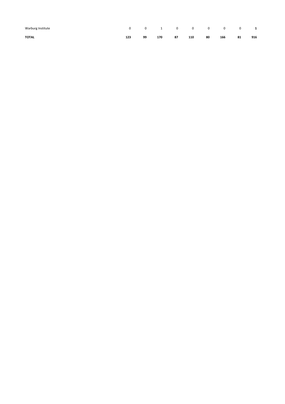| Warburg Institute | $\mathbf{0}$ |    |     |    | 0 1 0 0 0 0 0 1 |    |     |    |     |
|-------------------|--------------|----|-----|----|-----------------|----|-----|----|-----|
| <b>TOTAL</b>      | 123          | 99 | 170 | 87 | 110             | 80 | 166 | 81 | 916 |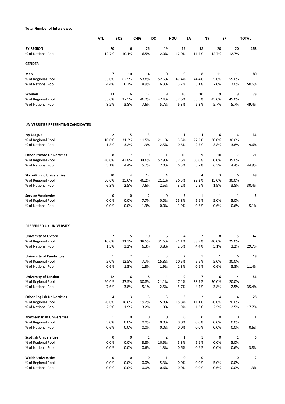# **Total Number of Interviewed**

|                                          | <b>ATL</b>     | <b>BOS</b> | <b>CHIG</b>    | DC             | HOU            | LA             | <b>NY</b>    | SF           | <b>TOTAL</b> |
|------------------------------------------|----------------|------------|----------------|----------------|----------------|----------------|--------------|--------------|--------------|
| <b>BY REGION</b>                         | 20             | 16         | 26             | 19             | 19             | 18             | 20           | 20           | 158          |
| % of National Pool                       | 12.7%          | 10.1%      | 16.5%          | 12.0%          | 12.0%          | 11.4%          | 12.7%        | 12.7%        |              |
| <b>GENDER</b>                            |                |            |                |                |                |                |              |              |              |
| Men                                      | $\overline{7}$ | 10         | 14             | 10             | 9              | 8              | 11           | 11           | 80           |
| % of Regional Pool                       | 35.0%          | 62.5%      | 53.8%          | 52.6%          | 47.4%          | 44.4%          | 55.0%        | 55.0%        |              |
| % of National Pool                       | 4.4%           | 6.3%       | 8.9%           | 6.3%           | 5.7%           | 5.1%           | 7.0%         | 7.0%         | 50.6%        |
| Women                                    | 13             | 6          | 12             | 9              | 10             | 10             | 9            | 9            | 78           |
| % of Regional Pool                       | 65.0%          | 37.5%      | 46.2%          | 47.4%          | 52.6%          | 55.6%          | 45.0%        | 45.0%        |              |
| % of National Pool                       | 8.2%           | 3.8%       | 7.6%           | 5.7%           | 6.3%           | 6.3%           | 5.7%         | 5.7%         | 49.4%        |
| UNIVERSITIES PRESENTING CANDIDATES       |                |            |                |                |                |                |              |              |              |
| <b>Ivy League</b>                        | $\overline{2}$ | 5          | 3              | $\overline{4}$ | $\mathbf{1}$   | 4              | 6            | 6            | 31           |
| % of Regional Pool                       | 10.0%          | 31.3%      | 11.5%          | 21.1%          | 5.3%           | 22.2%          | 30.0%        | 30.0%        |              |
| % of National Pool                       | 1.3%           | 3.2%       | 1.9%           | 2.5%           | 0.6%           | 2.5%           | 3.8%         | 3.8%         | 19.6%        |
| <b>Other Private Universities</b>        | 8              | 7          | 9              | 11             | 10             | 9              | 10           | 7            | 71           |
| % of Regional Pool                       | 40.0%          | 43.8%      | 34.6%          | 57.9%          | 52.6%          | 50.0%          | 50.0%        | 35.0%        |              |
| % of National Pool                       | 5.1%           | 4.4%       | 5.7%           | 7.0%           | 6.3%           | 5.7%           | 6.3%         | 4.4%         | 44.9%        |
| <b>State/Public Universities</b>         | 10             | 4          | 12             | $\overline{4}$ | 5              | 4              | 3            | 6            | 48           |
| % of Regional Pool                       | 50.0%          | 25.0%      | 46.2%          | 21.1%          | 26.3%          | 22.2%          | 15.0%        | 30.0%        |              |
| % of National Pool                       | 6.3%           | 2.5%       | 7.6%           | 2.5%           | 3.2%           | 2.5%           | 1.9%         | 3.8%         | 30.4%        |
| <b>Service Academies</b>                 | 0              | 0          | $\overline{2}$ | $\mathbf 0$    | 3              | $\mathbf{1}$   | $\mathbf{1}$ | $\mathbf{1}$ | 8            |
| % of Regional Pool                       | 0.0%           | 0.0%       | 7.7%           | 0.0%           | 15.8%          | 5.6%           | 5.0%         | 5.0%         |              |
| % of National Pool                       | 0.0%           | 0.0%       | 1.3%           | 0.0%           | 1.9%           | 0.6%           | 0.6%         | 0.6%         | 5.1%         |
| PREFERRED UK UNIVERSITY                  |                |            |                |                |                |                |              |              |              |
| <b>University of Oxford</b>              | $\overline{2}$ | 5          | 10             | 6              | 4              | 7              | 8            | 5            | 47           |
| % of Regional Pool                       | 10.0%          | 31.3%      | 38.5%          | 31.6%          | 21.1%          | 38.9%          | 40.0%        | 25.0%        |              |
| % of National Pool                       | 1.3%           | 3.2%       | 6.3%           | 3.8%           | 2.5%           | 4.4%           | 5.1%         | 3.2%         | 29.7%        |
| <b>University of Cambridge</b>           | $\mathbf{1}$   | 2          | $\overline{2}$ | 3              | $\overline{2}$ | $\mathbf{1}$   | $\mathbf{1}$ | 6            | 18           |
| % of Regional Pool                       | 5.0%           | 12.5%      | 7.7%           | 15.8%          | 10.5%          | 5.6%           | 5.0%         | 30.0%        |              |
| % of National Pool                       | 0.6%           | 1.3%       | 1.3%           | 1.9%           | 1.3%           | 0.6%           | 0.6%         | 3.8%         | 11.4%        |
| <b>University of London</b>              | 12             | 6          | 8              | 4              | 9              | 7              | 6            | 4            | 56           |
| % of Regional Pool                       | 60.0%          | 37.5%      | 30.8%          | 21.1%          | 47.4%          | 38.9%          | 30.0%        | 20.0%        |              |
| % of National Pool                       | 7.6%           | 3.8%       | 5.1%           | 2.5%           | 5.7%           | 4.4%           | 3.8%         | 2.5%         | 35.4%        |
| <b>Other English Universities</b>        | $\overline{a}$ | 3          | 5              | 3              | 3              | $\overline{2}$ | 4            | 4            | 28           |
| % of Regional Pool                       | 20.0%          | 18.8%      | 19.2%          | 15.8%          | 15.8%          | 11.1%          | 20.0%        | 20.0%        |              |
| % of National Pool                       | 2.5%           | 1.9%       | 3.2%           | 1.9%           | 1.9%           | 1.3%           | 2.5%         | 2.5%         | 17.7%        |
| <b>Northern Irish Universities</b>       | $\mathbf 1$    | 0          | 0              | $\pmb{0}$      | 0              | 0              | $\pmb{0}$    | 0            | 1            |
| % of Regional Pool                       | 5.0%           | 0.0%       | 0.0%           | 0.0%           | 0.0%           | 0.0%           | 0.0%         | 0.0%         |              |
| % of National Pool                       | 0.6%           | 0.0%       | 0.0%           | 0.0%           | 0.0%           | 0.0%           | 0.0%         | 0.0%         | 0.6%         |
| <b>Scottish Universities</b>             | 0              | 0          | $\mathbf{1}$   | $\overline{2}$ | 1              | $\mathbf{1}$   | $\mathbf 0$  | $\mathbf{1}$ | 6            |
| % of Regional Pool                       | 0.0%           | 0.0%       | 3.8%           | 10.5%          | 5.3%           | 5.6%           | 0.0%         | 5.0%         |              |
| % of National Pool                       | 0.0%           | 0.0%       | 0.6%           | 1.3%           | 0.6%           | 0.6%           | 0.0%         | 0.6%         | 3.8%         |
| <b>Welsh Universities</b>                | 0              | 0          | 0              | $\mathbf{1}$   | 0              | 0              | $\mathbf{1}$ | 0            | 2            |
| % of Regional Pool<br>% of National Pool | 0.0%<br>0.0%   | 0.0%       | 0.0%           | 5.3%           | 0.0%           | 0.0%           | 5.0%         | 0.0%<br>0.0% |              |
|                                          |                | 0.0%       | 0.0%           | 0.6%           | 0.0%           | 0.0%           | 0.6%         |              | 1.3%         |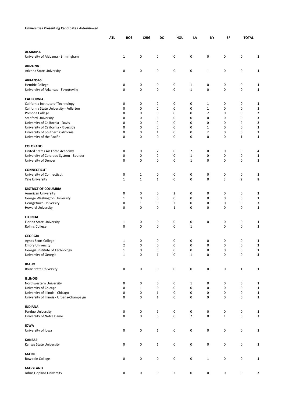|                                                                               | <b>ATL</b>                   | <b>BOS</b>             | <b>CHIG</b><br>DC |                     | HOU<br>LA         | ΝY                             | SF                            |                | <b>TOTAL</b> |
|-------------------------------------------------------------------------------|------------------------------|------------------------|-------------------|---------------------|-------------------|--------------------------------|-------------------------------|----------------|--------------|
| <b>ALABAMA</b>                                                                |                              |                        |                   |                     |                   |                                |                               |                |              |
| University of Alabama - Birmingham                                            | $\mathbf{1}$                 | 0                      | 0                 | 0                   | 0                 | $\pmb{0}$                      | $\mathbf 0$                   | 0              | 1            |
| <b>ARIZONA</b><br>Arizona State University                                    | 0                            | 0                      | 0                 | 0                   | 0                 | $\mathbf{1}$                   | 0                             | 0              | 1            |
| <b>ARKANSAS</b>                                                               |                              |                        |                   |                     |                   |                                |                               |                |              |
| <b>Hendrix College</b><br>University of Arkansas - Fayetteville               | 0<br>0                       | 0<br>0                 | 0<br>$\pmb{0}$    | 0<br>0              | 1<br>$\mathbf 1$  | 0<br>$\pmb{0}$                 | 0<br>0                        | 0<br>0         | 1<br>1       |
| <b>CALIFORNIA</b>                                                             |                              |                        |                   |                     |                   |                                |                               |                |              |
| California Institute of Technology<br>California State University - Fullerton | 0<br>0                       | 0<br>0                 | 0<br>$\mathbf 0$  | 0<br>0              | 0<br>0            | $\mathbf{1}$<br>$\mathbf 1$    | 0<br>0                        | 0<br>0         | 1<br>1       |
| Pomona College                                                                | 0                            | 0                      | 0                 | 0                   | 0                 | $\overline{2}$                 | 0                             | 0              | 2            |
| <b>Stanford University</b>                                                    | 0                            | 0                      | 3                 | 0                   | 0                 | 0                              | 0                             | 0              | 3            |
| University of California - Davis                                              | $\mathbf 0$                  | 0                      | $\mathbf 0$       | 0                   | 0                 | 0                              | 0                             | $\overline{2}$ | 2            |
| University of California - Riverside<br>University of Southern California     | 0<br>0                       | 0<br>0                 | 0<br>$\mathbf 1$  | 0<br>0              | 0<br>0            | $\mathbf{1}$<br>$\overline{2}$ | 0<br>0                        | 0<br>0         | 1<br>3       |
| University of the Pacific                                                     | 0                            | 0                      | 0                 | 0                   | 0                 | 0                              | 0                             | $\mathbf{1}$   | 1            |
|                                                                               |                              |                        |                   |                     |                   |                                |                               |                |              |
| <b>COLORADO</b><br>United States Air Force Academy                            | 0                            | 0                      | $\overline{2}$    | 0                   | 2                 | 0                              | $\mathbf 0$                   | 0              | 4            |
| University of Colorado System - Boulder                                       | 0                            | 0                      | 0                 | 0                   | $\mathbf{1}$      | $\pmb{0}$                      | $\mathbf 0$                   | 0              | 1            |
| University of Denver                                                          | 0                            | 0                      | 0                 | 0                   | $\mathbf{1}$      | 0                              | 0                             | 0              | 1            |
| <b>CONNECTICUT</b>                                                            |                              |                        |                   |                     |                   |                                |                               |                |              |
| University of Connecticut                                                     | 0                            | $\mathbf{1}$           | 0                 | $\pmb{0}$           | 0                 | 0                              | $\mathbf 0$                   | 0              | 1            |
| <b>Yale University</b>                                                        | $\mathbf{1}$                 | $\mathbf{1}$           | $\mathbf{1}$      | $\mathbf 0$         | 0                 | 0                              | 3                             | $\overline{2}$ | 8            |
| <b>DISTRICT OF COLUMBIA</b>                                                   |                              |                        |                   |                     |                   |                                |                               |                |              |
| American University                                                           | 0                            | 0                      | 0                 | 2                   | 0                 | 0                              | 0                             | 0              | 2            |
| George Washington University<br>Georgetown University                         | $\mathbf{1}$<br>0            | 0<br>$\mathbf{1}$      | $\mathbf 0$<br>0  | 0<br>$\overline{2}$ | 0<br>0            | 0<br>0                         | 0<br>0                        | 0<br>0         | 1<br>3       |
| Howard University                                                             | $\mathbf 0$                  | 0                      | 0                 | $\mathbf{1}$        | $\mathbf 0$       | 0                              | $\mathbf 0$                   | 0              | $\mathbf{1}$ |
| <b>FLORIDA</b>                                                                |                              |                        |                   |                     |                   |                                |                               |                |              |
| Florida State University                                                      | $\mathbf{1}$                 | 0                      | 0                 | 0                   | 0                 | 0                              | 0                             | 0              | 1            |
| <b>Rollins College</b>                                                        | 0                            | 0                      | $\pmb{0}$         | 0                   | $\mathbf 1$       |                                | 0                             | 0              | 1            |
| <b>GEORGIA</b>                                                                |                              |                        |                   |                     |                   |                                |                               |                |              |
| Agnes Scott College                                                           | 1                            | 0                      | 0                 | $\pmb{0}$           | 0                 | 0                              | 0                             | 0              | 1            |
| <b>Emory University</b>                                                       | $\overline{2}$               | $\mathbf 0$            | $\mathbf 0$       | $\Omega$            | 0                 | $\mathbf 0$                    | $\Omega$                      | 0              | $\mathbf{2}$ |
| Georgia Institute of Technology<br>University of Georgia                      | $\mathbf{1}$<br>$\mathbf{1}$ | $\pmb{0}$<br>$\pmb{0}$ | 0<br>$\mathbf 1$  | 0<br>$\pmb{0}$      | 0<br>$\mathbf{1}$ | $\pmb{0}$<br>0                 | $\pmb{0}$<br>$\boldsymbol{0}$ | 0<br>0         | 1<br>3       |
| <b>IDAHO</b>                                                                  |                              |                        |                   |                     |                   |                                |                               |                |              |
| <b>Boise State University</b>                                                 | 0                            | $\pmb{0}$              | $\mathbf 0$       | 0                   | $\pmb{0}$         | $\pmb{0}$                      | $\pmb{0}$                     | $\mathbf{1}$   | 1            |
|                                                                               |                              |                        |                   |                     |                   |                                |                               |                |              |
| <b>ILLINOIS</b><br>Northwestern University                                    | 0                            | 0                      | 0                 | 0                   | 1                 | $\pmb{0}$                      | 0                             | 0              | 1            |
| University of Chicago                                                         | 0                            | $\mathbf{1}$           | 0                 | 0                   | $\pmb{0}$         | 0                              | 0                             | 0              | 1            |
| University of Illinois - Chicago                                              | 0                            | $\pmb{0}$              | $\mathbf 1$       | $\pmb{0}$           | 0                 | $\pmb{0}$                      | $\pmb{0}$                     | 0              | 1            |
| University of Illinois - Urbana-Champaign                                     | $\mathbf 0$                  | 0                      | $\mathbf{1}$      | $\mathbf 0$         | 0                 | 0                              | $\mathbf 0$                   | 0              | $\mathbf{1}$ |
| <b>INDIANA</b>                                                                |                              |                        |                   |                     |                   |                                |                               |                |              |
| <b>Purdue University</b>                                                      | 0                            | 0                      | $\mathbf{1}$      | 0                   | 0                 | 0                              | $\pmb{0}$                     | 0              | 1            |
| University of Notre Dame                                                      | 0                            | $\pmb{0}$              | $\mathbf 0$       | $\pmb{0}$           | $\overline{2}$    | $\pmb{0}$                      | $\mathbf{1}$                  | 0              | 3            |
| <b>IOWA</b>                                                                   |                              |                        |                   |                     |                   |                                |                               |                |              |
| University of Iowa                                                            | 0                            | 0                      | $\mathbf{1}$      | 0                   | 0                 | 0                              | $\pmb{0}$                     | 0              | 1            |
| <b>KANSAS</b>                                                                 |                              |                        |                   |                     |                   |                                |                               |                |              |
| Kansas State University                                                       | 0                            | 0                      | $\mathbf{1}$      | $\pmb{0}$           | $\pmb{0}$         | $\pmb{0}$                      | $\pmb{0}$                     | 0              | 1            |
| <b>MAINE</b>                                                                  |                              |                        |                   |                     |                   |                                |                               |                |              |
| <b>Bowdoin College</b>                                                        | 0                            | $\pmb{0}$              | $\mathbf 0$       | 0                   | 0                 | $1\,$                          | $\pmb{0}$                     | 0              | $\mathbf{1}$ |
| <b>MARYLAND</b>                                                               |                              |                        |                   |                     |                   |                                |                               |                |              |
| Johns Hopkins University                                                      | 0                            | $\pmb{0}$              | $\mathbf 0$       | $\overline{2}$      | 0                 | 0                              | 0                             | 0              | 2            |

**Universities Presenting Candidates -Interviewed**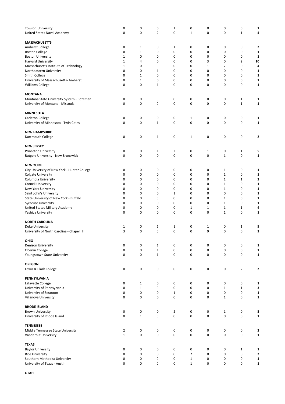| <b>Towson University</b><br>United States Naval Academy          | 0<br>0                        | $\pmb{0}$<br>$\mathbf 0$ | 0<br>2            | 1<br>0           | 0<br>$\mathbf{1}$      | 0<br>0            | 0<br>0                    | 0<br>$\mathbf{1}$ | 1<br>4            |
|------------------------------------------------------------------|-------------------------------|--------------------------|-------------------|------------------|------------------------|-------------------|---------------------------|-------------------|-------------------|
|                                                                  |                               |                          |                   |                  |                        |                   |                           |                   |                   |
| <b>MASSACHUSETTS</b>                                             |                               |                          |                   |                  |                        |                   |                           |                   |                   |
| Amherst College                                                  | 0                             | $\mathbf{1}$             | 0                 | 1                | 0                      | 0                 | 0                         | 0                 | 2                 |
| <b>Boston College</b>                                            | 0                             | $\mathbf{1}$             | 0                 | 0                | 0                      | 0                 | 0                         | 0                 | 1                 |
| <b>Boston University</b>                                         | $\mathbf 1$                   | 0                        | 0                 | 0                | 0                      | 0                 | 0                         | 0                 | 1                 |
| Harvard University                                               | $\mathbf 1$                   | 4                        | 0                 | 0                | 0                      | 3                 | 0                         | $\overline{2}$    | 10                |
| Massachusetts Institute of Technology<br>Northeastern University | $\mathbf 1$<br>$\mathbf 0$    | 0<br>$\mathbf 0$         | 0<br>$\mathbf{1}$ | 0<br>0           | 0<br>0                 | $\mathbf{1}$<br>0 | 2<br>0                    | 0<br>0            | 4<br>1            |
| Smith College                                                    | 0                             | $\mathbf{1}$             | 0                 | 0                | 0                      | 0                 | 0                         | 0                 | 1                 |
| University of Massachusetts- Amherst                             | 0                             | $\mathbf{1}$             | 0                 | 0                | 0                      | 0                 | 0                         | 0                 | 1                 |
| Williams College                                                 | $\mathbf 0$                   | $\mathbf 0$              | $\mathbf{1}$      | 0                | 0                      | 0                 | $\mathbf 0$               | 0                 | 1                 |
| <b>MONTANA</b>                                                   |                               |                          |                   |                  |                        |                   |                           |                   |                   |
| Montana State University System - Bozeman                        | 0                             | 0                        | 0                 | 0                | 0                      | 0                 | 0                         | $\mathbf{1}$      | 1                 |
| University of Montana - Missoula                                 | $\mathbf 0$                   | $\mathbf 0$              | 0                 | 0                | $\boldsymbol{0}$       | 0                 | $\mathbf 0$               | $\mathbf{1}$      | $\mathbf{1}$      |
| <b>MINNESOTA</b>                                                 |                               |                          |                   |                  |                        |                   |                           |                   |                   |
| Carleton College                                                 | 0                             | $\pmb{0}$                | 0                 | 0                | $\mathbf{1}$           | 0                 | 0                         | 0                 | 1                 |
| University of Minnesota - Twin Cities                            | 0                             | $\mathbf 0$              | $\mathbf{1}$      | 0                | 0                      | 0                 | 0                         | 0                 | 1                 |
| <b>NEW HAMPSHIRE</b>                                             |                               |                          |                   |                  |                        |                   |                           |                   |                   |
| Dartmouth College                                                | 0                             | 0                        | 1                 | 0                | $\mathbf{1}$           | 0                 | 0                         | 0                 | 2                 |
| <b>NEW JERSEY</b>                                                |                               |                          |                   |                  |                        |                   |                           |                   |                   |
| <b>Princeton University</b>                                      | 0                             | 0                        | 1                 | 2                | 0                      | $\mathbf{1}$      | 0                         | 1                 | 5                 |
| Rutgers University - New Brunswick                               | $\mathbf 0$                   | $\mathbf 0$              | 0                 | 0                | $\mathbf 0$            | 0                 | $\mathbf{1}$              | 0                 | 1                 |
| <b>NEW YORK</b>                                                  |                               |                          |                   |                  |                        |                   |                           |                   |                   |
| City University of New York - Hunter College                     | 0                             | 0                        | 0                 | 0                | 0                      | 0                 | 1                         | 0                 | 1                 |
| <b>Colgate University</b>                                        | 0                             | $\mathbf 0$              | 0                 | 0                | 0                      | 0                 | $\mathbf{1}$              | 0                 | 1                 |
| Columbia University                                              | 0                             | $\mathbf 0$              | 0                 | 0                | 0                      | 0                 | $\mathbf{1}$              | $\mathbf{1}$      | 2                 |
| <b>Cornell University</b>                                        | 0                             | 0                        | 0                 | 0                | 0                      | 0                 | $\mathbf{1}$              | 0                 | 1                 |
| New York University                                              | $\mathbf 0$                   | 0                        | 0                 | 0                | 0                      | 0                 | $\mathbf{1}$              | 0                 | 1                 |
| Saint John's University                                          | $\mathbf 0$                   | 0                        | 0                 | 1                | 0                      | 0                 | 0                         | 0                 | 1                 |
| State University of New York - Buffalo                           | 0                             | $\mathbf 0$              | 0                 | 0                | 0                      | 0                 | $\mathbf{1}$              | 0                 | 1                 |
| <b>Syracuse University</b>                                       | $\mathbf 0$                   | 0                        | 0                 | 0                | 0                      | 0                 | $\mathbf{1}$              | 0                 | 1                 |
| United States Military Academy                                   | 0                             | 0                        | 0                 | 0                | $\mathbf{1}$           | 1                 | $\mathbf{1}$              | $\mathbf{1}$      | 4                 |
| Yeshiva University                                               | $\mathbf 0$                   | $\mathbf 0$              | 0                 | 0                | $\mathbf 0$            | 0                 | $\mathbf{1}$              | 0                 | 1                 |
| <b>NORTH CAROLINA</b>                                            |                               |                          |                   |                  |                        |                   |                           |                   |                   |
| Duke University                                                  | $\mathbf{1}$                  | 0                        | 1                 | 1                | 0                      | 1                 | 0                         | $\mathbf{1}$      | 5                 |
| University of North Carolina - Chapel Hill                       | 3                             | $\mathbf 0$              | 0                 | 0                | 0                      | 0                 | 0                         | 0                 | 3                 |
| OHIO                                                             |                               |                          |                   |                  |                        |                   |                           |                   |                   |
| <b>Denison University</b>                                        | 0                             | $\pmb{0}$                | 1                 | 0                | 0                      | 0                 | 0                         | 0                 | 1                 |
| Oberlin College                                                  | 0                             | $\pmb{0}$                | $\mathbf{1}$      | 0                | 0                      | 0                 | $\pmb{0}$                 | 0                 | 1                 |
| Youngstown State University                                      | $\boldsymbol{0}$              | $\pmb{0}$                | $\mathbf{1}$      | 0                | $\pmb{0}$              | 0                 | $\pmb{0}$                 | 0                 | 1                 |
| <b>OREGON</b>                                                    |                               |                          |                   |                  |                        |                   |                           |                   |                   |
| Lewis & Clark College                                            | $\pmb{0}$                     | $\pmb{0}$                | 0                 | 0                | 0                      | 0                 | 0                         | $\overline{2}$    | $\mathbf{2}$      |
| PENNSYLVANIA                                                     |                               |                          |                   |                  |                        |                   |                           |                   |                   |
| Lafayette College                                                | 0                             | $\mathbf{1}$             | 0                 | 0                | 0                      | 0                 | 0                         | 0                 | 1                 |
| University of Pennsylvania                                       | 0                             | $\mathbf{1}$             | 0                 | 0                | 0                      | 0                 | $\mathbf{1}$              | $\mathbf 1$       | 3                 |
| University of Scranton<br>Villanova University                   | 0<br>$\mathbf 0$              | $\pmb{0}$<br>$\mathbf 0$ | 0<br>0            | $\mathbf 1$<br>0 | 0<br>$\pmb{0}$         | 0<br>0            | 0<br>$\mathbf{1}$         | 0<br>0            | 1<br>$\mathbf{1}$ |
|                                                                  |                               |                          |                   |                  |                        |                   |                           |                   |                   |
| <b>RHODE ISLAND</b>                                              |                               |                          |                   |                  |                        |                   |                           |                   |                   |
| <b>Brown University</b><br>University of Rhode Island            | 0<br>$\boldsymbol{0}$         | $\pmb{0}$<br>$1\,$       | 0<br>0            | 2<br>0           | $\pmb{0}$<br>$\pmb{0}$ | 0<br>0            | $\mathbf{1}$<br>$\pmb{0}$ | 0<br>0            | 3<br>$\mathbf 1$  |
|                                                                  |                               |                          |                   |                  |                        |                   |                           |                   |                   |
| <b>TENNESSEE</b>                                                 |                               |                          |                   |                  |                        |                   |                           |                   |                   |
| Middle Tennessee State University<br>Vanderbilt University       | $\overline{2}$<br>$\mathbf 1$ | $\pmb{0}$<br>$\pmb{0}$   | 0<br>0            | 0<br>0           | 0<br>$\pmb{0}$         | 0<br>0            | $\pmb{0}$<br>0            | 0<br>0            | 2<br>1            |
|                                                                  |                               |                          |                   |                  |                        |                   |                           |                   |                   |
| <b>TEXAS</b><br><b>Baylor University</b>                         | 0                             | $\mathbf 0$              | 0                 | 0                | 0                      | 0                 | 0                         | 1                 | 1                 |
| <b>Rice University</b>                                           | 0                             | $\pmb{0}$                | 0                 | 0                | $\overline{2}$         | 0                 | 0                         | 0                 | 2                 |
| Southern Methodist University                                    | 0                             | $\pmb{0}$                | 0                 | 0                | $\mathbf 1$            | 0                 | $\pmb{0}$                 | 0                 | 1                 |
| University of Texas - Austin                                     | 0                             | $\mathbf 0$              | 0                 | 0                | $\mathbf{1}$           | 0                 | 0                         | 0                 | 1                 |
|                                                                  |                               |                          |                   |                  |                        |                   |                           |                   |                   |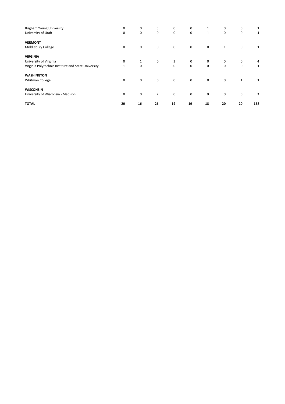| <b>Brigham Young University</b>                     | 0            | 0            | 0              | 0           | 0           | 1            | 0            | 0            |                |
|-----------------------------------------------------|--------------|--------------|----------------|-------------|-------------|--------------|--------------|--------------|----------------|
| University of Utah                                  | 0            | 0            | 0              | $\mathbf 0$ | 0           | $\mathbf{1}$ | 0            | 0            | 1              |
| <b>VERMONT</b>                                      |              |              |                |             |             |              |              |              |                |
| Middlebury College                                  | 0            | $\mathbf 0$  | $\mathbf 0$    | $\mathbf 0$ | $\mathbf 0$ | $\mathbf 0$  | $\mathbf{1}$ | $\mathbf 0$  | 1              |
| <b>VIRGINIA</b>                                     |              |              |                |             |             |              |              |              |                |
| University of Virginia                              | 0            | $\mathbf{1}$ | 0              | 3           | 0           | 0            | 0            | 0            | 4              |
| Virginia Polytechnic Institute and State University | $\mathbf{1}$ | 0            | $\mathbf 0$    | $\mathbf 0$ | $\mathbf 0$ | $\mathbf 0$  | 0            | $\mathbf 0$  | 1              |
| <b>WASHINGTON</b>                                   |              |              |                |             |             |              |              |              |                |
| Whitman College                                     | 0            | $\mathbf 0$  | $\mathbf 0$    | $\mathbf 0$ | $\mathbf 0$ | $\mathbf 0$  | $\mathbf 0$  | $\mathbf{1}$ |                |
| <b>WISCONSIN</b>                                    |              |              |                |             |             |              |              |              |                |
| University of Wisconsin - Madison                   | 0            | 0            | $\overline{2}$ | 0           | $\mathbf 0$ | $\mathbf 0$  | $\mathbf 0$  | $\mathbf 0$  | $\overline{2}$ |
| <b>TOTAL</b>                                        | 20           | 16           | 26             | 19          | 19          | 18           | 20           | 20           | 158            |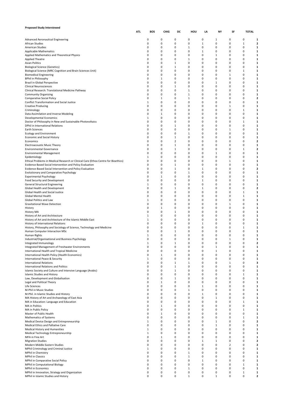| <b>Proposed Study Interviewed</b>                                                                                    |            |                   |          |                             |                   |                  |                  |              |                   |                         |
|----------------------------------------------------------------------------------------------------------------------|------------|-------------------|----------|-----------------------------|-------------------|------------------|------------------|--------------|-------------------|-------------------------|
|                                                                                                                      | <b>ATL</b> | BOS               | CHIG     | DC                          | HOU               | LA               | NΥ               | SF           | <b>TOTAL</b>      |                         |
| Advanced Aeronautical Engineering                                                                                    |            | 0                 | 0        | 0                           | 0                 | 0                | 1                | 0            | 0                 | 1                       |
| African Studies                                                                                                      |            | 0                 | 0        | 0                           | 0                 | $\,1\,$          | 0                | 0            | $\mathbf 1$       | $\overline{\mathbf{2}}$ |
| American Studies                                                                                                     |            | 0                 | 0        | $\mathbf 0$                 | $\mathbf{1}$      | $\mathbf 0$      | 0                | 0            | 0                 | 1                       |
| <b>Applicable Mathematics</b>                                                                                        |            | 0                 | 0        | 0                           | 0                 | $\,1\,$          | 0                | 0            | 0                 | $\mathbf{1}$            |
| Applied Mathematics and Theoretical Physics                                                                          |            | 0<br>0            | 0<br>0   | $\mathbf 0$<br>$\mathbf 0$  | 0<br>$\mathbf{1}$ | $\mathbf 0$<br>0 | 1<br>0           | 0<br>0       | 0<br>0            | 1                       |
| Applied Theatre<br><b>Asian Politics</b>                                                                             |            | 0                 | 0        | 1                           | 0                 | $\mathbf 0$      | 0                | 0            | 0                 | 1<br>1                  |
| <b>Biological Science (Genetics)</b>                                                                                 |            | 0                 | 0        | $1\,$                       | 0                 | 0                | 0                | 0            | 0                 | 1                       |
| Biological Science (MRC Cognition and Brain Sciences Unit)                                                           |            | 0                 | 0        | 0                           | 0                 | 0                | 0                | 0            | 1                 | 1                       |
| <b>Biomedical Engineering</b>                                                                                        |            | 0                 | 0        | $\mathbf 0$                 | 0                 | $\mathbf 0$      | $\mathbf 0$      | $\mathbf 1$  | 0                 | 1                       |
| <b>BPhil in Philosophy</b>                                                                                           |            | 0                 | 1        | 0                           | 0                 | 0                | 0                | 0            | 0                 | 1                       |
| Brazil in Global Perspective                                                                                         |            | 0                 | 0        | 0                           | 0                 | 0                | $1\,$            | 0            | 0                 | 1                       |
| <b>Clinical Neurosciences</b>                                                                                        |            | 0                 | 0        | $\mathbf{1}$<br>$\mathbf 0$ | 0                 | 0<br>$\mathbf 0$ | 0                | 0            | 0<br>0            | 1                       |
| Clinical Research: Translational Medicine Pathway<br><b>Community Organizing</b>                                     |            | 0<br>0            | 0<br>0   | 0                           | 1<br>$\mathbf{1}$ | 0                | 0<br>0           | 0<br>0       | 0                 | 1<br>1                  |
| <b>Comparative Social Policy</b>                                                                                     |            | 0                 | 1        | $\mathbf 0$                 | $\mathbf{1}$      | $\mathbf 0$      | $\mathbf 0$      | 0            | 0                 | $\overline{2}$          |
| Conflict Transformation and Social Justice                                                                           |            | $\mathbf{1}$      | 0        | $\mathbf 0$                 | 0                 | 0                | 0                | 0            | 0                 | 1                       |
| <b>Creative Producing</b>                                                                                            |            | 0                 | 0        | 0                           | 0                 | 0                | 0                | 1            | 0                 | 1                       |
| Criminology                                                                                                          |            | 0                 | 0        | 0                           | 0                 | 0                | 0                | 0            | $\mathbf{1}$      | 1                       |
| Data Assimilation and Inverse Modeling                                                                               |            | 0                 | 1        | 0                           | 0                 | 0                | 0                | 0            | 0                 | 1                       |
| Developmental Economics                                                                                              |            | $\mathbf{1}$      | 0        | $\mathbf 0$                 | 0                 | $\mathbf 0$      | 0                | 0            | 0                 | 1                       |
| Doctor of Philosophy in New and Sustainable Photovoltaics<br>DPhil in International Relations                        |            | 0<br>0            | 0<br>0   | 0<br>1                      | 0<br>0            | 0<br>$\mathbf 0$ | 0<br>$\mathbf 0$ | 0<br>0       | $\mathbf{1}$<br>0 | 1<br>1                  |
| Earth Sciences                                                                                                       |            | 0                 | 0        | 0                           | 0                 | 0                | 0                | $\mathbf 1$  | 0                 | 1                       |
| <b>Ecology and Environment</b>                                                                                       |            | 0                 | 0        | $\mathbf 0$                 | 1                 | $\mathbf 0$      | 0                | 0            | 0                 | 1                       |
| <b>Economic and Social History</b>                                                                                   |            | 0                 | 0        | $1\,$                       | 0                 | 0                | 0                | 0            | 0                 | 1                       |
| Economics                                                                                                            |            | 0                 | 0        | $\overline{2}$              | 0                 | 0                | 0                | 0            | 0                 | 2                       |
| <b>Electroacoustic Music Theory</b>                                                                                  |            | 0                 | 0        | $1\,$                       | 0                 | $\mathbf 0$      | $\mathbf 0$      | 0            | 0                 | 1                       |
| <b>Environmental Governance</b>                                                                                      |            | 0                 | 0        | $1\,$                       | 0                 | 0                | 0                | 0            | $\mathbf{1}$      | $\overline{\mathbf{c}}$ |
| <b>Environmental Management</b>                                                                                      |            | 0                 | 0        | 0                           | 0                 | 0                | $\,1\,$          | 0            | 0                 | 1                       |
| Epidemiology                                                                                                         |            | $\mathbf{1}$      | 0        | 0                           | 0                 | 0                | 0                | 0            | 0                 | 1                       |
| Ethical Problems in Medical Research or Clinical Care (Ethox Centre for Bioethics)                                   |            | 0                 | 0        | $\mathbf 0$                 | 0<br>0            | 0                | 0                | 1<br>0       | 0                 | 1                       |
| Evidence Based Social Intervention and Policy Evaluation<br>Evidence-Based Social Intervention and Policy Evaluation |            | 0<br>0            | 0<br>0   | $1\,$<br>1                  | 0                 | 0<br>1           | 0<br>0           | 0            | 0<br>0            | 1<br>$\overline{2}$     |
| Evolutionary and Comparative Psychology                                                                              |            | 0                 | 0        | $\mathbf 0$                 | $\mathbf 1$       | $\mathbf 0$      | 0                | 0            | 0                 | 1                       |
| <b>Experimental Psychology</b>                                                                                       |            | 0                 | 1        | 0                           | 0                 | 0                | 0                | 0            | 0                 | 1                       |
| Food Security and Development                                                                                        |            | 0                 | 0        | 0                           | 0                 | $\,1\,$          | 0                | 0            | 0                 | 1                       |
| General Structural Engineering                                                                                       |            | $\mathbf{1}$      | 0        | 0                           | 0                 | 0                | 0                | 0            | 0                 | 1                       |
| Global Health and Development                                                                                        |            | 0                 | 0        | 1                           | 0                 | 1                | 0                | 0            | 0                 | $\overline{2}$          |
| Global Health and Social Justice                                                                                     |            | 0                 | 0        | 0                           | 0                 | 0                | 0                | 0            | $\mathbf{1}$      | 1                       |
| Global Mental Health                                                                                                 |            | 0                 | 0        | 0                           | 0                 | $\mathbf 0$      | 0                | 0            | $\mathbf 1$       | 1                       |
| Global Politics and Law                                                                                              |            | $\mathbf{1}$      | 0        | 0                           | 0                 | 0                | 0                | 0            | 0                 | 1                       |
| Gravitational Wave Detection                                                                                         |            | 0                 | 0        | $\mathbf 0$                 | 0                 | $\mathbf 0$      | 0                | $\mathbf 1$  | 0                 | 1                       |
| History<br><b>History MA</b>                                                                                         |            | 0<br>0            | 1<br>0   | 0<br>1                      | 0<br>0            | 0<br>0           | 0<br>0           | 0<br>0       | 0<br>0            | 1<br>1                  |
| History of Art and Architecture                                                                                      |            | $\mathbf{1}$      | 0        | $\mathbf 0$                 | 0                 | $\mathbf 0$      | 0                | 0            | 0                 | 1                       |
| History of Art and Architecture of the Islamic Middle East                                                           |            | 1                 | 0        | 0                           | 0                 | 0                | 0                | 0            | 0                 | 1                       |
| History of International Relations                                                                                   |            | 0                 | 0        | $\mathbf 0$                 | 0                 | 1                | 0                | 0            | 0                 | 1                       |
| History, Philosophy and Sociology of Science, Technology and Medicine                                                |            | 0                 | 0        | 0                           | 0                 | 0                | 0                | 0            | $\mathbf 1$       | 1                       |
| Human Computer Interaction MSc                                                                                       |            | 0                 | 0        | 1                           | 0                 | $\mathbf 0$      | 0                | 0            | 0                 | 1                       |
| Human Rights                                                                                                         |            | $\mathbf{1}$      | 0        | 0                           | 0                 | 0                | 0                | 0            | 0                 | 1                       |
| Industrial/Organisational and Business Psychology                                                                    |            | 0                 | $\Omega$ | $\mathbf 0$                 | 0                 | 0                | 0                | $\mathbf{1}$ | 0                 | 1                       |
| Integrated Immunology                                                                                                |            | $\mathbf{1}$<br>0 | 0<br>0   | $\mathbf{1}$<br>0           | 0<br>0            | 0<br>0           | 0<br>1           | 0<br>0       | 0<br>0            | 2<br>1                  |
| Integrated Management of Freshwater Environments<br>International Health and Tropical Medicine                       |            | 0                 | 0        | 0                           | 0                 | 0                | $\,1\,$          | 0            | 0                 | 1                       |
| International Health Policy (Health Economics)                                                                       |            | 0                 | 1        | 0                           | 0                 | 0                | 0                | 0            | 0                 | 1                       |
| International Peace & Security                                                                                       |            | $\mathbf{1}$      | 0        | $\mathbf 0$                 | 0                 | 0                | 0                | 0            | 0                 | 1                       |
| <b>International Relations</b>                                                                                       |            | 0                 | 0        | $1\,$                       | $\mathbf 1$       | 0                | 0                | $\mathbf 1$  | 0                 | 3                       |
| International Relations and Politics                                                                                 |            | 0                 | 0        | 1                           | 0                 | 0                | 0                | 0            | 0                 | 1                       |
| Islamic Society and Culture and Intensive Language (Arabic)                                                          |            | 0                 | 0        | $1\,$                       | 0                 | 0                | 0                | 0            | 0                 | 1                       |
| <b>Islamic Studies and History</b>                                                                                   |            | 0                 | 0        | 0                           | 0                 | 0                | 0                | 0            | 1                 | 1                       |
| Law, Development and Globalisation                                                                                   |            | 0<br>0            | 0        | $\,1\,$<br>0                | 0<br>0            | 0<br>0           | 0                | 0<br>0       | 0<br>0            | 1                       |
| Legal and Political Theory<br>Life Sciences                                                                          |            | 0                 | 1<br>0   | 0                           | 0                 | $\mathbf{1}$     | 0<br>0           | 0            | 0                 | 1<br>1                  |
| M.Phil in Music Studies                                                                                              |            | 0                 | 0        | 0                           | $\mathbf{1}$      | 0                | 0                | 0            | 0                 | 1                       |
| M.Phil. in Islamic Studies and History                                                                               |            | 0                 | 0        | 0                           | 0                 | $\mathbf{1}$     | 0                | 0            | 0                 | 1                       |
| MA History of Art and Archaeology of East Asia                                                                       |            | 0                 | 0        | 0                           | 0                 | 0                | $\,1\,$          | 0            | 0                 | 1                       |
| MA in Education: Language and Education                                                                              |            | 0                 | 0        | $\mathbf 0$                 | 0                 | 0                | $\mathbf 0$      | 0            | $\mathbf 1$       | 1                       |
| MA in Politics                                                                                                       |            | 0                 | 1        | 0                           | 0                 | 0                | 0                | 0            | 0                 | $\mathbf 1$             |
| MA in Public Policy                                                                                                  |            | 0                 | 0        | 0                           | 0                 | 0                | 0                | 0            | $\mathbf 1$       | 1                       |
| Master of Public Health                                                                                              |            | 0                 | 1        | 0                           | 0                 | 0                | 0                | 0            | 0                 | $\mathbf 1$             |
| Mathematics of Systems                                                                                               |            | 0                 | 0        | 0                           | 0                 | 0                | 0                | 0            | $\mathbf{1}$      | 1                       |
| Medical Device Design and Entrepreneurship<br>Medical Ethics and Palliative Care                                     |            | $\mathbf{1}$<br>0 | 0<br>0   | 0<br>0                      | 0<br>0            | 0<br>0           | $\,1\,$<br>$1\,$ | 0<br>0       | 0<br>0            | 2<br>1                  |
| Medical History and Humanities                                                                                       |            | 1                 | 0        | 0                           | 0                 | 0                | 0                | 0            | 0                 | 1                       |
| Medical Technology Entrepreneurship                                                                                  |            | 1                 | 0        | 0                           | 0                 | 0                | 0                | 0            | 0                 | 1                       |
| MFA in Fine Art                                                                                                      |            | 0                 | 1        | 0                           | 0                 | 0                | 0                | 0            | 0                 | 1                       |
| <b>Migration Studies</b>                                                                                             |            | 0                 | 0        | 0                           | 0                 | $\,1\,$          | $\,1\,$          | 0            | 0                 | 2                       |
| Modern Middle Eastern Studies                                                                                        |            | 0                 | 0        | 0                           | 0                 | 0                | 0                | 2            | 0                 | $\overline{\mathbf{c}}$ |
| MPhil Criminology and Criminal Justice                                                                               |            | $\mathbf{1}$      | 0        | 0                           | 0                 | 0                | 0                | 0            | 0                 | 1                       |
| MPhil in Chemistry                                                                                                   |            | 0                 | 0        | 0                           | $\mathbf{1}$      | 0                | 0                | 0            | 0                 | 1                       |
| <b>MPhil in Classics</b>                                                                                             |            | 0                 | 0        | $\mathbf 0$                 | 1                 | $\mathbf 0$      | 0                | 0            | 0                 | 1                       |
| MPhil in Comparative Social Policy                                                                                   |            | 0                 | 0        | 0                           | 0                 | 1                | 0                | 0            | 0                 | $\mathbf 1$             |
| MPhil in Computational Biology<br><b>MPhil in Economics</b>                                                          |            | 0<br>0            | 0<br>0   | 0<br>0                      | 0<br>$\mathbf 1$  | 0<br>0           | 0<br>0           | 0<br>0       | $\mathbf 1$<br>0  | 1<br>1                  |
| MPhil in Innovation, Strategy and Organization                                                                       |            | 0                 | 0        | 0                           | 0                 | 0                | 0                | 0            | $\mathbf{1}$      | 1                       |
| MPhil in Islamic Studies and History                                                                                 |            | 0                 | 0        | 0                           | $\mathbf 1$       | 0                | $\mathbf{1}$     | 0            | 0                 | 2                       |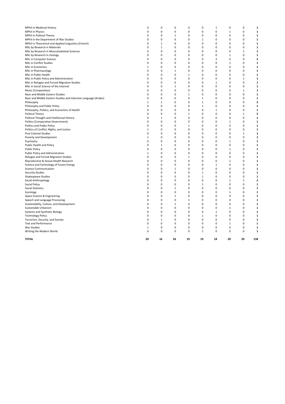| MPhil in Medieval History                                       | 0            | 0            | 0            | 0        | 0            | 1              | 0            | 0           | 1            |
|-----------------------------------------------------------------|--------------|--------------|--------------|----------|--------------|----------------|--------------|-------------|--------------|
| <b>MPhil in Physics</b>                                         | 0            | 0            | 0            | 0        | 0            | 0              | 1            | 0           | $\mathbf 1$  |
| MPhil in Political Theory                                       | 0            | 0            | 1            | 0        | 0            | 0              | 0            | 0           | 1            |
| MPhil in the Department of War Studies                          | 0            | 0            | $\mathbf 0$  | 0        | 1            | 0              | 0            | $\mathbf 0$ | 1            |
| MPhil in Theoretical and Applied Linguistics (French)           | 0            | $\mathbf{1}$ | 0            | 0        | 0            | 0              | 0            | 0           | $\mathbf 1$  |
| MSc by Research in Materials                                    | 0            | 1            | 0            | 0        | 0            | 0              | 0            | 0           | 1            |
| MSc by Research in Musculoskeletal Sciences                     | 0            | 0            | 0            | 0        | 0            | 0              | 0            | 1           | $\mathbf{1}$ |
| MSc by Research in Zoology                                      | 0            | 0            | 0            | 0        | 0            | 0              | $\mathbf{1}$ | 0           | 1            |
| MSc in Computer Science                                         | 0            | 0            | 0            | 0        | 0            | $\overline{2}$ | 0            | 0           | $\mathbf{2}$ |
| MSc in Conflict Studies                                         | 0            | 0            | 0            | 0        | 0            | 0              | $\mathbf{1}$ | 0           | $\mathbf 1$  |
| MSc in Economics                                                | 1            | 0            | 0            | 0        | $\mathbf 0$  | $\mathbf 0$    | 0            | 0           | 1            |
| MSc in Pharmacology                                             | 0            | 0            | $\mathbf{1}$ | 0        | 0            | 0              | 0            | 0           | $\mathbf 1$  |
| MSc in Public Health                                            | 0            | 0            | 0            | 1        | 0            | $\mathbf 0$    | 0            | 0           | $\mathbf{1}$ |
| MSc in Public Policy and Administration                         | 0            | 0            | 0            | 0        | 0            | 0              | 0            | 1           | 1            |
| MSc in Refugee and Forced Migration Studies                     | 0            | 0            | 0            | 0        | 0            | 1              | 0            | 0           | 1            |
| MSc in Social Science of the Internet                           | 0            | 0            | $\mathbf{1}$ | 0        | 0            | 0              | 0            | 0           | $\mathbf 1$  |
| Music (Composition)                                             | 0            | 0            | 0            | 0        | 0            | 0              | 0            | 1           | 1            |
| Near and Middle Eastern Studies                                 | 0            | 0            | 0            | 1        | 0            | $\mathbf 0$    | 0            | 0           | 1            |
| Near and Middle Eastern Studies and Intensive Language (Arabic) | 0            | 0            | 0            | 0        | 1            | 0              | 0            | 0           | 1            |
| Philosophy                                                      | 1            | $\mathbf{1}$ | 0            | 0        | $\mathbf{1}$ | $\mathbf 0$    | 0            | 0           | 3            |
| Philosophy and Public Policy                                    | 0            | 0            | 0            | 0        | 1            | 0              | 0            | 0           | $\mathbf 1$  |
| Philosophy, Politics, and Economics of Health                   | 0            | 0            | 0            | 0        | 0            | 1              | 0            | 0           | 1            |
| Political Theory                                                | 0            | 0            | 0            | 1        | 0            | 0              | 0            | 1           | $\mathbf 2$  |
| Political Thought and Intellectual History                      | 0            | $\mathbf{1}$ | 0            | 0        | 0            | $\mathbf 0$    | 0            | 0           | $\mathbf 1$  |
| Politics (Comparative Government)                               | 0            | $\mathbf 0$  | 0            | 0        | $\mathbf 0$  | 0              | 1            | $\mathbf 0$ | 1            |
| Politics and Public Policy                                      | 0            | 0            | 0            | 1        | 0            | 0              | 0            | 0           | 1            |
| Politics of Conflict, Rights, and Justice                       | 1            | 0            | 0            | 0        | 0            | $\mathbf 0$    | 0            | 0           | $\mathbf 1$  |
| Post Colonial Studies                                           | 0            | 0            | 0            | 0        | 0            | 0              | 0            | 1           | 1            |
| Poverty and Development                                         | 1            | 0            | 0            | 0        | 0            | $\mathbf 0$    | 0            | 0           | $\mathbf 1$  |
| Psychiatry                                                      | 0            | 0            | 0            | 0        | 0            | 0              | 1            | 0           | $\mathbf 1$  |
| Public Health and Policy                                        | 0            | 1            | 0            | 0        | 0            | $\mathbf 0$    | 0            | 0           | 1            |
| <b>Public Policy</b>                                            | 0            | 0            | 0            | 0        | 0            | 0              | 1            | 0           | $\mathbf{1}$ |
| Public Policy and Administration                                | $\mathbf{1}$ | 0            | 0            | 0        | 0            | 0              | 0            | 0           | 1            |
| Refugee and Forced Migration Studies                            | 0            | 0            | 0            | 1        | 0            | $\mathbf 0$    | 0            | 0           | $\mathbf 1$  |
| Reproductive & Sexual Health Research                           | 0            | 0            | 0            | 0        | 0            | $\mathbf 0$    | 1            | 0           | $\mathbf 1$  |
| Science and Technology of Fusion Energy                         | 0            | 0            | 0            | 0        | $\mathbf 0$  | 1              | 0            | 0           | 1            |
| <b>Science Communication</b>                                    | 0            | 0            | $\mathbf{1}$ | 0        | 0            | 0              | 0            | 0           | 1            |
| <b>Security Studies</b>                                         | 0            | 0            | 0            | 0        | 1            | $\mathbf 0$    | 0            | 0           | 1            |
| Shakespeare Studies                                             | 0            | 0            | 0            | 0        | 1            | 0              | 0            | 0           | 1            |
| Social Anthropology                                             | 0            | 0            | 0            | $\Omega$ | 0            | 0              | 1            | 1           | $\mathbf{2}$ |
| Social Policy                                                   | 0            | 0            | 0            | 0        | 1            | 0              | 0            | 0           | $\mathbf 1$  |
| <b>Social Statistics</b>                                        | 0            | 0            | 1            | 0        | 0            | 0              | 0            | 0           | 1            |
| Sociology                                                       | 0            | 0            | 0            | 0        | 0            | 0              | 1            | 0           | $\mathbf 1$  |
| Space Science & Engineering                                     | 0            | 0            | 1            | 0        | 0            | 0              | 0            | 0           | 1            |
| Speech and Language Processing                                  | 0            | 0            | 0            | 1        | 0            | $\mathbf 0$    | 0            | 0           | $\mathbf 1$  |
| Sustainability, Culture, and Development                        | 0            | 0            | $\mathbf{1}$ | 0        | 0            | 0              | 0            | 0           | $\mathbf 1$  |
| Sustainable Urbanism                                            | 0            | 0            | 0            | 0        | 0            | 0              | 1            | 0           | 1            |
| Systems and Synthetic Biology                                   | 0            | 0            | 0            | 0        | 0            | $1\,$          | 0            | 0           | $\mathbf 1$  |
| <b>Technology Policy</b>                                        | 0            | 0            | 0            | 0        | 1            | $\mathbf 0$    | 0            | 0           | 1            |
| Terrorism, Security, and Society                                | 0            | 1            | 0            | 0        | 0            | 0              | 0            | 0           | 1            |
| <b>Text and Performance</b>                                     | 0            | 0            | 0            | 0        | 0            | 0              | $\mathbf{1}$ | 0           | 1            |
| War Studies                                                     | 1            | 0            | 0            | 0        | 0            | 0              | 0            | 0           | 1            |
| Writing the Modern World                                        | 0            | 0            | 0            | 0        | 1            | $\mathbf 0$    | 0            | 0           | 1            |
| <b>TOTAL</b>                                                    | 20           | 16           | 26           | 19       | 19           | 18             | 20           | 20          | 158          |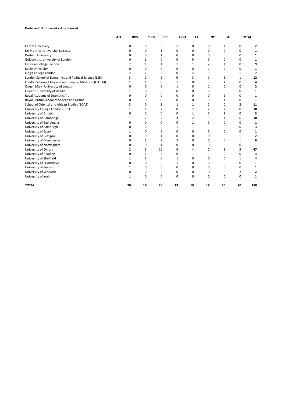# **Preferred UK University -Interviewed**

|                                                        | <b>ATL</b> | <b>BOS</b>   | CHIG        | DC             | HOU          | LA             | <b>NY</b>      | SF             | <b>TOTAL</b> |     |
|--------------------------------------------------------|------------|--------------|-------------|----------------|--------------|----------------|----------------|----------------|--------------|-----|
| Cardiff University                                     |            | 0            | 0           | 0              | $\mathbf{1}$ | 0              | 0              | $\mathbf{1}$   | 0            | 2   |
| De Montfort University, Leicester                      |            | $\Omega$     | $\mathbf 0$ | $\mathbf{1}$   | 0            | $\Omega$       | 0              | 0              | 0            | 1   |
| Durham University                                      |            | 0            | 0           | 1              | 0            | 0              | 0              | 0              | 0            | 1   |
| Goldsmiths, University of London                       |            | 0            | 1           | $\Omega$       | 0            | $\Omega$       | 0              | 0              | 0            | 1   |
| Imperial College London                                |            | 2            | 1           | 1              | 1            | 1              | 2              | 1              | $\Omega$     | 9   |
| Keele University                                       |            | $\Omega$     | 0           | $\Omega$       | 0            | 0              | 1              | 0              | 0            | 1   |
| King's College London                                  |            | 2            | 1           | 0              | 0            | 2              | 1              | 0              | 1            | 7   |
| London School of Economics and Political Science (LSE) |            | 3            | 1           | $\overline{2}$ | 0            | 3              | 0              | $\overline{2}$ | 1            | 12  |
| London School of Hygiene and Tropical Medicine (LSHTM) |            | 1            | 1           | $\Omega$       | 1            | 0              | 0              | 1              | 0            | 4   |
| Queen Mary, University of London                       |            | $\Omega$     | 0           | $\Omega$       | 1            | $\Omega$       | 1              | $\Omega$       | 0            | 2   |
| Queen's University of Belfast                          |            | 1            | 0           | $\Omega$       | 0            | $\Omega$       | 0              | $\Omega$       | $\Omega$     | 1   |
| Royal Academy of Dramatic Art                          |            | $\Omega$     | $\Omega$    | $\Omega$       | 0            | $\Omega$       | $\Omega$       | 1              | $\Omega$     | 1   |
| Royal Central School of Speech and Drama               |            | 0            | 0           | 0              | 0            | 0              | 0              | 1              | 0            | 1   |
| School of Oriental and African Studies (SOAS)          |            | 3            | 0           | 3              | 1            | 1              | 1              | 0              | 2            | 11  |
| University College London (UCL)                        |            | $\mathbf{1}$ | 1           | $\overline{2}$ | 0            | $\overline{2}$ | $\overline{2}$ | 2              | 0            | 10  |
| University of Bristol                                  |            | 0            | 0           | 0              | 0            | 1              | 0              | 2              | 0            | 3   |
| University of Cambridge                                |            | 1            | 2           | 2              | 3            | $\overline{2}$ | 1              | 1              | 6            | 18  |
| University of East Anglia                              |            | $\Omega$     | 0           | $\Omega$       | 0            | $\mathbf{1}$   | 0              | 0              | 0            | 1   |
| University of Edinburgh                                |            | $\Omega$     | 0           | 0              | 1            | 1              | 1              | 0              | 0            | 3   |
| University of Essex                                    |            | 1            | 0           | 0              | 0            | $\Omega$       | 0              | 0              | 0            | 1   |
| University of Glasgow                                  |            | $\Omega$     | $\mathbf 0$ | $\mathbf{1}$   | 0            | $\Omega$       | $\Omega$       | 0              | 1            | 2   |
| University of Manchester                               |            | 0            | 1           | 2              | 2            | 0              | 0              | 0              | 1            | 6   |
| University of Nottingham                               |            | $\Omega$     | 0           | 1              | $\Omega$     | $\Omega$       | 0              | 0              | $\Omega$     | 1   |
| University of Oxford                                   |            | 2            | 5           | 10             | 6            | 4              | 7              | 8              | 5            | 47  |
| University of Reading                                  |            | 0            | 1           | $\Omega$       | 0            | 1              | 1              | 0              | 0            | 3   |
| University of Sheffield                                |            | 1            | 1           | 0              | 1            | 0              | 0              | 0              | 1            | 4   |
| University of St Andrews                               |            | 0            | 0           | $\mathbf 0$    | $\mathbf{1}$ | 0              | 0              | 0              | 0            | 1   |
| University of Sussex                                   |            | 1            | 0           | $\mathbf 0$    | 0            | 0              | 0              | 0              | 0            | 1   |
| University of Warwick                                  |            | $\Omega$     | 0           | $\mathbf 0$    | 0            | $\Omega$       | 0              | 0              | 2            | 2   |
| University of York                                     |            | 1            | $\Omega$    | $\Omega$       | $\Omega$     | $\Omega$       | $\Omega$       | $\Omega$       | $\Omega$     | 1   |
| <b>TOTAL</b>                                           |            | 20           | 16          | 26             | 19           | 19             | 18             | 20             | 20           | 158 |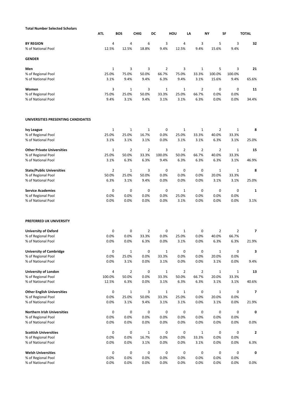| <b>Total Number Selected Scholars</b>   |                  |                |                |              |                |                |                |                |              |
|-----------------------------------------|------------------|----------------|----------------|--------------|----------------|----------------|----------------|----------------|--------------|
|                                         | <b>ATL</b>       | <b>BOS</b>     | <b>CHIG</b>    | DC           | HOU            | LA             | <b>NY</b>      | SF             | <b>TOTAL</b> |
| <b>BY REGION</b>                        | 4                | 4              | 6              | 3            | 4              | 3              | 5              | 3              | 32           |
| % of National Pool                      | 12.5%            | 12.5%          | 18.8%          | 9.4%         | 12.5%          | 9.4%           | 15.6%          | 9.4%           |              |
| <b>GENDER</b>                           |                  |                |                |              |                |                |                |                |              |
| Men                                     | $\mathbf{1}$     | 3              | 3              | 2            | 3              | 1              | 5              | 3              | 21           |
| % of Regional Pool                      | 25.0%            | 75.0%          | 50.0%          | 66.7%        | 75.0%          | 33.3%          | 100.0%         | 100.0%         |              |
| % of National Pool                      | 3.1%             | 9.4%           | 9.4%           | 6.3%         | 9.4%           | 3.1%           | 15.6%          | 9.4%           | 65.6%        |
| Women                                   | 3                | $\mathbf{1}$   | 3              | $\mathbf{1}$ | $\mathbf{1}$   | 2              | 0              | 0              | 11           |
| % of Regional Pool                      | 75.0%            | 25.0%          | 50.0%          | 33.3%        | 25.0%          | 66.7%          | 0.0%           | 0.0%           |              |
| % of National Pool                      | 9.4%             | 3.1%           | 9.4%           | 3.1%         | 3.1%           | 6.3%           | 0.0%           | 0.0%           | 34.4%        |
| UNIVERSITIES PRESENTING CANDIDATES      |                  |                |                |              |                |                |                |                |              |
|                                         | $\mathbf{1}$     | $\mathbf{1}$   | $\mathbf{1}$   | 0            | $\mathbf{1}$   | 1              | $\overline{2}$ | $\mathbf{1}$   |              |
| <b>Ivy League</b><br>% of Regional Pool | 25.0%            | 25.0%          | 16.7%          | 0.0%         | 25.0%          | 33.3%          | 40.0%          | 33.3%          | 8            |
| % of National Pool                      | 3.1%             | 3.1%           | 3.1%           | 0.0%         | 3.1%           | 3.1%           | 6.3%           | 3.1%           | 25.0%        |
|                                         |                  |                |                |              |                |                |                |                |              |
| <b>Other Private Universities</b>       | $\mathbf{1}$     | $\overline{2}$ | $\overline{2}$ | 3            | 2              | 2              | $\overline{2}$ | $\mathbf{1}$   | 15           |
| % of Regional Pool                      | 25.0%            | 50.0%          | 33.3%          | 100.0%       | 50.0%          | 66.7%          | 40.0%          | 33.3%          |              |
| % of National Pool                      | 3.1%             | 6.3%           | 6.3%           | 9.4%         | 6.3%           | 6.3%           | 6.3%           | 3.1%           | 46.9%        |
| <b>State/Public Universities</b>        | $\overline{2}$   | $\mathbf{1}$   | 3              | 0            | 0              | 0              | $\mathbf{1}$   | $\mathbf{1}$   | 8            |
| % of Regional Pool                      | 50.0%            | 25.0%          | 50.0%          | 0.0%         | 0.0%           | 0.0%           | 20.0%          | 33.3%          |              |
| % of National Pool                      | 6.3%             | 3.1%           | 9.4%           | 0.0%         | 0.0%           | 0.0%           | 3.1%           | 3.1%           | 25.0%        |
| <b>Service Academies</b>                | 0                | 0              | 0              | 0            | $\mathbf{1}$   | 0              | 0              | 0              | 1            |
| % of Regional Pool                      | 0.0%             | 0.0%           | 0.0%           | 0.0%         | 25.0%          | 0.0%           | 0.0%           | 0.0%           |              |
| % of National Pool                      | 0.0%             | 0.0%           | 0.0%           | 0.0%         | 3.1%           | 0.0%           | 0.0%           | 0.0%           | 3.1%         |
| PREFERRED UK UNIVERSITY                 |                  |                |                |              |                |                |                |                |              |
| <b>University of Oxford</b>             | 0                | 0              | 2              | 0            | $\mathbf{1}$   | 0              | 2              | $\overline{2}$ | 7            |
| % of Regional Pool                      | 0.0%             | 0.0%           | 33.3%          | 0.0%         | 25.0%          | 0.0%           | 40.0%          | 66.7%          |              |
| % of National Pool                      | 0.0%             | 0.0%           | 6.3%           | 0.0%         | 3.1%           | 0.0%           | 6.3%           | 6.3%           | 21.9%        |
| <b>University of Cambridge</b>          | $\boldsymbol{0}$ | $1\,$          | $\pmb{0}$      | $1\,$        | 0              | 0              | $\mathbf{1}$   | $\bf{0}$       | 3            |
| % of Regional Pool                      | 0.0%             | 25.0%          | 0.0%           | 33.3%        | 0.0%           | 0.0%           | 20.0%          | 0.0%           |              |
| % of National Pool                      | 0.0%             | 3.1%           | 0.0%           | 3.1%         | 0.0%           | 0.0%           | 3.1%           | 0.0%           | 9.4%         |
| <b>University of London</b>             | $\overline{4}$   | $\overline{2}$ | 0              | $1\,$        | $\overline{2}$ | $\overline{2}$ | $\mathbf{1}$   | $1\,$          | 13           |
| % of Regional Pool                      | 100.0%           | 50.0%          | 0.0%           | 33.3%        | 50.0%          | 66.7%          | 20.0%          | 33.3%          |              |
| % of National Pool                      | 12.5%            | 6.3%           | 0.0%           | 3.1%         | 6.3%           | 6.3%           | 3.1%           | 3.1%           | 40.6%        |
| <b>Other English Universities</b>       | $\mathsf 0$      | $\mathbf{1}$   | 3              | $\mathbf{1}$ | $\mathbf{1}$   | $\mathsf 0$    | $\mathbf{1}$   | 0              | 7            |
| % of Regional Pool                      | 0.0%             | 25.0%          | 50.0%          | 33.3%        | 25.0%          | 0.0%           | 20.0%          | 0.0%           |              |
| % of National Pool                      | 0.0%             | 3.1%           | 9.4%           | 3.1%         | 3.1%           | 0.0%           | 3.1%           | 0.0%           | 21.9%        |
| <b>Northern Irish Universities</b>      | 0                | 0              | 0              | $\pmb{0}$    | 0              | $\mathsf 0$    | 0              | 0              | 0            |
| % of Regional Pool                      | 0.0%             | 0.0%           | 0.0%           | 0.0%         | 0.0%           | 0.0%           | 0.0%           | 0.0%           |              |
| % of National Pool                      | 0.0%             | 0.0%           | 0.0%           | 0.0%         | 0.0%           | 0.0%           | 0.0%           | 0.0%           | 0.0%         |
| <b>Scottish Universities</b>            | 0                | 0              | $\mathbf{1}$   | 0            | 0              | $\mathbf{1}$   | 0              | 0              | 2            |
| % of Regional Pool                      | 0.0%             | 0.0%           | 16.7%          | 0.0%         | 0.0%           | 33.3%          | 0.0%           | 0.0%           |              |
| % of National Pool                      | 0.0%             | 0.0%           | 3.1%           | 0.0%         | 0.0%           | 3.1%           | 0.0%           | 0.0%           | 6.3%         |
| <b>Welsh Universities</b>               | 0                | 0              | 0              | $\pmb{0}$    | 0              | $\mathsf 0$    | 0              | 0              | 0            |
| % of Regional Pool                      | 0.0%             | 0.0%           | 0.0%           | 0.0%         | 0.0%           | 0.0%           | 0.0%           | 0.0%           |              |
| % of National Pool                      | 0.0%             | 0.0%           | 0.0%           | 0.0%         | 0.0%           | 0.0%           | 0.0%           | 0.0%           | 0.0%         |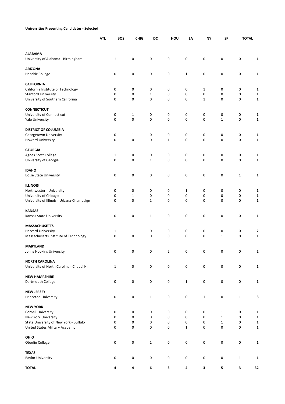# **Universities Presenting Candidates - Selected**

|                                                                     | <b>ATL</b> | <b>BOS</b>                  | <b>CHIG</b>  | DC           | HOU            | LA           | NY               | SF                           | <b>TOTAL</b> |                             |
|---------------------------------------------------------------------|------------|-----------------------------|--------------|--------------|----------------|--------------|------------------|------------------------------|--------------|-----------------------------|
| <b>ALABAMA</b>                                                      |            |                             |              |              |                |              |                  |                              |              |                             |
| University of Alabama - Birmingham                                  |            | $\mathbf{1}$                | 0            | $\pmb{0}$    | 0              | $\pmb{0}$    | $\pmb{0}$        | 0                            | 0            | $\mathbf{1}$                |
| <b>ARIZONA</b>                                                      |            |                             |              |              |                |              |                  |                              |              |                             |
| <b>Hendrix College</b>                                              |            | 0                           | 0            | 0            | 0              | 1            | 0                | 0                            | 0            | $\mathbf{1}$                |
| <b>CALIFORNIA</b>                                                   |            |                             |              |              |                |              |                  |                              |              |                             |
| California Institute of Technology                                  |            | 0                           | 0            | 0            | 0              | 0            | 1                | 0                            | 0            | 1                           |
| <b>Stanford University</b>                                          |            | 0                           | 0            | 1            | 0              | 0            | 0                | 0                            | 0            | 1                           |
| University of Southern California                                   |            | 0                           | 0            | 0            | 0              | 0            | $\mathbf{1}$     | 0                            | 0            | 1                           |
| <b>CONNECTICUT</b>                                                  |            |                             |              |              |                |              |                  |                              |              |                             |
| University of Connecticut                                           |            | 0                           | 1            | 0            | 0              | 0            | 0                | 0                            | 0            | 1                           |
| <b>Yale University</b>                                              |            | $\mathbf 0$                 | 0            | $\mathbf 0$  | $\mathbf 0$    | 0            | $\mathbf 0$      | $\mathbf{1}$                 | $\mathbf 0$  | 1                           |
| <b>DISTRICT OF COLUMBIA</b>                                         |            |                             |              |              |                |              |                  |                              |              |                             |
| Georgetown University                                               |            | 0                           | $\mathbf{1}$ | 0            | 0              | 0            | 0                | 0                            | 0            | 1                           |
| <b>Howard University</b>                                            |            | $\mathbf 0$                 | 0            | $\mathbf 0$  | $\mathbf{1}$   | 0            | $\mathbf 0$      | 0                            | 0            | 1                           |
|                                                                     |            |                             |              |              |                |              |                  |                              |              |                             |
| <b>GEORGIA</b>                                                      |            |                             |              |              |                |              |                  |                              |              |                             |
| Agnes Scott College<br>University of Georgia                        |            | $\mathbf{1}$<br>$\mathbf 0$ | 0<br>0       | 0<br>1       | 0<br>0         | 0<br>0       | 0<br>$\mathbf 0$ | 0<br>0                       | 0<br>0       | 1<br>1                      |
|                                                                     |            |                             |              |              |                |              |                  |                              |              |                             |
| <b>IDAHO</b>                                                        |            |                             |              |              |                |              |                  |                              |              |                             |
| <b>Boise State University</b>                                       |            | 0                           | 0            | 0            | 0              | 0            | $\pmb{0}$        | 0                            | $\mathbf 1$  | $\mathbf{1}$                |
| <b>ILLINOIS</b>                                                     |            |                             |              |              |                |              |                  |                              |              |                             |
| Northwestern University                                             |            | 0                           | 0            | 0            | 0              | $\mathbf{1}$ | 0                | 0                            | 0            | 1                           |
| University of Chicago                                               |            | 0                           | $\mathbf{1}$ | 0            | 0              | 0            | $\mathbf 0$      | 0                            | 0            | 1                           |
| University of Illinois - Urbana-Champaign                           |            | 0                           | 0            | 1            | 0              | 0            | 0                | 0                            | 0            | 1                           |
|                                                                     |            |                             |              |              |                |              |                  |                              |              |                             |
| <b>KANSAS</b><br>Kansas State University                            |            | 0                           | 0            | 1            | 0              | 0            | $\pmb{0}$        | 0                            | 0            | $\mathbf{1}$                |
|                                                                     |            |                             |              |              |                |              |                  |                              |              |                             |
| <b>MASSACHUSETTS</b>                                                |            |                             |              |              |                |              |                  |                              |              |                             |
| Harvard University                                                  |            | 1                           | $\mathbf{1}$ | 0            | 0              | 0            | 0                | 0                            | 0            | 2                           |
| Massachusetts Institute of Technology                               |            | 0                           | 0            | 0            | $\mathbf 0$    | 0            | 0                | $\mathbf 1$                  | 0            | 1                           |
| <b>MARYLAND</b>                                                     |            |                             |              |              |                |              |                  |                              |              |                             |
| Johns Hopkins University                                            |            | 0                           | U            | $\mathsf{U}$ | 2              | 0            | 0                | U                            | O            | 2                           |
|                                                                     |            |                             |              |              |                |              |                  |                              |              |                             |
| <b>NORTH CAROLINA</b><br>University of North Carolina - Chapel Hill |            | $\mathbf{1}$                | 0            | 0            | 0              | 0            | 0                | 0                            | 0            | $\mathbf{1}$                |
|                                                                     |            |                             |              |              |                |              |                  |                              |              |                             |
| <b>NEW HAMPSHIRE</b>                                                |            |                             |              |              |                |              |                  |                              |              |                             |
| Dartmouth College                                                   |            | $\boldsymbol{0}$            | $\pmb{0}$    | $\pmb{0}$    | 0              | $\mathbf{1}$ | $\pmb{0}$        | 0                            | $\pmb{0}$    | $\mathbf 1$                 |
| <b>NEW JERSEY</b>                                                   |            |                             |              |              |                |              |                  |                              |              |                             |
| Princeton University                                                |            | 0                           | $\pmb{0}$    | $\mathbf{1}$ | 0              | 0            | $\mathbf{1}$     | 0                            | $1\,$        | 3                           |
|                                                                     |            |                             |              |              |                |              |                  |                              |              |                             |
| <b>NEW YORK</b>                                                     |            |                             |              |              |                |              |                  |                              |              |                             |
| <b>Cornell University</b>                                           |            | 0                           | 0            | 0<br>0       | 0<br>$\pmb{0}$ | 0<br>0       | 0<br>$\mathsf 0$ | $\mathbf{1}$                 | 0            | 1                           |
| New York University<br>State University of New York - Buffalo       |            | 0<br>0                      | 0<br>0       | 0            | 0              | 0            | 0                | $\mathbf{1}$<br>$\mathbf{1}$ | 0<br>0       | $\mathbf 1$<br>$\mathbf{1}$ |
| United States Military Academy                                      |            | 0                           | 0            | 0            | $\pmb{0}$      | $\mathbf{1}$ | $\boldsymbol{0}$ | $\pmb{0}$                    | 0            | $\mathbf{1}$                |
|                                                                     |            |                             |              |              |                |              |                  |                              |              |                             |
| OHIO                                                                |            |                             |              |              |                |              |                  |                              |              |                             |
| Oberlin College                                                     |            | $\pmb{0}$                   | 0            | $\mathbf{1}$ | 0              | 0            | 0                | 0                            | 0            | $\mathbf 1$                 |
| <b>TEXAS</b>                                                        |            |                             |              |              |                |              |                  |                              |              |                             |
| <b>Baylor University</b>                                            |            | 0                           | $\pmb{0}$    | 0            | 0              | 0            | $\mathsf 0$      | 0                            | $1\,$        | 1                           |
| <b>TOTAL</b>                                                        |            | 4                           | 4            | 6            | 3              | 4            | 3                | 5                            | 3            | 32                          |
|                                                                     |            |                             |              |              |                |              |                  |                              |              |                             |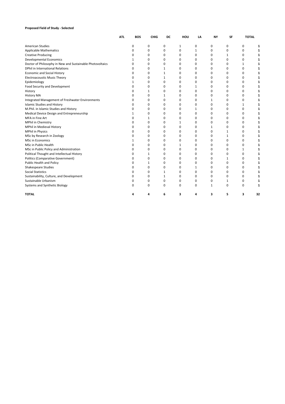# **Proposed Field of Study - Selected**

|                                                           | <b>ATL</b> | BOS      | <b>CHIG</b>  | DC           | HOU      | LA           | <b>NY</b> | <b>SF</b>   | <b>TOTAL</b> |    |
|-----------------------------------------------------------|------------|----------|--------------|--------------|----------|--------------|-----------|-------------|--------------|----|
| <b>American Studies</b>                                   |            | 0        | 0            | 0            | 1        | 0            | 0         | 0           | 0            | 1  |
| <b>Applicable Mathematics</b>                             |            | $\Omega$ | 0            | 0            | 0        | 1            | 0         | 0           | 0            |    |
| <b>Creative Producing</b>                                 |            | $\Omega$ | $\mathbf 0$  | 0            | 0        | 0            | 0         | 1           | 0            |    |
| <b>Developmental Economics</b>                            |            | 1        | $\Omega$     | $\Omega$     | $\Omega$ | $\Omega$     | $\Omega$  | $\Omega$    | 0            |    |
| Doctor of Philosophy in New and Sustainable Photovoltaics |            | ŋ        | 0            | 0            | 0        | 0            | $\Omega$  | $\Omega$    | 1            |    |
| <b>DPhil in International Relations</b>                   |            | ŋ        | 0            | $\mathbf{1}$ | 0        | 0            | 0         | 0           | 0            |    |
| <b>Economic and Social History</b>                        |            | $\Omega$ | 0            | $\mathbf{1}$ | 0        | 0            | 0         | 0           | $\Omega$     |    |
| <b>Electroacoustic Music Theory</b>                       |            | $\Omega$ | $\mathbf 0$  | 1            | 0        | $\Omega$     | 0         | $\Omega$    | 0            |    |
| Epidemiology                                              |            | 1        | 0            | 0            | 0        | 0            | 0         | 0           | 0            |    |
| Food Security and Development                             |            | n        | 0            | 0            | 0        | 1            | 0         | 0           | 0            |    |
| History                                                   |            | n        | 1            | 0            | $\Omega$ | $\Omega$     | $\Omega$  | 0           | $\Omega$     |    |
| <b>History MA</b>                                         |            | n        | $\Omega$     | 1            | 0        | 0            | 0         | 0           | 0            |    |
| Integrated Management of Freshwater Environments          |            |          | 0            | 0            | 0        | 0            | 1         | 0           | 0            |    |
| <b>Islamic Studies and History</b>                        |            | 0        | $\Omega$     | $\Omega$     | $\Omega$ | $\Omega$     | $\Omega$  | $\Omega$    | $\mathbf{1}$ |    |
| M.Phil. in Islamic Studies and History                    |            | $\Omega$ | 0            | $\Omega$     | 0        | 1            | 0         | $\Omega$    | $\mathbf 0$  |    |
| Medical Device Design and Entrepreneurship                |            | 1        | 0            | 0            | 0        | 0            | 0         | 0           | 0            |    |
| MFA in Fine Art                                           |            | 0        | 1            | 0            | 0        | 0            | 0         | 0           | 0            |    |
| MPhil in Chemistry                                        |            | n        | $\Omega$     | 0            | 1        | 0            | 0         | $\Omega$    | $\Omega$     |    |
| MPhil in Medieval History                                 |            | ŋ        | 0            | 0            | 0        | 0            | 1         | $\Omega$    | 0            |    |
| <b>MPhil in Physics</b>                                   |            | 0        | 0            | 0            | 0        | 0            | 0         | 1           | 0            |    |
| MSc by Research in Zoology                                |            | ŋ        | $\Omega$     | 0            | $\Omega$ | 0            | 0         | 1           | 0            |    |
| <b>MSc in Economics</b>                                   |            |          | 0            | 0            | 0        | 0            | 0         | 0           | $\Omega$     |    |
| MSc in Public Health                                      |            | n        | $\Omega$     | 0            | 1        | 0            | 0         | 0           | 0            |    |
| MSc in Public Policy and Administration                   |            | n        | $\Omega$     | 0            | $\Omega$ | $\Omega$     | $\Omega$  | $\Omega$    | 1            |    |
| Political Thought and Intellectual History                |            | ŋ        | $\mathbf{1}$ | 0            | 0        | 0            | $\Omega$  | 0           | $\mathbf 0$  |    |
| <b>Politics (Comparative Government)</b>                  |            | 0        | 0            | 0            | 0        | 0            | 0         | 1           | 0            |    |
| Public Health and Policy                                  |            | $\Omega$ | 1            | 0            | 0        | 0            | 0         | 0           | 0            |    |
| Shakespeare Studies                                       |            | $\Omega$ | 0            | 0            | 0        | $\mathbf{1}$ | $\Omega$  | $\Omega$    | $\mathbf 0$  |    |
| <b>Social Statistics</b>                                  |            | 0        | $\mathbf 0$  | 1            | 0        | 0            | 0         | $\Omega$    | 0            |    |
| Sustainability, Culture, and Development                  |            | n        | 0            | 1            | 0        | 0            | 0         | $\mathbf 0$ | $\mathbf 0$  |    |
| Sustainable Urbanism                                      |            | O        | 0            | 0            | 0        | 0            | 0         | 1           | $\mathbf 0$  |    |
| Systems and Synthetic Biology                             |            | $\Omega$ | 0            | 0            | 0        | $\Omega$     | 1         | $\Omega$    | $\Omega$     |    |
| <b>TOTAL</b>                                              |            |          | 4            | 6            | 3        | Δ            | 3         | 5           | 3            | 32 |